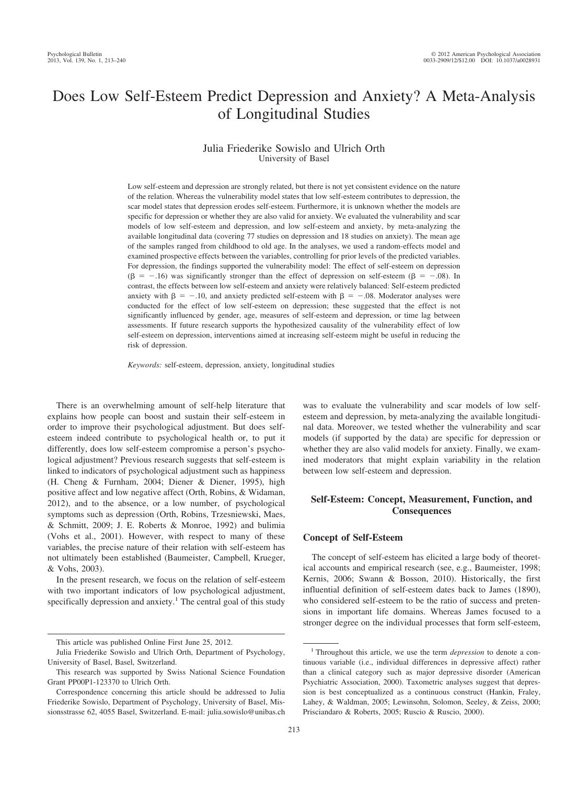# Does Low Self-Esteem Predict Depression and Anxiety? A Meta-Analysis of Longitudinal Studies

# Julia Friederike Sowislo and Ulrich Orth University of Basel

Low self-esteem and depression are strongly related, but there is not yet consistent evidence on the nature of the relation. Whereas the vulnerability model states that low self-esteem contributes to depression, the scar model states that depression erodes self-esteem. Furthermore, it is unknown whether the models are specific for depression or whether they are also valid for anxiety. We evaluated the vulnerability and scar models of low self-esteem and depression, and low self-esteem and anxiety, by meta-analyzing the available longitudinal data (covering 77 studies on depression and 18 studies on anxiety). The mean age of the samples ranged from childhood to old age. In the analyses, we used a random-effects model and examined prospective effects between the variables, controlling for prior levels of the predicted variables. For depression, the findings supported the vulnerability model: The effect of self-esteem on depression  $(\beta = -.16)$  was significantly stronger than the effect of depression on self-esteem  $(\beta = -.08)$ . In contrast, the effects between low self-esteem and anxiety were relatively balanced: Self-esteem predicted anxiety with  $\beta = -.10$ , and anxiety predicted self-esteem with  $\beta = -.08$ . Moderator analyses were conducted for the effect of low self-esteem on depression; these suggested that the effect is not significantly influenced by gender, age, measures of self-esteem and depression, or time lag between assessments. If future research supports the hypothesized causality of the vulnerability effect of low self-esteem on depression, interventions aimed at increasing self-esteem might be useful in reducing the risk of depression.

*Keywords:* self-esteem, depression, anxiety, longitudinal studies

There is an overwhelming amount of self-help literature that explains how people can boost and sustain their self-esteem in order to improve their psychological adjustment. But does selfesteem indeed contribute to psychological health or, to put it differently, does low self-esteem compromise a person's psychological adjustment? Previous research suggests that self-esteem is linked to indicators of psychological adjustment such as happiness (H. Cheng & Furnham, 2004; Diener & Diener, 1995), high positive affect and low negative affect (Orth, Robins, & Widaman, 2012), and to the absence, or a low number, of psychological symptoms such as depression (Orth, Robins, Trzesniewski, Maes, & Schmitt, 2009; J. E. Roberts & Monroe, 1992) and bulimia (Vohs et al., 2001). However, with respect to many of these variables, the precise nature of their relation with self-esteem has not ultimately been established (Baumeister, Campbell, Krueger, & Vohs, 2003).

In the present research, we focus on the relation of self-esteem with two important indicators of low psychological adjustment, specifically depression and anxiety.<sup>1</sup> The central goal of this study

was to evaluate the vulnerability and scar models of low selfesteem and depression, by meta-analyzing the available longitudinal data. Moreover, we tested whether the vulnerability and scar models (if supported by the data) are specific for depression or whether they are also valid models for anxiety. Finally, we examined moderators that might explain variability in the relation between low self-esteem and depression.

# **Self-Esteem: Concept, Measurement, Function, and Consequences**

#### **Concept of Self-Esteem**

The concept of self-esteem has elicited a large body of theoretical accounts and empirical research (see, e.g., Baumeister, 1998; Kernis, 2006; Swann & Bosson, 2010). Historically, the first influential definition of self-esteem dates back to James (1890), who considered self-esteem to be the ratio of success and pretensions in important life domains. Whereas James focused to a stronger degree on the individual processes that form self-esteem,

This article was published Online First June 25, 2012.

Julia Friederike Sowislo and Ulrich Orth, Department of Psychology, University of Basel, Basel, Switzerland.

This research was supported by Swiss National Science Foundation Grant PP00P1-123370 to Ulrich Orth.

Correspondence concerning this article should be addressed to Julia Friederike Sowislo, Department of Psychology, University of Basel, Missionsstrasse 62, 4055 Basel, Switzerland. E-mail: julia.sowislo@unibas.ch

<sup>1</sup> Throughout this article, we use the term *depression* to denote a continuous variable (i.e., individual differences in depressive affect) rather than a clinical category such as major depressive disorder (American Psychiatric Association, 2000). Taxometric analyses suggest that depression is best conceptualized as a continuous construct (Hankin, Fraley, Lahey, & Waldman, 2005; Lewinsohn, Solomon, Seeley, & Zeiss, 2000; Prisciandaro & Roberts, 2005; Ruscio & Ruscio, 2000).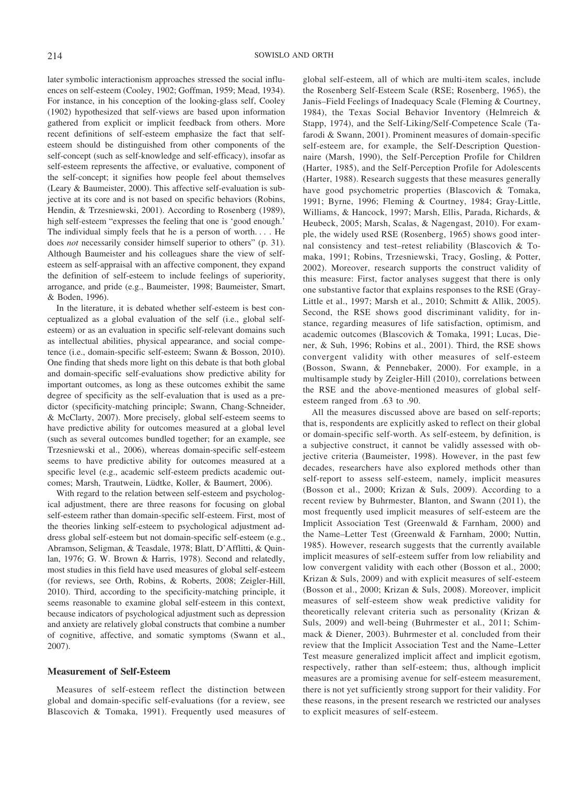later symbolic interactionism approaches stressed the social influences on self-esteem (Cooley, 1902; Goffman, 1959; Mead, 1934). For instance, in his conception of the looking-glass self, Cooley (1902) hypothesized that self-views are based upon information gathered from explicit or implicit feedback from others. More recent definitions of self-esteem emphasize the fact that selfesteem should be distinguished from other components of the self-concept (such as self-knowledge and self-efficacy), insofar as self-esteem represents the affective, or evaluative, component of the self-concept; it signifies how people feel about themselves (Leary & Baumeister, 2000). This affective self-evaluation is subjective at its core and is not based on specific behaviors (Robins, Hendin, & Trzesniewski, 2001). According to Rosenberg (1989), high self-esteem "expresses the feeling that one is 'good enough.' The individual simply feels that he is a person of worth. . . . He does *not* necessarily consider himself superior to others" (p. 31). Although Baumeister and his colleagues share the view of selfesteem as self-appraisal with an affective component, they expand the definition of self-esteem to include feelings of superiority, arrogance, and pride (e.g., Baumeister, 1998; Baumeister, Smart, & Boden, 1996).

In the literature, it is debated whether self-esteem is best conceptualized as a global evaluation of the self (i.e., global selfesteem) or as an evaluation in specific self-relevant domains such as intellectual abilities, physical appearance, and social competence (i.e., domain-specific self-esteem; Swann & Bosson, 2010). One finding that sheds more light on this debate is that both global and domain-specific self-evaluations show predictive ability for important outcomes, as long as these outcomes exhibit the same degree of specificity as the self-evaluation that is used as a predictor (specificity-matching principle; Swann, Chang-Schneider, & McClarty, 2007). More precisely, global self-esteem seems to have predictive ability for outcomes measured at a global level (such as several outcomes bundled together; for an example, see Trzesniewski et al., 2006), whereas domain-specific self-esteem seems to have predictive ability for outcomes measured at a specific level (e.g., academic self-esteem predicts academic outcomes; Marsh, Trautwein, Lüdtke, Koller, & Baumert, 2006).

With regard to the relation between self-esteem and psychological adjustment, there are three reasons for focusing on global self-esteem rather than domain-specific self-esteem. First, most of the theories linking self-esteem to psychological adjustment address global self-esteem but not domain-specific self-esteem (e.g., Abramson, Seligman, & Teasdale, 1978; Blatt, D'Afflitti, & Quinlan, 1976; G. W. Brown & Harris, 1978). Second and relatedly, most studies in this field have used measures of global self-esteem (for reviews, see Orth, Robins, & Roberts, 2008; Zeigler-Hill, 2010). Third, according to the specificity-matching principle, it seems reasonable to examine global self-esteem in this context, because indicators of psychological adjustment such as depression and anxiety are relatively global constructs that combine a number of cognitive, affective, and somatic symptoms (Swann et al., 2007).

# **Measurement of Self-Esteem**

Measures of self-esteem reflect the distinction between global and domain-specific self-evaluations (for a review, see Blascovich & Tomaka, 1991). Frequently used measures of

global self-esteem, all of which are multi-item scales, include the Rosenberg Self-Esteem Scale (RSE; Rosenberg, 1965), the Janis–Field Feelings of Inadequacy Scale (Fleming & Courtney, 1984), the Texas Social Behavior Inventory (Helmreich & Stapp, 1974), and the Self-Liking/Self-Competence Scale (Tafarodi & Swann, 2001). Prominent measures of domain-specific self-esteem are, for example, the Self-Description Questionnaire (Marsh, 1990), the Self-Perception Profile for Children (Harter, 1985), and the Self-Perception Profile for Adolescents (Harter, 1988). Research suggests that these measures generally have good psychometric properties (Blascovich & Tomaka, 1991; Byrne, 1996; Fleming & Courtney, 1984; Gray-Little, Williams, & Hancock, 1997; Marsh, Ellis, Parada, Richards, & Heubeck, 2005; Marsh, Scalas, & Nagengast, 2010). For example, the widely used RSE (Rosenberg, 1965) shows good internal consistency and test–retest reliability (Blascovich & Tomaka, 1991; Robins, Trzesniewski, Tracy, Gosling, & Potter, 2002). Moreover, research supports the construct validity of this measure: First, factor analyses suggest that there is only one substantive factor that explains responses to the RSE (Gray-Little et al., 1997; Marsh et al., 2010; Schmitt & Allik, 2005). Second, the RSE shows good discriminant validity, for instance, regarding measures of life satisfaction, optimism, and academic outcomes (Blascovich & Tomaka, 1991; Lucas, Diener, & Suh, 1996; Robins et al., 2001). Third, the RSE shows convergent validity with other measures of self-esteem (Bosson, Swann, & Pennebaker, 2000). For example, in a multisample study by Zeigler-Hill (2010), correlations between the RSE and the above-mentioned measures of global selfesteem ranged from .63 to .90.

All the measures discussed above are based on self-reports; that is, respondents are explicitly asked to reflect on their global or domain-specific self-worth. As self-esteem, by definition, is a subjective construct, it cannot be validly assessed with objective criteria (Baumeister, 1998). However, in the past few decades, researchers have also explored methods other than self-report to assess self-esteem, namely, implicit measures (Bosson et al., 2000; Krizan & Suls, 2009). According to a recent review by Buhrmester, Blanton, and Swann (2011), the most frequently used implicit measures of self-esteem are the Implicit Association Test (Greenwald & Farnham, 2000) and the Name–Letter Test (Greenwald & Farnham, 2000; Nuttin, 1985). However, research suggests that the currently available implicit measures of self-esteem suffer from low reliability and low convergent validity with each other (Bosson et al., 2000; Krizan & Suls, 2009) and with explicit measures of self-esteem (Bosson et al., 2000; Krizan & Suls, 2008). Moreover, implicit measures of self-esteem show weak predictive validity for theoretically relevant criteria such as personality (Krizan & Suls, 2009) and well-being (Buhrmester et al., 2011; Schimmack & Diener, 2003). Buhrmester et al. concluded from their review that the Implicit Association Test and the Name–Letter Test measure generalized implicit affect and implicit egotism, respectively, rather than self-esteem; thus, although implicit measures are a promising avenue for self-esteem measurement, there is not yet sufficiently strong support for their validity. For these reasons, in the present research we restricted our analyses to explicit measures of self-esteem.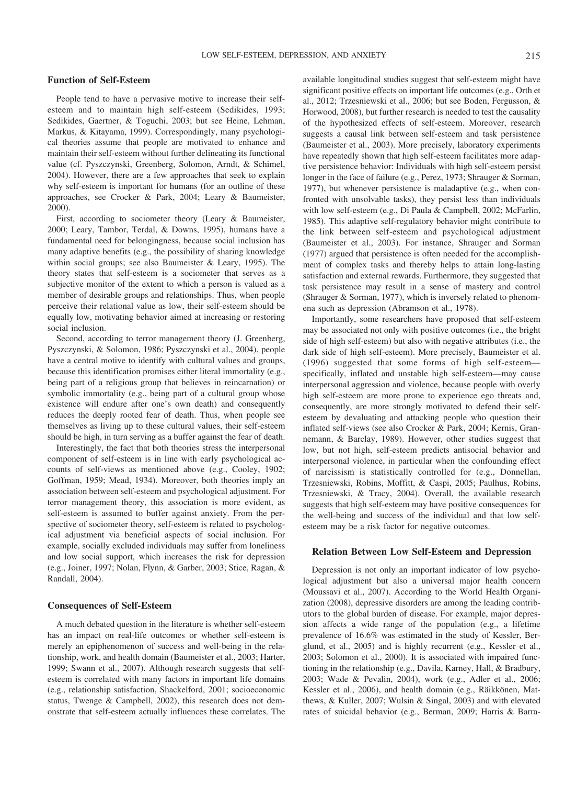# **Function of Self-Esteem**

People tend to have a pervasive motive to increase their selfesteem and to maintain high self-esteem (Sedikides, 1993; Sedikides, Gaertner, & Toguchi, 2003; but see Heine, Lehman, Markus, & Kitayama, 1999). Correspondingly, many psychological theories assume that people are motivated to enhance and maintain their self-esteem without further delineating its functional value (cf. Pyszczynski, Greenberg, Solomon, Arndt, & Schimel, 2004). However, there are a few approaches that seek to explain why self-esteem is important for humans (for an outline of these approaches, see Crocker & Park, 2004; Leary & Baumeister, 2000).

First, according to sociometer theory (Leary & Baumeister, 2000; Leary, Tambor, Terdal, & Downs, 1995), humans have a fundamental need for belongingness, because social inclusion has many adaptive benefits (e.g., the possibility of sharing knowledge within social groups; see also Baumeister & Leary, 1995). The theory states that self-esteem is a sociometer that serves as a subjective monitor of the extent to which a person is valued as a member of desirable groups and relationships. Thus, when people perceive their relational value as low, their self-esteem should be equally low, motivating behavior aimed at increasing or restoring social inclusion.

Second, according to terror management theory (J. Greenberg, Pyszczynski, & Solomon, 1986; Pyszczynski et al., 2004), people have a central motive to identify with cultural values and groups, because this identification promises either literal immortality (e.g., being part of a religious group that believes in reincarnation) or symbolic immortality (e.g., being part of a cultural group whose existence will endure after one's own death) and consequently reduces the deeply rooted fear of death. Thus, when people see themselves as living up to these cultural values, their self-esteem should be high, in turn serving as a buffer against the fear of death.

Interestingly, the fact that both theories stress the interpersonal component of self-esteem is in line with early psychological accounts of self-views as mentioned above (e.g., Cooley, 1902; Goffman, 1959; Mead, 1934). Moreover, both theories imply an association between self-esteem and psychological adjustment. For terror management theory, this association is more evident, as self-esteem is assumed to buffer against anxiety. From the perspective of sociometer theory, self-esteem is related to psychological adjustment via beneficial aspects of social inclusion. For example, socially excluded individuals may suffer from loneliness and low social support, which increases the risk for depression (e.g., Joiner, 1997; Nolan, Flynn, & Garber, 2003; Stice, Ragan, & Randall, 2004).

#### **Consequences of Self-Esteem**

A much debated question in the literature is whether self-esteem has an impact on real-life outcomes or whether self-esteem is merely an epiphenomenon of success and well-being in the relationship, work, and health domain (Baumeister et al., 2003; Harter, 1999; Swann et al., 2007). Although research suggests that selfesteem is correlated with many factors in important life domains (e.g., relationship satisfaction, Shackelford, 2001; socioeconomic status, Twenge & Campbell, 2002), this research does not demonstrate that self-esteem actually influences these correlates. The

available longitudinal studies suggest that self-esteem might have significant positive effects on important life outcomes (e.g., Orth et al., 2012; Trzesniewski et al., 2006; but see Boden, Fergusson, & Horwood, 2008), but further research is needed to test the causality of the hypothesized effects of self-esteem. Moreover, research suggests a causal link between self-esteem and task persistence (Baumeister et al., 2003). More precisely, laboratory experiments have repeatedly shown that high self-esteem facilitates more adaptive persistence behavior: Individuals with high self-esteem persist longer in the face of failure (e.g., Perez, 1973; Shrauger & Sorman, 1977), but whenever persistence is maladaptive (e.g., when confronted with unsolvable tasks), they persist less than individuals with low self-esteem (e.g., Di Paula & Campbell, 2002; McFarlin, 1985). This adaptive self-regulatory behavior might contribute to the link between self-esteem and psychological adjustment (Baumeister et al., 2003). For instance, Shrauger and Sorman (1977) argued that persistence is often needed for the accomplishment of complex tasks and thereby helps to attain long-lasting satisfaction and external rewards. Furthermore, they suggested that task persistence may result in a sense of mastery and control (Shrauger & Sorman, 1977), which is inversely related to phenomena such as depression (Abramson et al., 1978).

Importantly, some researchers have proposed that self-esteem may be associated not only with positive outcomes (i.e., the bright side of high self-esteem) but also with negative attributes (i.e., the dark side of high self-esteem). More precisely, Baumeister et al. (1996) suggested that some forms of high self-esteem specifically, inflated and unstable high self-esteem—may cause interpersonal aggression and violence, because people with overly high self-esteem are more prone to experience ego threats and, consequently, are more strongly motivated to defend their selfesteem by devaluating and attacking people who question their inflated self-views (see also Crocker & Park, 2004; Kernis, Grannemann, & Barclay, 1989). However, other studies suggest that low, but not high, self-esteem predicts antisocial behavior and interpersonal violence, in particular when the confounding effect of narcissism is statistically controlled for (e.g., Donnellan, Trzesniewski, Robins, Moffitt, & Caspi, 2005; Paulhus, Robins, Trzesniewski, & Tracy, 2004). Overall, the available research suggests that high self-esteem may have positive consequences for the well-being and success of the individual and that low selfesteem may be a risk factor for negative outcomes.

# **Relation Between Low Self-Esteem and Depression**

Depression is not only an important indicator of low psychological adjustment but also a universal major health concern (Moussavi et al., 2007). According to the World Health Organization (2008), depressive disorders are among the leading contributors to the global burden of disease. For example, major depression affects a wide range of the population (e.g., a lifetime prevalence of 16.6% was estimated in the study of Kessler, Berglund, et al., 2005) and is highly recurrent (e.g., Kessler et al., 2003; Solomon et al., 2000). It is associated with impaired functioning in the relationship (e.g., Davila, Karney, Hall, & Bradbury, 2003; Wade & Pevalin, 2004), work (e.g., Adler et al., 2006; Kessler et al., 2006), and health domain (e.g., Räikkönen, Matthews, & Kuller, 2007; Wulsin & Singal, 2003) and with elevated rates of suicidal behavior (e.g., Berman, 2009; Harris & Barra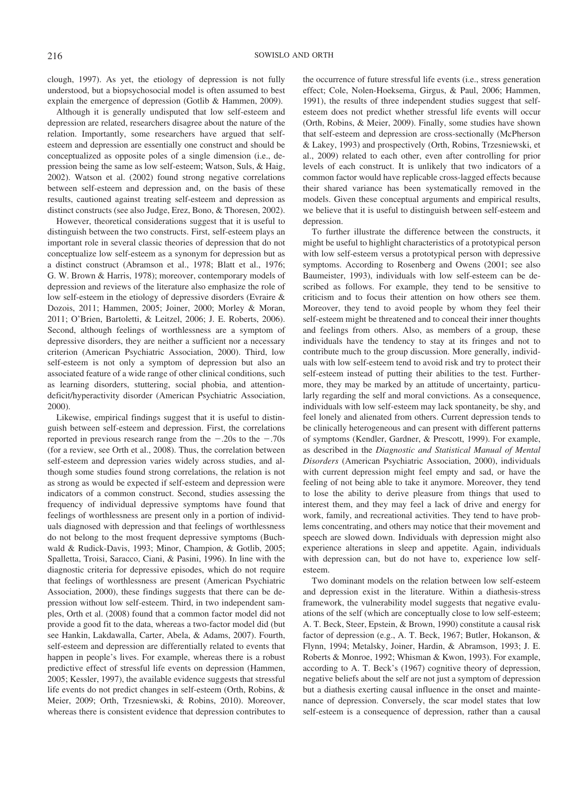clough, 1997). As yet, the etiology of depression is not fully understood, but a biopsychosocial model is often assumed to best explain the emergence of depression (Gotlib & Hammen, 2009).

Although it is generally undisputed that low self-esteem and depression are related, researchers disagree about the nature of the relation. Importantly, some researchers have argued that selfesteem and depression are essentially one construct and should be conceptualized as opposite poles of a single dimension (i.e., depression being the same as low self-esteem; Watson, Suls, & Haig, 2002). Watson et al. (2002) found strong negative correlations between self-esteem and depression and, on the basis of these results, cautioned against treating self-esteem and depression as distinct constructs (see also Judge, Erez, Bono, & Thoresen, 2002).

However, theoretical considerations suggest that it is useful to distinguish between the two constructs. First, self-esteem plays an important role in several classic theories of depression that do not conceptualize low self-esteem as a synonym for depression but as a distinct construct (Abramson et al., 1978; Blatt et al., 1976; G. W. Brown & Harris, 1978); moreover, contemporary models of depression and reviews of the literature also emphasize the role of low self-esteem in the etiology of depressive disorders (Evraire & Dozois, 2011; Hammen, 2005; Joiner, 2000; Morley & Moran, 2011; O'Brien, Bartoletti, & Leitzel, 2006; J. E. Roberts, 2006). Second, although feelings of worthlessness are a symptom of depressive disorders, they are neither a sufficient nor a necessary criterion (American Psychiatric Association, 2000). Third, low self-esteem is not only a symptom of depression but also an associated feature of a wide range of other clinical conditions, such as learning disorders, stuttering, social phobia, and attentiondeficit/hyperactivity disorder (American Psychiatric Association, 2000).

Likewise, empirical findings suggest that it is useful to distinguish between self-esteem and depression. First, the correlations reported in previous research range from the  $-.20s$  to the  $-.70s$ (for a review, see Orth et al., 2008). Thus, the correlation between self-esteem and depression varies widely across studies, and although some studies found strong correlations, the relation is not as strong as would be expected if self-esteem and depression were indicators of a common construct. Second, studies assessing the frequency of individual depressive symptoms have found that feelings of worthlessness are present only in a portion of individuals diagnosed with depression and that feelings of worthlessness do not belong to the most frequent depressive symptoms (Buchwald & Rudick-Davis, 1993; Minor, Champion, & Gotlib, 2005; Spalletta, Troisi, Saracco, Ciani, & Pasini, 1996). In line with the diagnostic criteria for depressive episodes, which do not require that feelings of worthlessness are present (American Psychiatric Association, 2000), these findings suggests that there can be depression without low self-esteem. Third, in two independent samples, Orth et al. (2008) found that a common factor model did not provide a good fit to the data, whereas a two-factor model did (but see Hankin, Lakdawalla, Carter, Abela, & Adams, 2007). Fourth, self-esteem and depression are differentially related to events that happen in people's lives. For example, whereas there is a robust predictive effect of stressful life events on depression (Hammen, 2005; Kessler, 1997), the available evidence suggests that stressful life events do not predict changes in self-esteem (Orth, Robins, & Meier, 2009; Orth, Trzesniewski, & Robins, 2010). Moreover, whereas there is consistent evidence that depression contributes to the occurrence of future stressful life events (i.e., stress generation effect; Cole, Nolen-Hoeksema, Girgus, & Paul, 2006; Hammen, 1991), the results of three independent studies suggest that selfesteem does not predict whether stressful life events will occur (Orth, Robins, & Meier, 2009). Finally, some studies have shown that self-esteem and depression are cross-sectionally (McPherson & Lakey, 1993) and prospectively (Orth, Robins, Trzesniewski, et al., 2009) related to each other, even after controlling for prior levels of each construct. It is unlikely that two indicators of a common factor would have replicable cross-lagged effects because their shared variance has been systematically removed in the models. Given these conceptual arguments and empirical results, we believe that it is useful to distinguish between self-esteem and depression.

To further illustrate the difference between the constructs, it might be useful to highlight characteristics of a prototypical person with low self-esteem versus a prototypical person with depressive symptoms. According to Rosenberg and Owens (2001; see also Baumeister, 1993), individuals with low self-esteem can be described as follows. For example, they tend to be sensitive to criticism and to focus their attention on how others see them. Moreover, they tend to avoid people by whom they feel their self-esteem might be threatened and to conceal their inner thoughts and feelings from others. Also, as members of a group, these individuals have the tendency to stay at its fringes and not to contribute much to the group discussion. More generally, individuals with low self-esteem tend to avoid risk and try to protect their self-esteem instead of putting their abilities to the test. Furthermore, they may be marked by an attitude of uncertainty, particularly regarding the self and moral convictions. As a consequence, individuals with low self-esteem may lack spontaneity, be shy, and feel lonely and alienated from others. Current depression tends to be clinically heterogeneous and can present with different patterns of symptoms (Kendler, Gardner, & Prescott, 1999). For example, as described in the *Diagnostic and Statistical Manual of Mental Disorders* (American Psychiatric Association, 2000), individuals with current depression might feel empty and sad, or have the feeling of not being able to take it anymore. Moreover, they tend to lose the ability to derive pleasure from things that used to interest them, and they may feel a lack of drive and energy for work, family, and recreational activities. They tend to have problems concentrating, and others may notice that their movement and speech are slowed down. Individuals with depression might also experience alterations in sleep and appetite. Again, individuals with depression can, but do not have to, experience low selfesteem.

Two dominant models on the relation between low self-esteem and depression exist in the literature. Within a diathesis-stress framework, the vulnerability model suggests that negative evaluations of the self (which are conceptually close to low self-esteem; A. T. Beck, Steer, Epstein, & Brown, 1990) constitute a causal risk factor of depression (e.g., A. T. Beck, 1967; Butler, Hokanson, & Flynn, 1994; Metalsky, Joiner, Hardin, & Abramson, 1993; J. E. Roberts & Monroe, 1992; Whisman & Kwon, 1993). For example, according to A. T. Beck's (1967) cognitive theory of depression, negative beliefs about the self are not just a symptom of depression but a diathesis exerting causal influence in the onset and maintenance of depression. Conversely, the scar model states that low self-esteem is a consequence of depression, rather than a causal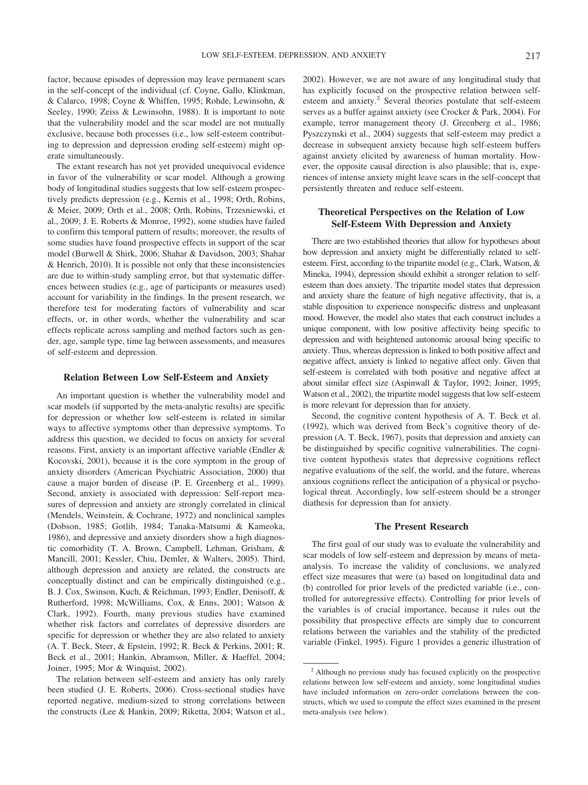factor, because episodes of depression may leave permanent scars in the self-concept of the individual (cf. Coyne, Gallo, Klinkman, & Calarco, 1998; Coyne & Whiffen, 1995; Rohde, Lewinsohn, & Seeley, 1990; Zeiss & Lewinsohn, 1988). It is important to note that the vulnerability model and the scar model are not mutually exclusive, because both processes (i.e., low self-esteem contributing to depression and depression eroding self-esteem) might operate simultaneously.

The extant research has not yet provided unequivocal evidence in favor of the vulnerability or scar model. Although a growing body of longitudinal studies suggests that low self-esteem prospectively predicts depression (e.g., Kernis et al., 1998; Orth, Robins, & Meier, 2009; Orth et al., 2008; Orth, Robins, Trzesniewski, et al., 2009; J. E. Roberts & Monroe, 1992), some studies have failed to confirm this temporal pattern of results; moreover, the results of some studies have found prospective effects in support of the scar model (Burwell & Shirk, 2006; Shahar & Davidson, 2003; Shahar & Henrich, 2010). It is possible not only that these inconsistencies are due to within-study sampling error, but that systematic differences between studies (e.g., age of participants or measures used) account for variability in the findings. In the present research, we therefore test for moderating factors of vulnerability and scar effects, or, in other words, whether the vulnerability and scar effects replicate across sampling and method factors such as gender, age, sample type, time lag between assessments, and measures of self-esteem and depression.

# **Relation Between Low Self-Esteem and Anxiety**

An important question is whether the vulnerability model and scar models (if supported by the meta-analytic results) are specific for depression or whether low self-esteem is related in similar ways to affective symptoms other than depressive symptoms. To address this question, we decided to focus on anxiety for several reasons. First, anxiety is an important affective variable (Endler & Kocovski, 2001), because it is the core symptom in the group of anxiety disorders (American Psychiatric Association, 2000) that cause a major burden of disease (P. E. Greenberg et al., 1999). Second, anxiety is associated with depression: Self-report measures of depression and anxiety are strongly correlated in clinical (Mendels, Weinstein, & Cochrane, 1972) and nonclinical samples (Dobson, 1985; Gotlib, 1984; Tanaka-Matsumi & Kameoka, 1986), and depressive and anxiety disorders show a high diagnostic comorbidity (T. A. Brown, Campbell, Lehman, Grisham, & Mancill, 2001; Kessler, Chiu, Demler, & Walters, 2005). Third, although depression and anxiety are related, the constructs are conceptually distinct and can be empirically distinguished (e.g., B. J. Cox, Swinson, Kuch, & Reichman, 1993; Endler, Denisoff, & Rutherford, 1998; McWilliams, Cox, & Enns, 2001; Watson & Clark, 1992). Fourth, many previous studies have examined whether risk factors and correlates of depressive disorders are specific for depression or whether they are also related to anxiety (A. T. Beck, Steer, & Epstein, 1992; R. Beck & Perkins, 2001; R. Beck et al., 2001; Hankin, Abramson, Miller, & Haeffel, 2004; Joiner, 1995; Mor & Winquist, 2002).

The relation between self-esteem and anxiety has only rarely been studied (J. E. Roberts, 2006). Cross-sectional studies have reported negative, medium-sized to strong correlations between the constructs (Lee & Hankin, 2009; Riketta, 2004; Watson et al.,

2002). However, we are not aware of any longitudinal study that has explicitly focused on the prospective relation between selfesteem and anxiety.<sup>2</sup> Several theories postulate that self-esteem serves as a buffer against anxiety (see Crocker & Park, 2004). For example, terror management theory (J. Greenberg et al., 1986; Pyszczynski et al., 2004) suggests that self-esteem may predict a decrease in subsequent anxiety because high self-esteem buffers against anxiety elicited by awareness of human mortality. However, the opposite causal direction is also plausible; that is, experiences of intense anxiety might leave scars in the self-concept that persistently threaten and reduce self-esteem.

# **Theoretical Perspectives on the Relation of Low Self-Esteem With Depression and Anxiety**

There are two established theories that allow for hypotheses about how depression and anxiety might be differentially related to selfesteem. First, according to the tripartite model (e.g., Clark, Watson, & Mineka, 1994), depression should exhibit a stronger relation to selfesteem than does anxiety. The tripartite model states that depression and anxiety share the feature of high negative affectivity, that is, a stable disposition to experience nonspecific distress and unpleasant mood. However, the model also states that each construct includes a unique component, with low positive affectivity being specific to depression and with heightened autonomic arousal being specific to anxiety. Thus, whereas depression is linked to both positive affect and negative affect, anxiety is linked to negative affect only. Given that self-esteem is correlated with both positive and negative affect at about similar effect size (Aspinwall & Taylor, 1992; Joiner, 1995; Watson et al., 2002), the tripartite model suggests that low self-esteem is more relevant for depression than for anxiety.

Second, the cognitive content hypothesis of A. T. Beck et al. (1992), which was derived from Beck's cognitive theory of depression (A. T. Beck, 1967), posits that depression and anxiety can be distinguished by specific cognitive vulnerabilities. The cognitive content hypothesis states that depressive cognitions reflect negative evaluations of the self, the world, and the future, whereas anxious cognitions reflect the anticipation of a physical or psychological threat. Accordingly, low self-esteem should be a stronger diathesis for depression than for anxiety.

# **The Present Research**

The first goal of our study was to evaluate the vulnerability and scar models of low self-esteem and depression by means of metaanalysis. To increase the validity of conclusions, we analyzed effect size measures that were (a) based on longitudinal data and (b) controlled for prior levels of the predicted variable (i.e., controlled for autoregressive effects). Controlling for prior levels of the variables is of crucial importance, because it rules out the possibility that prospective effects are simply due to concurrent relations between the variables and the stability of the predicted variable (Finkel, 1995). Figure 1 provides a generic illustration of

<sup>&</sup>lt;sup>2</sup> Although no previous study has focused explicitly on the prospective relations between low self-esteem and anxiety, some longitudinal studies have included information on zero-order correlations between the constructs, which we used to compute the effect sizes examined in the present meta-analysis (see below).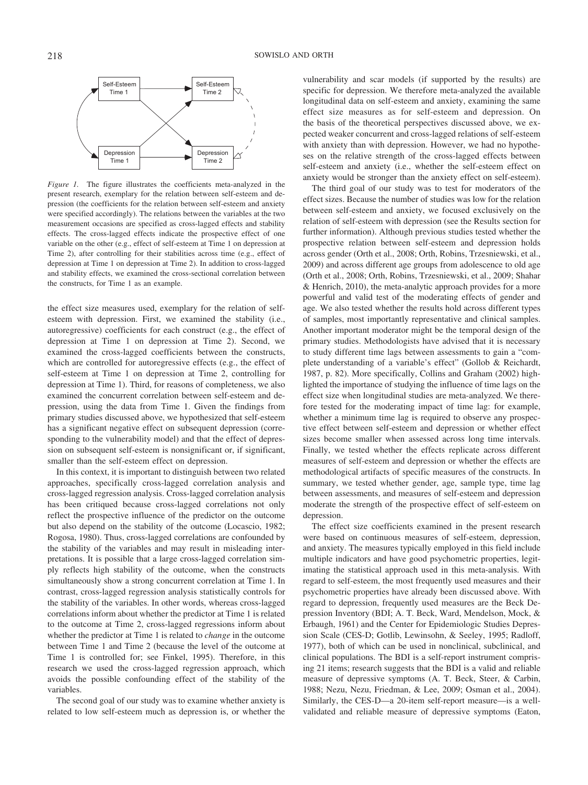

*Figure 1.* The figure illustrates the coefficients meta-analyzed in the present research, exemplary for the relation between self-esteem and depression (the coefficients for the relation between self-esteem and anxiety were specified accordingly). The relations between the variables at the two measurement occasions are specified as cross-lagged effects and stability effects. The cross-lagged effects indicate the prospective effect of one variable on the other (e.g., effect of self-esteem at Time 1 on depression at Time 2), after controlling for their stabilities across time (e.g., effect of depression at Time 1 on depression at Time 2). In addition to cross-lagged and stability effects, we examined the cross-sectional correlation between the constructs, for Time 1 as an example.

the effect size measures used, exemplary for the relation of selfesteem with depression. First, we examined the stability (i.e., autoregressive) coefficients for each construct (e.g., the effect of depression at Time 1 on depression at Time 2). Second, we examined the cross-lagged coefficients between the constructs, which are controlled for autoregressive effects (e.g., the effect of self-esteem at Time 1 on depression at Time 2, controlling for depression at Time 1). Third, for reasons of completeness, we also examined the concurrent correlation between self-esteem and depression, using the data from Time 1. Given the findings from primary studies discussed above, we hypothesized that self-esteem has a significant negative effect on subsequent depression (corresponding to the vulnerability model) and that the effect of depression on subsequent self-esteem is nonsignificant or, if significant, smaller than the self-esteem effect on depression.

In this context, it is important to distinguish between two related approaches, specifically cross-lagged correlation analysis and cross-lagged regression analysis. Cross-lagged correlation analysis has been critiqued because cross-lagged correlations not only reflect the prospective influence of the predictor on the outcome but also depend on the stability of the outcome (Locascio, 1982; Rogosa, 1980). Thus, cross-lagged correlations are confounded by the stability of the variables and may result in misleading interpretations. It is possible that a large cross-lagged correlation simply reflects high stability of the outcome, when the constructs simultaneously show a strong concurrent correlation at Time 1. In contrast, cross-lagged regression analysis statistically controls for the stability of the variables. In other words, whereas cross-lagged correlations inform about whether the predictor at Time 1 is related to the outcome at Time 2, cross-lagged regressions inform about whether the predictor at Time 1 is related to *change* in the outcome between Time 1 and Time 2 (because the level of the outcome at Time 1 is controlled for; see Finkel, 1995). Therefore, in this research we used the cross-lagged regression approach, which avoids the possible confounding effect of the stability of the variables.

The second goal of our study was to examine whether anxiety is related to low self-esteem much as depression is, or whether the

vulnerability and scar models (if supported by the results) are specific for depression. We therefore meta-analyzed the available longitudinal data on self-esteem and anxiety, examining the same effect size measures as for self-esteem and depression. On the basis of the theoretical perspectives discussed above, we expected weaker concurrent and cross-lagged relations of self-esteem with anxiety than with depression. However, we had no hypotheses on the relative strength of the cross-lagged effects between self-esteem and anxiety (i.e., whether the self-esteem effect on anxiety would be stronger than the anxiety effect on self-esteem).

The third goal of our study was to test for moderators of the effect sizes. Because the number of studies was low for the relation between self-esteem and anxiety, we focused exclusively on the relation of self-esteem with depression (see the Results section for further information). Although previous studies tested whether the prospective relation between self-esteem and depression holds across gender (Orth et al., 2008; Orth, Robins, Trzesniewski, et al., 2009) and across different age groups from adolescence to old age (Orth et al., 2008; Orth, Robins, Trzesniewski, et al., 2009; Shahar & Henrich, 2010), the meta-analytic approach provides for a more powerful and valid test of the moderating effects of gender and age. We also tested whether the results hold across different types of samples, most importantly representative and clinical samples. Another important moderator might be the temporal design of the primary studies. Methodologists have advised that it is necessary to study different time lags between assessments to gain a "complete understanding of a variable's effect" (Gollob & Reichardt, 1987, p. 82). More specifically, Collins and Graham (2002) highlighted the importance of studying the influence of time lags on the effect size when longitudinal studies are meta-analyzed. We therefore tested for the moderating impact of time lag: for example, whether a minimum time lag is required to observe any prospective effect between self-esteem and depression or whether effect sizes become smaller when assessed across long time intervals. Finally, we tested whether the effects replicate across different measures of self-esteem and depression or whether the effects are methodological artifacts of specific measures of the constructs. In summary, we tested whether gender, age, sample type, time lag between assessments, and measures of self-esteem and depression moderate the strength of the prospective effect of self-esteem on depression.

The effect size coefficients examined in the present research were based on continuous measures of self-esteem, depression, and anxiety. The measures typically employed in this field include multiple indicators and have good psychometric properties, legitimating the statistical approach used in this meta-analysis. With regard to self-esteem, the most frequently used measures and their psychometric properties have already been discussed above. With regard to depression, frequently used measures are the Beck Depression Inventory (BDI; A. T. Beck, Ward, Mendelson, Mock, & Erbaugh, 1961) and the Center for Epidemiologic Studies Depression Scale (CES-D; Gotlib, Lewinsohn, & Seeley, 1995; Radloff, 1977), both of which can be used in nonclinical, subclinical, and clinical populations. The BDI is a self-report instrument comprising 21 items; research suggests that the BDI is a valid and reliable measure of depressive symptoms (A. T. Beck, Steer, & Carbin, 1988; Nezu, Nezu, Friedman, & Lee, 2009; Osman et al., 2004). Similarly, the CES-D—a 20-item self-report measure—is a wellvalidated and reliable measure of depressive symptoms (Eaton,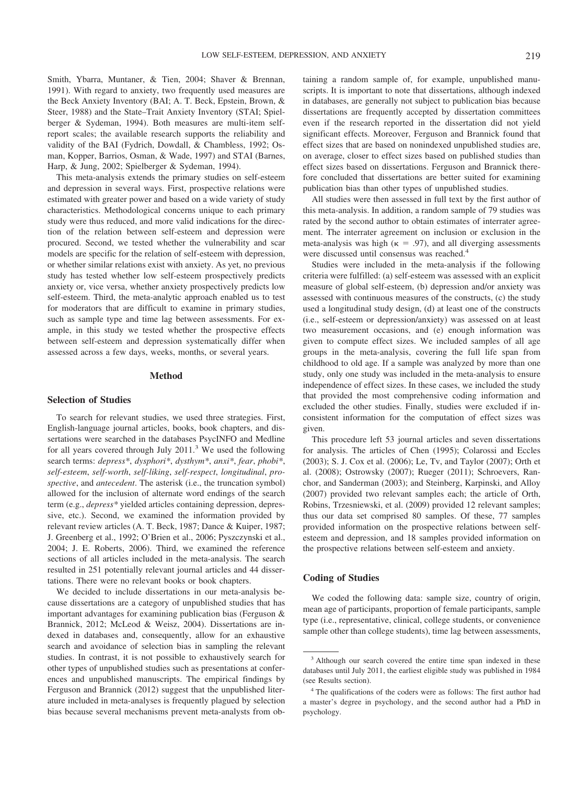Smith, Ybarra, Muntaner, & Tien, 2004; Shaver & Brennan, 1991). With regard to anxiety, two frequently used measures are the Beck Anxiety Inventory (BAI; A. T. Beck, Epstein, Brown, & Steer, 1988) and the State–Trait Anxiety Inventory (STAI; Spielberger & Sydeman, 1994). Both measures are multi-item selfreport scales; the available research supports the reliability and validity of the BAI (Fydrich, Dowdall, & Chambless, 1992; Osman, Kopper, Barrios, Osman, & Wade, 1997) and STAI (Barnes, Harp, & Jung, 2002; Spielberger & Sydeman, 1994).

This meta-analysis extends the primary studies on self-esteem and depression in several ways. First, prospective relations were estimated with greater power and based on a wide variety of study characteristics. Methodological concerns unique to each primary study were thus reduced, and more valid indications for the direction of the relation between self-esteem and depression were procured. Second, we tested whether the vulnerability and scar models are specific for the relation of self-esteem with depression, or whether similar relations exist with anxiety. As yet, no previous study has tested whether low self-esteem prospectively predicts anxiety or, vice versa, whether anxiety prospectively predicts low self-esteem. Third, the meta-analytic approach enabled us to test for moderators that are difficult to examine in primary studies, such as sample type and time lag between assessments. For example, in this study we tested whether the prospective effects between self-esteem and depression systematically differ when assessed across a few days, weeks, months, or several years.

# **Method**

#### **Selection of Studies**

To search for relevant studies, we used three strategies. First, English-language journal articles, books, book chapters, and dissertations were searched in the databases PsycINFO and Medline for all years covered through July 2011.<sup>3</sup> We used the following search terms: *depress\**, *dysphori\**, *dysthym\**, *anxi\**, *fear*, *phobi\**, *self-esteem*, *self-worth*, *self-liking*, *self-respect*, *longitudinal*, *prospective*, and *antecedent*. The asterisk (i.e., the truncation symbol) allowed for the inclusion of alternate word endings of the search term (e.g., *depress\** yielded articles containing depression, depressive, etc.). Second, we examined the information provided by relevant review articles (A. T. Beck, 1987; Dance & Kuiper, 1987; J. Greenberg et al., 1992; O'Brien et al., 2006; Pyszczynski et al., 2004; J. E. Roberts, 2006). Third, we examined the reference sections of all articles included in the meta-analysis. The search resulted in 251 potentially relevant journal articles and 44 dissertations. There were no relevant books or book chapters.

We decided to include dissertations in our meta-analysis because dissertations are a category of unpublished studies that has important advantages for examining publication bias (Ferguson & Brannick, 2012; McLeod & Weisz, 2004). Dissertations are indexed in databases and, consequently, allow for an exhaustive search and avoidance of selection bias in sampling the relevant studies. In contrast, it is not possible to exhaustively search for other types of unpublished studies such as presentations at conferences and unpublished manuscripts. The empirical findings by Ferguson and Brannick (2012) suggest that the unpublished literature included in meta-analyses is frequently plagued by selection bias because several mechanisms prevent meta-analysts from obtaining a random sample of, for example, unpublished manuscripts. It is important to note that dissertations, although indexed in databases, are generally not subject to publication bias because dissertations are frequently accepted by dissertation committees even if the research reported in the dissertation did not yield significant effects. Moreover, Ferguson and Brannick found that effect sizes that are based on nonindexed unpublished studies are, on average, closer to effect sizes based on published studies than effect sizes based on dissertations. Ferguson and Brannick therefore concluded that dissertations are better suited for examining publication bias than other types of unpublished studies.

All studies were then assessed in full text by the first author of this meta-analysis. In addition, a random sample of 79 studies was rated by the second author to obtain estimates of interrater agreement. The interrater agreement on inclusion or exclusion in the meta-analysis was high ( $\kappa = .97$ ), and all diverging assessments were discussed until consensus was reached.<sup>4</sup>

Studies were included in the meta-analysis if the following criteria were fulfilled: (a) self-esteem was assessed with an explicit measure of global self-esteem, (b) depression and/or anxiety was assessed with continuous measures of the constructs, (c) the study used a longitudinal study design, (d) at least one of the constructs (i.e., self-esteem or depression/anxiety) was assessed on at least two measurement occasions, and (e) enough information was given to compute effect sizes. We included samples of all age groups in the meta-analysis, covering the full life span from childhood to old age. If a sample was analyzed by more than one study, only one study was included in the meta-analysis to ensure independence of effect sizes. In these cases, we included the study that provided the most comprehensive coding information and excluded the other studies. Finally, studies were excluded if inconsistent information for the computation of effect sizes was given.

This procedure left 53 journal articles and seven dissertations for analysis. The articles of Chen (1995); Colarossi and Eccles (2003); S. J. Cox et al. (2006); Le, Tv, and Taylor (2007); Orth et al. (2008); Ostrowsky (2007); Rueger (2011); Schroevers, Ranchor, and Sanderman (2003); and Steinberg, Karpinski, and Alloy (2007) provided two relevant samples each; the article of Orth, Robins, Trzesniewski, et al. (2009) provided 12 relevant samples; thus our data set comprised 80 samples. Of these, 77 samples provided information on the prospective relations between selfesteem and depression, and 18 samples provided information on the prospective relations between self-esteem and anxiety.

# **Coding of Studies**

We coded the following data: sample size, country of origin, mean age of participants, proportion of female participants, sample type (i.e., representative, clinical, college students, or convenience sample other than college students), time lag between assessments,

<sup>&</sup>lt;sup>3</sup> Although our search covered the entire time span indexed in these databases until July 2011, the earliest eligible study was published in 1984 (see Results section).

<sup>&</sup>lt;sup>4</sup> The qualifications of the coders were as follows: The first author had a master's degree in psychology, and the second author had a PhD in psychology.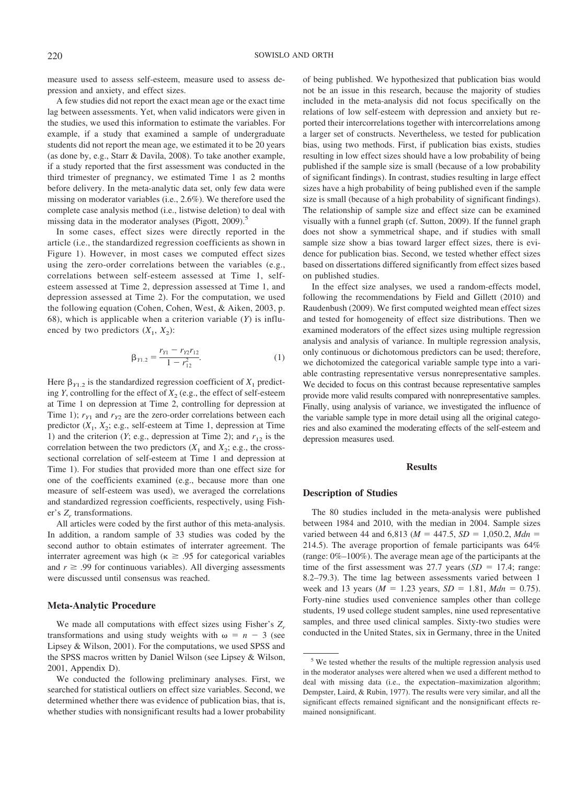measure used to assess self-esteem, measure used to assess depression and anxiety, and effect sizes.

A few studies did not report the exact mean age or the exact time lag between assessments. Yet, when valid indicators were given in the studies, we used this information to estimate the variables. For example, if a study that examined a sample of undergraduate students did not report the mean age, we estimated it to be 20 years (as done by, e.g., Starr & Davila, 2008). To take another example, if a study reported that the first assessment was conducted in the third trimester of pregnancy, we estimated Time 1 as 2 months before delivery. In the meta-analytic data set, only few data were missing on moderator variables (i.e., 2.6%). We therefore used the complete case analysis method (i.e., listwise deletion) to deal with missing data in the moderator analyses (Pigott, 2009).<sup>5</sup>

In some cases, effect sizes were directly reported in the article (i.e., the standardized regression coefficients as shown in Figure 1). However, in most cases we computed effect sizes using the zero-order correlations between the variables (e.g., correlations between self-esteem assessed at Time 1, selfesteem assessed at Time 2, depression assessed at Time 1, and depression assessed at Time 2). For the computation, we used the following equation (Cohen, Cohen, West, & Aiken, 2003, p. 68), which is applicable when a criterion variable (*Y*) is influenced by two predictors  $(X_1, X_2)$ :

$$
\beta_{Y1.2} = \frac{r_{Y1} - r_{Y2}r_{12}}{1 - r_{12}^2}.
$$
 (1)

Here  $\beta_{Y1.2}$  is the standardized regression coefficient of  $X_1$  predicting *Y*, controlling for the effect of  $X_2$  (e.g., the effect of self-esteem at Time 1 on depression at Time 2, controlling for depression at Time 1);  $r_{Y1}$  and  $r_{Y2}$  are the zero-order correlations between each predictor  $(X_1, X_2; e.g., self-esteem at Time 1, depression at Time$ 1) and the criterion (*Y*; e.g., depression at Time 2); and  $r_{12}$  is the correlation between the two predictors  $(X_1 \text{ and } X_2; \text{e.g., the cross-}$ sectional correlation of self-esteem at Time 1 and depression at Time 1). For studies that provided more than one effect size for one of the coefficients examined (e.g., because more than one measure of self-esteem was used), we averaged the correlations and standardized regression coefficients, respectively, using Fisher's  $Z_r$  transformations.

All articles were coded by the first author of this meta-analysis. In addition, a random sample of 33 studies was coded by the second author to obtain estimates of interrater agreement. The interrater agreement was high ( $\kappa \geq .95$  for categorical variables and  $r \geq .99$  for continuous variables). All diverging assessments were discussed until consensus was reached.

#### **Meta-Analytic Procedure**

We made all computations with effect sizes using Fisher's  $Z_r$ transformations and using study weights with  $\omega = n - 3$  (see Lipsey & Wilson, 2001). For the computations, we used SPSS and the SPSS macros written by Daniel Wilson (see Lipsey & Wilson, 2001, Appendix D).

We conducted the following preliminary analyses. First, we searched for statistical outliers on effect size variables. Second, we determined whether there was evidence of publication bias, that is, whether studies with nonsignificant results had a lower probability

of being published. We hypothesized that publication bias would not be an issue in this research, because the majority of studies included in the meta-analysis did not focus specifically on the relations of low self-esteem with depression and anxiety but reported their intercorrelations together with intercorrelations among a larger set of constructs. Nevertheless, we tested for publication bias, using two methods. First, if publication bias exists, studies resulting in low effect sizes should have a low probability of being published if the sample size is small (because of a low probability of significant findings). In contrast, studies resulting in large effect sizes have a high probability of being published even if the sample size is small (because of a high probability of significant findings). The relationship of sample size and effect size can be examined visually with a funnel graph (cf. Sutton, 2009). If the funnel graph does not show a symmetrical shape, and if studies with small sample size show a bias toward larger effect sizes, there is evidence for publication bias. Second, we tested whether effect sizes based on dissertations differed significantly from effect sizes based on published studies.

In the effect size analyses, we used a random-effects model, following the recommendations by Field and Gillett (2010) and Raudenbush (2009). We first computed weighted mean effect sizes and tested for homogeneity of effect size distributions. Then we examined moderators of the effect sizes using multiple regression analysis and analysis of variance. In multiple regression analysis, only continuous or dichotomous predictors can be used; therefore, we dichotomized the categorical variable sample type into a variable contrasting representative versus nonrepresentative samples. We decided to focus on this contrast because representative samples provide more valid results compared with nonrepresentative samples. Finally, using analysis of variance, we investigated the influence of the variable sample type in more detail using all the original categories and also examined the moderating effects of the self-esteem and depression measures used.

# **Results**

#### **Description of Studies**

The 80 studies included in the meta-analysis were published between 1984 and 2010, with the median in 2004. Sample sizes varied between 44 and  $6,813 \ (M = 447.5, SD = 1,050.2, Mdn =$ 214.5). The average proportion of female participants was 64% (range: 0%–100%). The average mean age of the participants at the time of the first assessment was  $27.7$  years  $(SD = 17.4;$  range: 8.2–79.3). The time lag between assessments varied between 1 week and 13 years ( $M = 1.23$  years,  $SD = 1.81$ ,  $Mdn = 0.75$ ). Forty-nine studies used convenience samples other than college students, 19 used college student samples, nine used representative samples, and three used clinical samples. Sixty-two studies were conducted in the United States, six in Germany, three in the United

<sup>5</sup> We tested whether the results of the multiple regression analysis used in the moderator analyses were altered when we used a different method to deal with missing data (i.e., the expectation–maximization algorithm; Dempster, Laird, & Rubin, 1977). The results were very similar, and all the significant effects remained significant and the nonsignificant effects remained nonsignificant.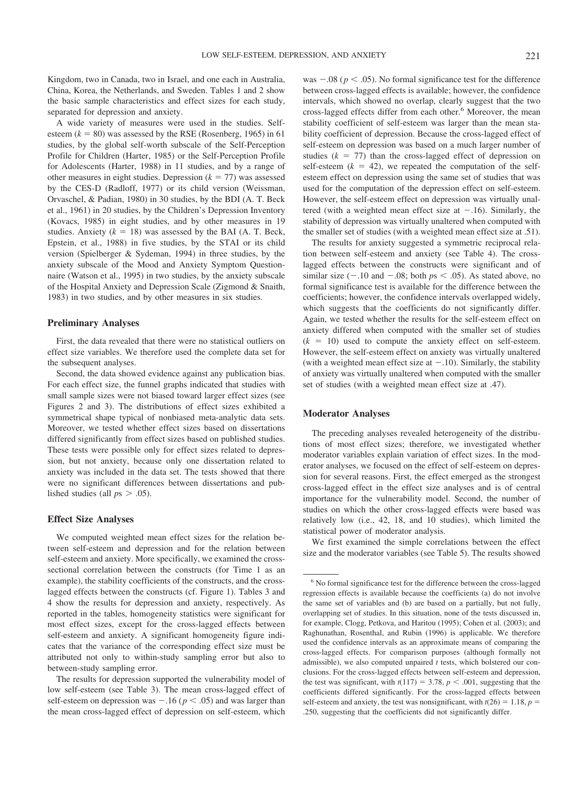Kingdom, two in Canada, two in Israel, and one each in Australia, China, Korea, the Netherlands, and Sweden. Tables 1 and 2 show the basic sample characteristics and effect sizes for each study, separated for depression and anxiety.

A wide variety of measures were used in the studies. Selfesteem  $(k = 80)$  was assessed by the RSE (Rosenberg, 1965) in 61 studies, by the global self-worth subscale of the Self-Perception Profile for Children (Harter, 1985) or the Self-Perception Profile for Adolescents (Harter, 1988) in 11 studies, and by a range of other measures in eight studies. Depression  $(k = 77)$  was assessed by the CES-D (Radloff, 1977) or its child version (Weissman, Orvaschel, & Padian, 1980) in 30 studies, by the BDI (A. T. Beck et al., 1961) in 20 studies, by the Children's Depression Inventory (Kovacs, 1985) in eight studies, and by other measures in 19 studies. Anxiety  $(k = 18)$  was assessed by the BAI (A. T. Beck, Epstein, et al., 1988) in five studies, by the STAI or its child version (Spielberger & Sydeman, 1994) in three studies, by the anxiety subscale of the Mood and Anxiety Symptom Questionnaire (Watson et al., 1995) in two studies, by the anxiety subscale of the Hospital Anxiety and Depression Scale (Zigmond & Snaith, 1983) in two studies, and by other measures in six studies.

# **Preliminary Analyses**

First, the data revealed that there were no statistical outliers on effect size variables. We therefore used the complete data set for the subsequent analyses.

Second, the data showed evidence against any publication bias. For each effect size, the funnel graphs indicated that studies with small sample sizes were not biased toward larger effect sizes (see Figures 2 and 3). The distributions of effect sizes exhibited a symmetrical shape typical of nonbiased meta-analytic data sets. Moreover, we tested whether effect sizes based on dissertations differed significantly from effect sizes based on published studies. These tests were possible only for effect sizes related to depression, but not anxiety, because only one dissertation related to anxiety was included in the data set. The tests showed that there were no significant differences between dissertations and published studies (all  $ps > .05$ ).

# **Effect Size Analyses**

We computed weighted mean effect sizes for the relation between self-esteem and depression and for the relation between self-esteem and anxiety. More specifically, we examined the crosssectional correlation between the constructs (for Time 1 as an example), the stability coefficients of the constructs, and the crosslagged effects between the constructs (cf. Figure 1). Tables 3 and 4 show the results for depression and anxiety, respectively. As reported in the tables, homogeneity statistics were significant for most effect sizes, except for the cross-lagged effects between self-esteem and anxiety. A significant homogeneity figure indicates that the variance of the corresponding effect size must be attributed not only to within-study sampling error but also to between-study sampling error.

The results for depression supported the vulnerability model of low self-esteem (see Table 3). The mean cross-lagged effect of self-esteem on depression was  $-.16$  ( $p < .05$ ) and was larger than the mean cross-lagged effect of depression on self-esteem, which

was  $-.08$  ( $p < .05$ ). No formal significance test for the difference between cross-lagged effects is available; however, the confidence intervals, which showed no overlap, clearly suggest that the two cross-lagged effects differ from each other.<sup>6</sup> Moreover, the mean stability coefficient of self-esteem was larger than the mean stability coefficient of depression. Because the cross-lagged effect of self-esteem on depression was based on a much larger number of studies  $(k = 77)$  than the cross-lagged effect of depression on self-esteem  $(k = 42)$ , we repeated the computation of the selfesteem effect on depression using the same set of studies that was used for the computation of the depression effect on self-esteem. However, the self-esteem effect on depression was virtually unaltered (with a weighted mean effect size at  $-.16$ ). Similarly, the stability of depression was virtually unaltered when computed with the smaller set of studies (with a weighted mean effect size at .51).

The results for anxiety suggested a symmetric reciprocal relation between self-esteem and anxiety (see Table 4). The crosslagged effects between the constructs were significant and of similar size  $(-.10$  and  $-.08$ ; both  $ps < .05$ ). As stated above, no formal significance test is available for the difference between the coefficients; however, the confidence intervals overlapped widely, which suggests that the coefficients do not significantly differ. Again, we tested whether the results for the self-esteem effect on anxiety differed when computed with the smaller set of studies  $(k = 10)$  used to compute the anxiety effect on self-esteem. However, the self-esteem effect on anxiety was virtually unaltered (with a weighted mean effect size at  $-.10$ ). Similarly, the stability of anxiety was virtually unaltered when computed with the smaller set of studies (with a weighted mean effect size at .47).

# **Moderator Analyses**

The preceding analyses revealed heterogeneity of the distributions of most effect sizes; therefore, we investigated whether moderator variables explain variation of effect sizes. In the moderator analyses, we focused on the effect of self-esteem on depression for several reasons. First, the effect emerged as the strongest cross-lagged effect in the effect size analyses and is of central importance for the vulnerability model. Second, the number of studies on which the other cross-lagged effects were based was relatively low (i.e., 42, 18, and 10 studies), which limited the statistical power of moderator analysis.

We first examined the simple correlations between the effect size and the moderator variables (see Table 5). The results showed

<sup>6</sup> No formal significance test for the difference between the cross-lagged regression effects is available because the coefficients (a) do not involve the same set of variables and (b) are based on a partially, but not fully, overlapping set of studies. In this situation, none of the tests discussed in, for example, Clogg, Petkova, and Haritou (1995); Cohen et al. (2003); and Raghunathan, Rosenthal, and Rubin (1996) is applicable. We therefore used the confidence intervals as an approximate means of comparing the cross-lagged effects. For comparison purposes (although formally not admissible), we also computed unpaired *t* tests, which bolstered our conclusions. For the cross-lagged effects between self-esteem and depression, the test was significant, with  $t(117) = 3.78$ ,  $p < .001$ , suggesting that the coefficients differed significantly. For the cross-lagged effects between self-esteem and anxiety, the test was nonsignificant, with  $t(26) = 1.18$ ,  $p =$ .250, suggesting that the coefficients did not significantly differ.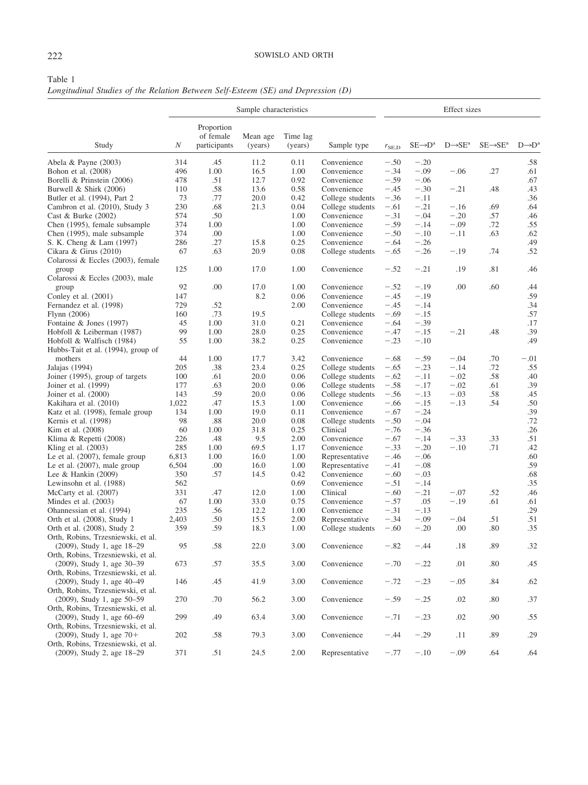| ante |  |
|------|--|
|------|--|

*Longitudinal Studies of the Relation Between Self-Esteem (SE) and Depression (D)*

|                                                                   | Sample characteristics |                                         |                     |                     |                  | Effect sizes   |                      |                      |                       |                    |
|-------------------------------------------------------------------|------------------------|-----------------------------------------|---------------------|---------------------|------------------|----------------|----------------------|----------------------|-----------------------|--------------------|
| Study                                                             | Ν                      | Proportion<br>of female<br>participants | Mean age<br>(years) | Time lag<br>(years) | Sample type      | $r_{\rm SE,D}$ | $SE \rightarrow D^a$ | $D \rightarrow SE^a$ | $SE \rightarrow SE^a$ | $D\rightarrow D^a$ |
| Abela & Payne $(2003)$                                            | 314                    | .45                                     | 11.2                | 0.11                | Convenience      | $-.50$         | $-.20$               |                      |                       | $.58\,$            |
| Bohon et al. (2008)                                               | 496                    | 1.00                                    | 16.5                | 1.00                | Convenience      | $-.34$         | $-.09$               | $-.06$               | .27                   | .61                |
| Borelli & Prinstein (2006)                                        | 478                    | .51                                     | 12.7                | 0.92                | Convenience      | $-.59$         | $-.06$               |                      |                       | .67                |
| Burwell $&$ Shirk (2006)                                          | 110                    | .58                                     | 13.6                | 0.58                | Convenience      | $-.45$         | $-.30$               | $-.21$               | .48                   | .43                |
| Butler et al. (1994), Part 2                                      | 73                     | .77                                     | 20.0                | 0.42                | College students | $-.36$         | $-.11$               |                      |                       | .36                |
| Cambron et al. (2010), Study 3                                    | 230                    | .68                                     | 21.3                | 0.04                | College students | $-.61$         | $-.21$               | $-.16$               | .69                   | .64                |
| Cast & Burke $(2002)$                                             | 574                    | .50                                     |                     | 1.00                | Convenience      | $-.31$         | $-.04$               | $-.20$               | .57                   | .46                |
| Chen (1995), female subsample                                     | 374                    | 1.00                                    |                     | 1.00                | Convenience      | $-.59$         | $-.14$               | $-.09$               | .72                   | .55                |
| Chen (1995), male subsample                                       | 374                    | .00.                                    |                     | 1.00                | Convenience      | $-.50$         | $-.10$               | $-.11$               | .63                   | .62                |
| S. K. Cheng & Lam (1997)                                          | 286                    | .27                                     | 15.8                | 0.25                | Convenience      | $-.64$         | $-.26$               |                      |                       | .49                |
| Cikara & Girus (2010)                                             | 67                     | .63                                     | 20.9                | 0.08                | College students | $-.65$         | $-.26$               | $-.19$               | .74                   | .52                |
| Colarossi & Eccles (2003), female                                 |                        |                                         |                     |                     |                  |                |                      |                      |                       |                    |
| group<br>Colarossi & Eccles (2003), male                          | 125                    | 1.00                                    | 17.0                | 1.00                | Convenience      | $-.52$         | $-.21$               | .19                  | .81                   | .46                |
| group                                                             | 92                     | .00                                     | 17.0                | 1.00                | Convenience      | $-.52$         | $-.19$               | .00                  | .60                   | .44                |
| Conley et al. $(2001)$                                            | 147                    |                                         | 8.2                 | 0.06                | Convenience      | $-.45$         | $-.19$               |                      |                       | .59                |
| Fernandez et al. (1998)                                           | 729                    | .52                                     |                     | 2.00                | Convenience      | $-.45$         | $-.14$               |                      |                       | .34                |
| Flynn (2006)                                                      | 160                    | .73                                     | 19.5                |                     | College students | $-.69$         | $-.15$               |                      |                       | .57                |
| Fontaine & Jones (1997)                                           | 45                     | 1.00                                    | 31.0                | 0.21                | Convenience      | $-.64$         | $-.39$               |                      |                       | .17                |
| Hobfoll & Leiberman (1987)                                        | 99                     | 1.00                                    | 28.0                | 0.25                | Convenience      | $-.47$         | $-.15$               | $-.21$               | .48                   | .39                |
| Hobfoll & Walfisch (1984)<br>Hubbs-Tait et al. (1994), group of   | 55                     | 1.00                                    | 38.2                | 0.25                | Convenience      | $-.23$         | $-.10$               |                      |                       | .49                |
| mothers                                                           | 44                     | 1.00                                    | 17.7                | 3.42                | Convenience      | $-.68$         | $-.59$               | $-.04$               | .70                   | $-.01$             |
| Jalajas (1994)                                                    | 205                    | .38                                     | 23.4                | 0.25                | College students | $-.65$         | $-.23$               | $-.14$               | .72                   | .55                |
| Joiner (1995), group of targets                                   | 100                    | .61                                     | 20.0                | 0.06                | College students | $-.62$         | $-.11$               | $-.02$               | .58                   | .40                |
| Joiner et al. (1999)                                              | 177                    | .63                                     | 20.0                | 0.06                | College students | $-.58$         | $-.17$               | $-.02$               | .61                   | .39                |
| Joiner et al. $(2000)$                                            | 143                    | .59                                     | 20.0                | 0.06                | College students | $-.56$         | $-.13$               | $-.03$               | .58                   | .45                |
| Kakihara et al. (2010)                                            | 1,022                  | .47                                     | 15.3                | 1.00                | Convenience      | $-.66$         | $-.15$               | $-.13$               | .54                   | .50                |
| Katz et al. (1998), female group                                  | 134                    | 1.00                                    | 19.0                | 0.11                | Convenience      | $-.67$         | $-.24$               |                      |                       | .39                |
| Kernis et al. (1998)                                              | 98                     | .88                                     | 20.0                | 0.08                | College students | $-.50$         | $-.04$               |                      |                       | .72                |
| Kim et al. (2008)                                                 | 60                     | 1.00                                    | 31.8                | 0.25                | Clinical         | $-.76$         | $-.36$               |                      |                       | .26                |
| Klima & Repetti (2008)                                            | 226                    | .48                                     | 9.5                 | 2.00                | Convenience      | $-.67$         | $-.14$               | $-.33$               | .33                   | .51                |
| Kling et al. $(2003)$                                             | 285                    | 1.00                                    | 69.5                | 1.17                | Convenience      | $-.33$         | $-.20$               | $-.10$               | .71                   | .42                |
| Le et al. $(2007)$ , female group                                 | 6,813                  | 1.00                                    | 16.0                | 1.00                | Representative   | $-.46$         | $-.06$               |                      |                       | .60                |
| Le et al. (2007), male group                                      | 6,504                  | .00                                     | 16.0                | 1.00                | Representative   | $-.41$         | $-.08$               |                      |                       | .59                |
| Lee & Hankin $(2009)$                                             | 350                    | .57                                     | 14.5                | 0.42                | Convenience      | $-.60$         | $-.03$               |                      |                       | .68                |
| Lewinsohn et al. (1988)                                           | 562                    |                                         |                     | 0.69                | Convenience      | $-.51$         | $-.14$               |                      |                       | .35                |
| McCarty et al. (2007)                                             | 331                    | .47                                     | 12.0                | 1.00                | Clinical         | $-.60$         | $-.21$               | $-.07$               | .52                   | .46                |
| Mindes et al. $(2003)$                                            | 67                     | 1.00                                    | 33.0                | 0.75                | Convenience      | $-.57$         | .05                  | $-.19$               | .61                   | .61                |
| Ohannessian et al. (1994)                                         | 235                    | .56                                     | 12.2                | 1.00                | Convenience      | $-.31$         | $-.13$               |                      |                       | .29                |
| Orth et al. (2008), Study 1                                       | 2,403                  | .50                                     | 15.5                | 2.00                | Representative   | $-.34$         | $-.09$               | $-.04$               | .51                   | .51                |
| Orth et al. (2008), Study 2                                       | 359                    | .59                                     | 18.3                | 1.00                | College students | $-.60$         | $-.20$               | .00                  | .80                   | .35                |
| Orth, Robins, Trzesniewski, et al.<br>(2009), Study 1, age 18-29  | 95                     | $.58\,$                                 | 22.0                | 3.00                | Convenience      | $-.82$         | $-.44$               | .18                  | .89                   | $.32\,$            |
| Orth, Robins, Trzesniewski, et al.<br>(2009), Study 1, age 30-39  | 673                    | .57                                     | 35.5                | 3.00                | Convenience      | $-.70$         | $-.22$               | .01                  | .80                   | .45                |
| Orth, Robins, Trzesniewski, et al.<br>(2009), Study 1, age 40–49  | 146                    | .45                                     | 41.9                | 3.00                | Convenience      | $-.72$         | $-.23$               | $-.05$               | .84                   | .62                |
| Orth, Robins, Trzesniewski, et al.<br>(2009), Study 1, age 50-59  | 270                    | .70                                     | 56.2                | 3.00                | Convenience      | $-.59$         | $-.25$               | .02                  | .80                   | .37                |
| Orth, Robins, Trzesniewski, et al.<br>(2009), Study 1, age 60–69  | 299                    | .49                                     | 63.4                | 3.00                | Convenience      | $-.71$         | $-.23$               | .02                  | .90                   | .55                |
| Orth, Robins, Trzesniewski, et al.<br>$(2009)$ , Study 1, age 70+ | 202                    | .58                                     | 79.3                | 3.00                | Convenience      | $-.44$         | $-.29$               | .11                  | .89                   | .29                |
| Orth, Robins, Trzesniewski, et al.<br>(2009), Study 2, age 18-29  | 371                    | .51                                     | 24.5                | 2.00                | Representative   | $-.77$         | $-.10$               | $-.09$               | .64                   | .64                |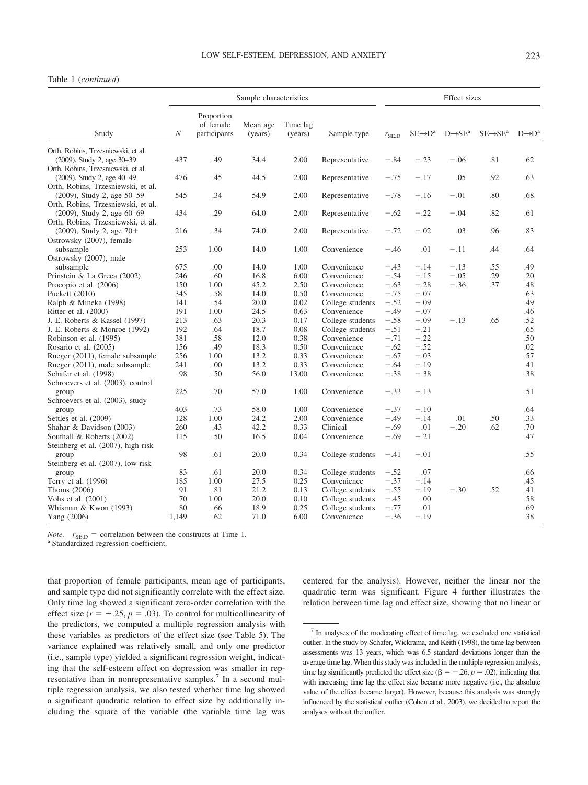## Table 1 (*continued*)

|                                    | Sample characteristics |                                         |                     |                     |                  | Effect sizes     |                      |                      |                       |                    |
|------------------------------------|------------------------|-----------------------------------------|---------------------|---------------------|------------------|------------------|----------------------|----------------------|-----------------------|--------------------|
| Study                              | N                      | Proportion<br>of female<br>participants | Mean age<br>(years) | Time lag<br>(years) | Sample type      | $r_{\rm S E, D}$ | $SE \rightarrow D^a$ | $D \rightarrow SE^a$ | $SE \rightarrow SE^a$ | $D\rightarrow D^a$ |
| Orth, Robins, Trzesniewski, et al. |                        |                                         |                     |                     |                  |                  |                      |                      |                       |                    |
| (2009), Study 2, age 30–39         | 437                    | .49                                     | 34.4                | 2.00                | Representative   | $-.84$           | $-.23$               | $-.06$               | .81                   | .62                |
| Orth, Robins, Trzesniewski, et al. |                        |                                         |                     |                     |                  |                  |                      |                      |                       |                    |
| (2009), Study 2, age 40-49         | 476                    | .45                                     | 44.5                | 2.00                | Representative   | $-.75$           | $-.17$               | .05                  | .92                   | .63                |
| Orth, Robins, Trzesniewski, et al. |                        |                                         |                     |                     |                  |                  |                      |                      |                       |                    |
| (2009), Study 2, age 50–59         | 545                    | .34                                     | 54.9                | 2.00                | Representative   | $-.78$           | $-.16$               | $-.01$               | .80                   | .68                |
| Orth, Robins, Trzesniewski, et al. |                        |                                         |                     |                     |                  |                  |                      |                      |                       |                    |
| $(2009)$ , Study 2, age 60–69      | 434                    | .29                                     | 64.0                | 2.00                | Representative   | $-.62$           | $-.22$               | $-.04$               | .82                   | .61                |
| Orth, Robins, Trzesniewski, et al. |                        |                                         |                     |                     |                  |                  |                      |                      |                       |                    |
| $(2009)$ , Study 2, age 70+        | 216                    | .34                                     | 74.0                | 2.00                | Representative   | $-.72$           | $-.02$               | .03                  | .96                   | .83                |
| Ostrowsky (2007), female           |                        |                                         |                     |                     |                  |                  |                      |                      |                       |                    |
| subsample                          | 253                    | 1.00                                    | 14.0                | 1.00                | Convenience      | $-.46$           | .01                  | $-.11$               | .44                   | .64                |
| Ostrowsky (2007), male             |                        |                                         |                     |                     |                  |                  |                      |                      |                       |                    |
| subsample                          | 675                    | .00                                     | 14.0                | 1.00                | Convenience      | $-.43$           | $-.14$               | $-.13$               | .55                   | .49                |
| Prinstein & La Greca (2002)        | 246                    | .60                                     | 16.8                | 6.00                | Convenience      | $-.54$           | $-.15$               | $-.05$               | .29                   | .20                |
| Procopio et al. (2006)             | 150                    | 1.00                                    | 45.2                | 2.50                | Convenience      | $-.63$           | $-.28$               | $-.36$               | .37                   | .48                |
| Puckett (2010)                     | 345                    | .58                                     | 14.0                | 0.50                | Convenience      | $-.75$           | $-.07$               |                      |                       | .63                |
| Ralph & Mineka (1998)              | 141                    | .54                                     | 20.0                | 0.02                | College students | $-.52$           | $-.09$               |                      |                       | .49                |
| Ritter et al. (2000)               | 191                    | 1.00                                    | 24.5                | 0.63                | Convenience      | $-.49$           | $-.07$               |                      |                       | .46                |
| J. E. Roberts & Kassel (1997)      | 213                    | .63                                     | 20.3                | 0.17                | College students | $-.58$           | $-.09$               | $-.13$               | .65                   | .52                |
| J. E. Roberts & Monroe (1992)      | 192                    | .64                                     | 18.7                | 0.08                | College students | $-.51$           | $-.21$               |                      |                       | .65                |
| Robinson et al. (1995)             | 381                    | .58                                     | 12.0                | 0.38                | Convenience      | $-.71$           | $-.22$               |                      |                       | .50                |
| Rosario et al. (2005)              | 156                    | .49                                     | 18.3                | 0.50                | Convenience      | $-.62$           | $-.52$               |                      |                       | .02                |
| Rueger (2011), female subsample    | 256                    | 1.00                                    | 13.2                | 0.33                | Convenience      | $-.67$           | $-.03$               |                      |                       | .57                |
| Rueger (2011), male subsample      | 241                    | .00                                     | 13.2                | 0.33                | Convenience      | $-.64$           | $-.19$               |                      |                       | .41                |
| Schafer et al. (1998)              | 98                     | .50                                     | 56.0                | 13.00               | Convenience      | $-.38$           | $-.38$               |                      |                       | .38                |
| Schroevers et al. (2003), control  |                        |                                         |                     |                     |                  |                  |                      |                      |                       |                    |
| group                              | 225                    | .70                                     | 57.0                | 1.00                | Convenience      | $-.33$           | $-.13$               |                      |                       | .51                |
| Schroevers et al. (2003), study    |                        |                                         |                     |                     |                  |                  |                      |                      |                       |                    |
| group                              | 403                    | .73                                     | 58.0                | 1.00                | Convenience      | $-.37$           | $-.10$               |                      |                       | .64                |
| Settles et al. (2009)              | 128                    | 1.00                                    | 24.2                | 2.00                | Convenience      | $-.49$           | $-.14$               | .01                  | .50                   | .33                |
| Shahar & Davidson (2003)           | 260                    | .43                                     | 42.2                | 0.33                | Clinical         | $-.69$           | .01                  | $-.20$               | .62                   | .70                |
| Southall & Roberts (2002)          | 115                    | .50                                     | 16.5                | 0.04                | Convenience      | $-.69$           | $-.21$               |                      |                       | .47                |
| Steinberg et al. (2007), high-risk |                        |                                         |                     |                     |                  |                  |                      |                      |                       |                    |
| group                              | 98                     | .61                                     | 20.0                | 0.34                | College students | $-.41$           | $-.01$               |                      |                       | .55                |
| Steinberg et al. (2007), low-risk  |                        |                                         |                     |                     |                  |                  |                      |                      |                       |                    |
| group                              | 83                     | .61                                     | 20.0                | 0.34                | College students | $-.52$           | .07                  |                      |                       | .66                |
| Terry et al. (1996)                | 185                    | 1.00                                    | 27.5                | 0.25                | Convenience      | $-.37$           | $-.14$               |                      |                       | .45                |
| Thoms $(2006)$                     | 91                     | .81                                     | 21.2                | 0.13                | College students | $-.55$           | $-.19$               | $-.30$               | .52                   | .41                |
| Vohs et al. (2001)                 | 70                     | 1.00                                    | 20.0                | 0.10                | College students | $-.45$           | .00                  |                      |                       | .58                |
| Whisman & Kwon (1993)              | 80                     | .66                                     | 18.9                | 0.25                | College students | $-.77$           | .01                  |                      |                       | .69                |
| Yang (2006)                        | 1,149                  | .62                                     | 71.0                | 6.00                | Convenience      | $-.36$           | $-.19$               |                      |                       | .38                |
|                                    |                        |                                         |                     |                     |                  |                  |                      |                      |                       |                    |

*Note.*  $r_{\text{SE,D}} =$  correlation between the constructs at Time 1.<br><sup>a</sup> Standardized regression coefficient.

that proportion of female participants, mean age of participants, and sample type did not significantly correlate with the effect size. Only time lag showed a significant zero-order correlation with the effect size  $(r = -.25, p = .03)$ . To control for multicollinearity of the predictors, we computed a multiple regression analysis with these variables as predictors of the effect size (see Table 5). The variance explained was relatively small, and only one predictor (i.e., sample type) yielded a significant regression weight, indicating that the self-esteem effect on depression was smaller in representative than in nonrepresentative samples.7 In a second multiple regression analysis, we also tested whether time lag showed a significant quadratic relation to effect size by additionally including the square of the variable (the variable time lag was

centered for the analysis). However, neither the linear nor the quadratic term was significant. Figure 4 further illustrates the relation between time lag and effect size, showing that no linear or

<sup>7</sup> In analyses of the moderating effect of time lag, we excluded one statistical outlier. In the study by Schafer, Wickrama, and Keith (1998), the time lag between assessments was 13 years, which was 6.5 standard deviations longer than the average time lag. When this study was included in the multiple regression analysis, time lag significantly predicted the effect size  $(\beta = -.26, p = .02)$ , indicating that with increasing time lag the effect size became more negative (i.e., the absolute value of the effect became larger). However, because this analysis was strongly influenced by the statistical outlier (Cohen et al., 2003), we decided to report the analyses without the outlier.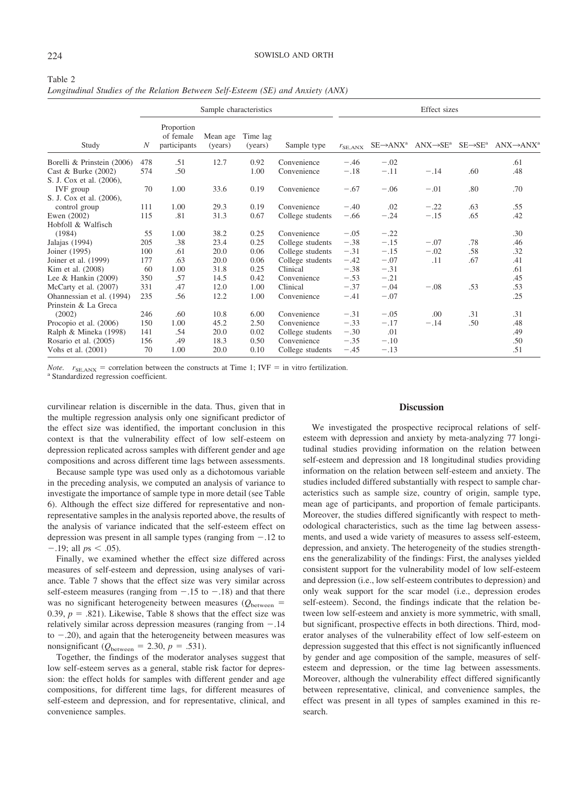| Table 2                                                                         |  |  |
|---------------------------------------------------------------------------------|--|--|
| Longitudinal Studies of the Relation Between Self-Esteem (SE) and Anxiety (ANX) |  |  |

|                            |     |                                         | Sample characteristics |                     |                  | Effect sizes      |        |                                               |                       |                                                |
|----------------------------|-----|-----------------------------------------|------------------------|---------------------|------------------|-------------------|--------|-----------------------------------------------|-----------------------|------------------------------------------------|
| Study                      | N   | Proportion<br>of female<br>participants | Mean age<br>(years)    | Time lag<br>(years) | Sample type      | $r_{\rm SE, ANX}$ |        | $SE \rightarrow ANX^a$ $ANX \rightarrow SE^a$ | $SE \rightarrow SE^a$ | $\text{ANX} \rightarrow \text{ANX}^{\text{a}}$ |
| Borelli & Prinstein (2006) | 478 | .51                                     | 12.7                   | 0.92                | Convenience      | $-.46$            | $-.02$ |                                               |                       | .61                                            |
| Cast & Burke $(2002)$      | 574 | .50                                     |                        | 1.00                | Convenience      | $-.18$            | $-.11$ | $-.14$                                        | .60                   | .48                                            |
| S. J. Cox et al. (2006),   |     |                                         |                        |                     |                  |                   |        |                                               |                       |                                                |
| <b>IVF</b> group           | 70  | 1.00                                    | 33.6                   | 0.19                | Convenience      | $-.67$            | $-.06$ | $-.01$                                        | .80                   | .70                                            |
| S. J. Cox et al. (2006),   |     |                                         |                        |                     |                  |                   |        |                                               |                       |                                                |
| control group              | 111 | 1.00                                    | 29.3                   | 0.19                | Convenience      | $-.40$            | .02    | $-.22$                                        | .63                   | .55                                            |
| Ewen (2002)                | 115 | .81                                     | 31.3                   | 0.67                | College students | $-.66$            | $-.24$ | $-.15$                                        | .65                   | .42                                            |
| Hobfoll & Walfisch         |     |                                         |                        |                     |                  |                   |        |                                               |                       |                                                |
| (1984)                     | 55  | 1.00                                    | 38.2                   | 0.25                | Convenience      | $-.05$            | $-.22$ |                                               |                       | .30                                            |
| Jalajas (1994)             | 205 | .38                                     | 23.4                   | 0.25                | College students | $-.38$            | $-.15$ | $-.07$                                        | .78                   | .46                                            |
| Joiner (1995)              | 100 | .61                                     | 20.0                   | 0.06                | College students | $-.31$            | $-.15$ | $-.02$                                        | .58                   | .32                                            |
| Joiner et al. (1999)       | 177 | .63                                     | 20.0                   | 0.06                | College students | $-.42$            | $-.07$ | .11                                           | .67                   | .41                                            |
| Kim et al. (2008)          | 60  | 1.00                                    | 31.8                   | 0.25                | Clinical         | $-.38$            | $-.31$ |                                               |                       | .61                                            |
| Lee & Hankin $(2009)$      | 350 | .57                                     | 14.5                   | 0.42                | Convenience      | $-.53$            | $-.21$ |                                               |                       | .45                                            |
| McCarty et al. (2007)      | 331 | .47                                     | 12.0                   | 1.00                | Clinical         | $-.37$            | $-.04$ | $-.08$                                        | .53                   | .53                                            |
| Ohannessian et al. (1994)  | 235 | .56                                     | 12.2                   | 1.00                | Convenience      | $-.41$            | $-.07$ |                                               |                       | .25                                            |
| Prinstein & La Greca       |     |                                         |                        |                     |                  |                   |        |                                               |                       |                                                |
| (2002)                     | 246 | .60                                     | 10.8                   | 6.00                | Convenience      | $-.31$            | $-.05$ | .00                                           | .31                   | .31                                            |
| Procopio et al. (2006)     | 150 | 1.00                                    | 45.2                   | 2.50                | Convenience      | $-.33$            | $-.17$ | $-.14$                                        | .50                   | .48                                            |
| Ralph & Mineka (1998)      | 141 | .54                                     | 20.0                   | 0.02                | College students | $-.30$            | .01    |                                               |                       | .49                                            |
| Rosario et al. (2005)      | 156 | .49                                     | 18.3                   | 0.50                | Convenience      | $-.35$            | $-.10$ |                                               |                       | .50                                            |
| Vohs et al. (2001)         | 70  | 1.00                                    | 20.0                   | 0.10                | College students | $-.45$            | $-.13$ |                                               |                       | .51                                            |

*Note.*  $r_{\text{SE,ANX}}$  = correlation between the constructs at Time 1; IVF = in vitro fertilization. <sup>a</sup> Standardized regression coefficient.

curvilinear relation is discernible in the data. Thus, given that in the multiple regression analysis only one significant predictor of the effect size was identified, the important conclusion in this context is that the vulnerability effect of low self-esteem on

compositions and across different time lags between assessments. Because sample type was used only as a dichotomous variable in the preceding analysis, we computed an analysis of variance to investigate the importance of sample type in more detail (see Table 6). Although the effect size differed for representative and nonrepresentative samples in the analysis reported above, the results of the analysis of variance indicated that the self-esteem effect on depression was present in all sample types (ranging from  $-.12$  to  $-.19$ ; all  $ps < .05$ ).

depression replicated across samples with different gender and age

Finally, we examined whether the effect size differed across measures of self-esteem and depression, using analyses of variance. Table 7 shows that the effect size was very similar across self-esteem measures (ranging from  $-.15$  to  $-.18$ ) and that there was no significant heterogeneity between measures ( $Q_{\text{between}}$  = 0.39,  $p = .821$ ). Likewise, Table 8 shows that the effect size was relatively similar across depression measures (ranging from  $-.14$ ) to  $-.20$ , and again that the heterogeneity between measures was nonsignificant ( $Q_{\text{between}} = 2.30, p = .531$ ).

Together, the findings of the moderator analyses suggest that low self-esteem serves as a general, stable risk factor for depression: the effect holds for samples with different gender and age compositions, for different time lags, for different measures of self-esteem and depression, and for representative, clinical, and convenience samples.

## **Discussion**

We investigated the prospective reciprocal relations of selfesteem with depression and anxiety by meta-analyzing 77 longitudinal studies providing information on the relation between self-esteem and depression and 18 longitudinal studies providing information on the relation between self-esteem and anxiety. The studies included differed substantially with respect to sample characteristics such as sample size, country of origin, sample type, mean age of participants, and proportion of female participants. Moreover, the studies differed significantly with respect to methodological characteristics, such as the time lag between assessments, and used a wide variety of measures to assess self-esteem, depression, and anxiety. The heterogeneity of the studies strengthens the generalizability of the findings: First, the analyses yielded consistent support for the vulnerability model of low self-esteem and depression (i.e., low self-esteem contributes to depression) and only weak support for the scar model (i.e., depression erodes self-esteem). Second, the findings indicate that the relation between low self-esteem and anxiety is more symmetric, with small, but significant, prospective effects in both directions. Third, moderator analyses of the vulnerability effect of low self-esteem on depression suggested that this effect is not significantly influenced by gender and age composition of the sample, measures of selfesteem and depression, or the time lag between assessments. Moreover, although the vulnerability effect differed significantly between representative, clinical, and convenience samples, the effect was present in all types of samples examined in this research.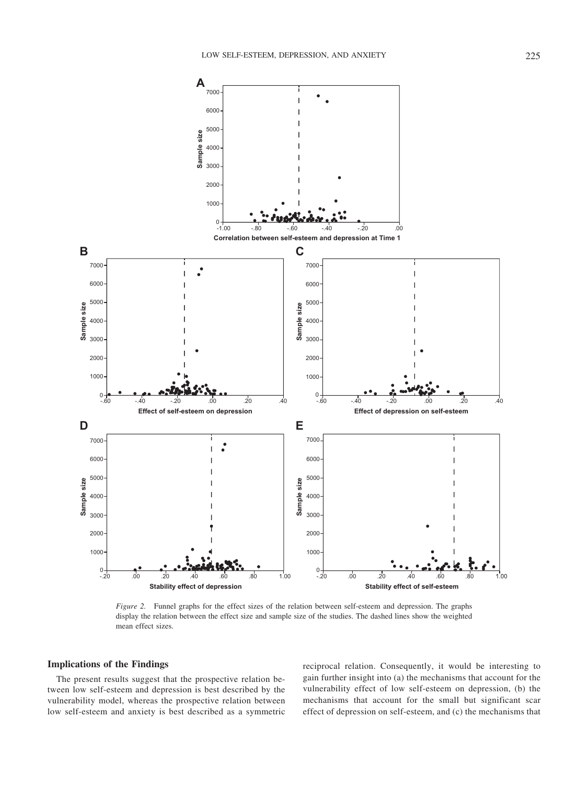

*Figure 2.* Funnel graphs for the effect sizes of the relation between self-esteem and depression. The graphs display the relation between the effect size and sample size of the studies. The dashed lines show the weighted mean effect sizes.

# **Implications of the Findings**

The present results suggest that the prospective relation between low self-esteem and depression is best described by the vulnerability model, whereas the prospective relation between low self-esteem and anxiety is best described as a symmetric reciprocal relation. Consequently, it would be interesting to gain further insight into (a) the mechanisms that account for the vulnerability effect of low self-esteem on depression, (b) the mechanisms that account for the small but significant scar effect of depression on self-esteem, and (c) the mechanisms that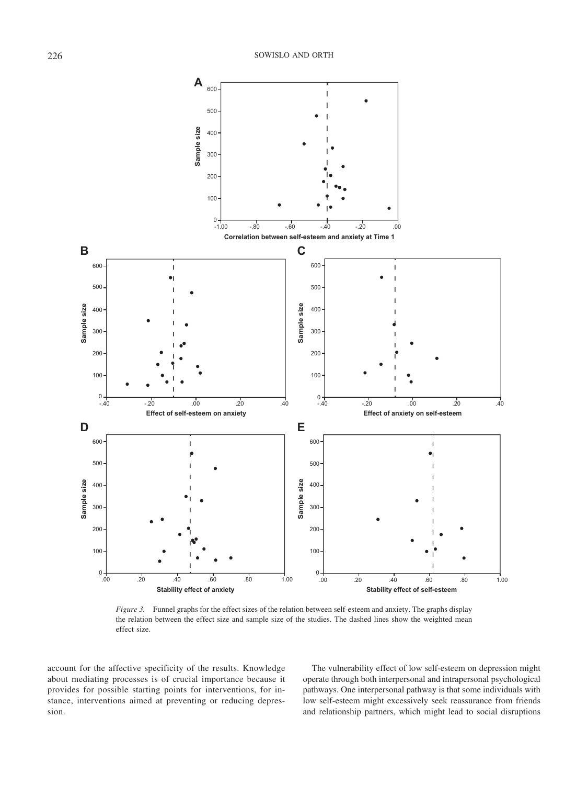

*Figure 3.* Funnel graphs for the effect sizes of the relation between self-esteem and anxiety. The graphs display the relation between the effect size and sample size of the studies. The dashed lines show the weighted mean effect size.

account for the affective specificity of the results. Knowledge about mediating processes is of crucial importance because it provides for possible starting points for interventions, for instance, interventions aimed at preventing or reducing depression.

The vulnerability effect of low self-esteem on depression might operate through both interpersonal and intrapersonal psychological pathways. One interpersonal pathway is that some individuals with low self-esteem might excessively seek reassurance from friends and relationship partners, which might lead to social disruptions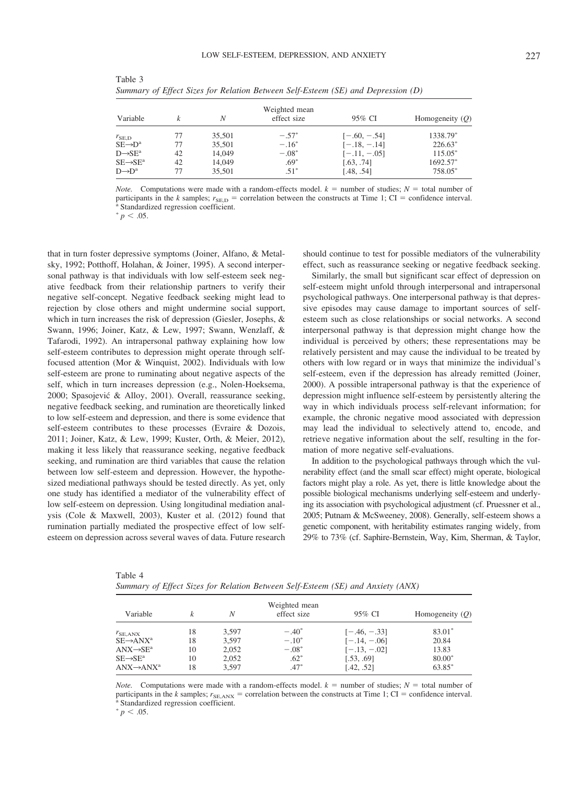| Variable              |    | N      | Weighted mean<br>effect size | 95% CI         | Homogeneity $(Q)$ |
|-----------------------|----|--------|------------------------------|----------------|-------------------|
| $r_{\rm SE,D}$        | 77 | 35,501 | $-.57*$                      | $[-.60, -.54]$ | 1338.79*          |
| $SE \rightarrow D^a$  | 77 | 35,501 | $-.16^*$                     | $[-.18, -.14]$ | $226.63*$         |
| $D \rightarrow SE^a$  | 42 | 14.049 | $-.08*$                      | $[-.11, -.05]$ | $115.05*$         |
| $SE \rightarrow SE^a$ | 42 | 14.049 | $.69*$                       | [.63, .74]     | 1692.57*          |
| $D \rightarrow D^a$   | 77 | 35,501 | $.51*$                       | [.48, .54]     | 758.05*           |

Table 3 *Summary of Effect Sizes for Relation Between Self-Esteem (SE) and Depression (D)*

*Note.* Computations were made with a random-effects model.  $k =$  number of studies;  $N =$  total number of participants in the *k* samples;  $r_{SE,D}$  = correlation between the constructs at Time 1; CI = confidence interval.<br><sup>a</sup> Standardized regression coefficient. <sup>a</sup> Standardized regression coefficient.<br>  $p < .05$ .

that in turn foster depressive symptoms (Joiner, Alfano, & Metalsky, 1992; Potthoff, Holahan, & Joiner, 1995). A second interpersonal pathway is that individuals with low self-esteem seek negative feedback from their relationship partners to verify their negative self-concept. Negative feedback seeking might lead to rejection by close others and might undermine social support, which in turn increases the risk of depression (Giesler, Josephs, & Swann, 1996; Joiner, Katz, & Lew, 1997; Swann, Wenzlaff, & Tafarodi, 1992). An intrapersonal pathway explaining how low self-esteem contributes to depression might operate through selffocused attention (Mor & Winquist, 2002). Individuals with low self-esteem are prone to ruminating about negative aspects of the self, which in turn increases depression (e.g., Nolen-Hoeksema, 2000; Spasojević & Alloy, 2001). Overall, reassurance seeking, negative feedback seeking, and rumination are theoretically linked to low self-esteem and depression, and there is some evidence that self-esteem contributes to these processes (Evraire & Dozois, 2011; Joiner, Katz, & Lew, 1999; Kuster, Orth, & Meier, 2012), making it less likely that reassurance seeking, negative feedback seeking, and rumination are third variables that cause the relation between low self-esteem and depression. However, the hypothesized mediational pathways should be tested directly. As yet, only one study has identified a mediator of the vulnerability effect of low self-esteem on depression. Using longitudinal mediation analysis (Cole & Maxwell, 2003), Kuster et al. (2012) found that rumination partially mediated the prospective effect of low selfesteem on depression across several waves of data. Future research

should continue to test for possible mediators of the vulnerability effect, such as reassurance seeking or negative feedback seeking.

Similarly, the small but significant scar effect of depression on self-esteem might unfold through interpersonal and intrapersonal psychological pathways. One interpersonal pathway is that depressive episodes may cause damage to important sources of selfesteem such as close relationships or social networks. A second interpersonal pathway is that depression might change how the individual is perceived by others; these representations may be relatively persistent and may cause the individual to be treated by others with low regard or in ways that minimize the individual's self-esteem, even if the depression has already remitted (Joiner, 2000). A possible intrapersonal pathway is that the experience of depression might influence self-esteem by persistently altering the way in which individuals process self-relevant information; for example, the chronic negative mood associated with depression may lead the individual to selectively attend to, encode, and retrieve negative information about the self, resulting in the formation of more negative self-evaluations.

In addition to the psychological pathways through which the vulnerability effect (and the small scar effect) might operate, biological factors might play a role. As yet, there is little knowledge about the possible biological mechanisms underlying self-esteem and underlying its association with psychological adjustment (cf. Pruessner et al., 2005; Putnam & McSweeney, 2008). Generally, self-esteem shows a genetic component, with heritability estimates ranging widely, from 29% to 73% (cf. Saphire-Bernstein, Way, Kim, Sherman, & Taylor,

| Variable                                       | k  | N     | Weighted mean<br>effect size | 95% CI         | Homogeneity $(Q)$ |
|------------------------------------------------|----|-------|------------------------------|----------------|-------------------|
| $r_{\rm SE, ANX}$                              | 18 | 3.597 | $-.40^*$                     | $[-.46, -.33]$ | 83.01*            |
| $SE \rightarrow ANX^a$                         | 18 | 3.597 | $-.10^*$                     | $[-.14, -.06]$ | 20.84             |
| $ANX \rightarrow SE^a$                         | 10 | 2.052 | $-.08*$                      | $[-.13, -.02]$ | 13.83             |
| $SE \rightarrow SE^a$                          | 10 | 2.052 | $.62*$                       | [.53, .69]     | $80.00*$          |
| $\text{ANX} \rightarrow \text{ANX}^{\text{a}}$ | 18 | 3.597 | $.47*$                       | [.42, .52]     | 63.85*            |

*Summary of Effect Sizes for Relation Between Self-Esteem (SE) and Anxiety (ANX)*

*Note.* Computations were made with a random-effects model.  $k =$  number of studies;  $N =$  total number of participants in the *k* samples;  $r_{\text{SE,ANX}}$  = correlation between the constructs at Time 1; CI = confidence interval.<br><sup>a</sup> Standardized regression coefficient. <sup>a</sup> Standardized regression coefficient.<br>  $p < .05$ .

Table 4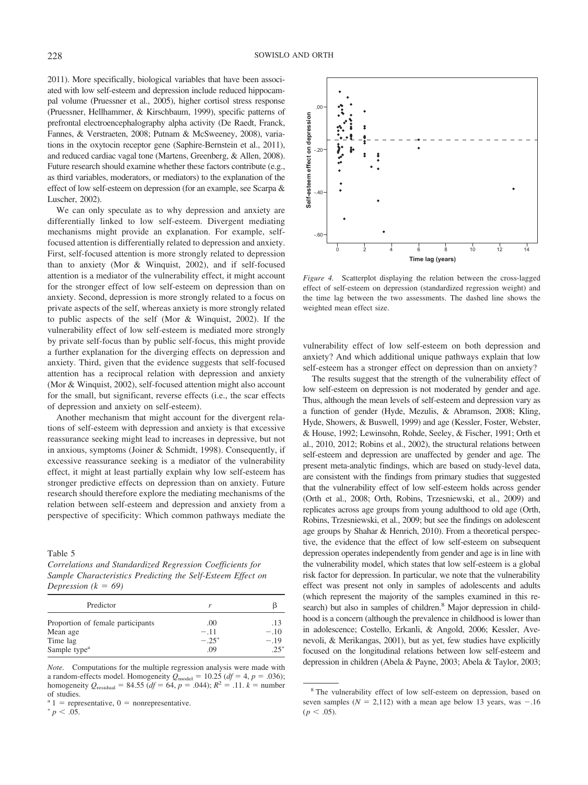2011). More specifically, biological variables that have been associated with low self-esteem and depression include reduced hippocampal volume (Pruessner et al., 2005), higher cortisol stress response (Pruessner, Hellhammer, & Kirschbaum, 1999), specific patterns of prefrontal electroencephalography alpha activity (De Raedt, Franck, Fannes, & Verstraeten, 2008; Putnam & McSweeney, 2008), variations in the oxytocin receptor gene (Saphire-Bernstein et al., 2011), and reduced cardiac vagal tone (Martens, Greenberg, & Allen, 2008). Future research should examine whether these factors contribute (e.g., as third variables, moderators, or mediators) to the explanation of the effect of low self-esteem on depression (for an example, see Scarpa & Luscher, 2002).

We can only speculate as to why depression and anxiety are differentially linked to low self-esteem. Divergent mediating mechanisms might provide an explanation. For example, selffocused attention is differentially related to depression and anxiety. First, self-focused attention is more strongly related to depression than to anxiety (Mor & Winquist, 2002), and if self-focused attention is a mediator of the vulnerability effect, it might account for the stronger effect of low self-esteem on depression than on anxiety. Second, depression is more strongly related to a focus on private aspects of the self, whereas anxiety is more strongly related to public aspects of the self (Mor & Winquist, 2002). If the vulnerability effect of low self-esteem is mediated more strongly by private self-focus than by public self-focus, this might provide a further explanation for the diverging effects on depression and anxiety. Third, given that the evidence suggests that self-focused attention has a reciprocal relation with depression and anxiety (Mor & Winquist, 2002), self-focused attention might also account for the small, but significant, reverse effects (i.e., the scar effects of depression and anxiety on self-esteem).

Another mechanism that might account for the divergent relations of self-esteem with depression and anxiety is that excessive reassurance seeking might lead to increases in depressive, but not in anxious, symptoms (Joiner & Schmidt, 1998). Consequently, if excessive reassurance seeking is a mediator of the vulnerability effect, it might at least partially explain why low self-esteem has stronger predictive effects on depression than on anxiety. Future research should therefore explore the mediating mechanisms of the relation between self-esteem and depression and anxiety from a perspective of specificity: Which common pathways mediate the

#### Table 5

*Correlations and Standardized Regression Coefficients for Sample Characteristics Predicting the Self-Esteem Effect on Depression (k* - *69)*

| Predictor                         |          |        |
|-----------------------------------|----------|--------|
| Proportion of female participants | .00      | .13    |
| Mean age                          | $-.11$   | $-.10$ |
| Time lag                          | $-.25^*$ | $-.19$ |
| Sample type <sup>a</sup>          | .09      | $25*$  |

*Note.* Computations for the multiple regression analysis were made with a random-effects model. Homogeneity  $Q_{\text{model}} = 10.25$  ( $df = 4$ ,  $p = .036$ ); homogeneity  $Q_{\text{residual}} = 84.55$  (*df* = 64, *p* = .044);  $R^2 = .11$ .  $k = \text{number}$ of studies.

<sup>a</sup> 1 = representative, 0 = nonrepresentative.<br>  $p < .05$ .



*Figure 4.* Scatterplot displaying the relation between the cross-lagged effect of self-esteem on depression (standardized regression weight) and the time lag between the two assessments. The dashed line shows the weighted mean effect size.

vulnerability effect of low self-esteem on both depression and anxiety? And which additional unique pathways explain that low self-esteem has a stronger effect on depression than on anxiety?

The results suggest that the strength of the vulnerability effect of low self-esteem on depression is not moderated by gender and age. Thus, although the mean levels of self-esteem and depression vary as a function of gender (Hyde, Mezulis, & Abramson, 2008; Kling, Hyde, Showers, & Buswell, 1999) and age (Kessler, Foster, Webster, & House, 1992; Lewinsohn, Rohde, Seeley, & Fischer, 1991; Orth et al., 2010, 2012; Robins et al., 2002), the structural relations between self-esteem and depression are unaffected by gender and age. The present meta-analytic findings, which are based on study-level data, are consistent with the findings from primary studies that suggested that the vulnerability effect of low self-esteem holds across gender (Orth et al., 2008; Orth, Robins, Trzesniewski, et al., 2009) and replicates across age groups from young adulthood to old age (Orth, Robins, Trzesniewski, et al., 2009; but see the findings on adolescent age groups by Shahar & Henrich, 2010). From a theoretical perspective, the evidence that the effect of low self-esteem on subsequent depression operates independently from gender and age is in line with the vulnerability model, which states that low self-esteem is a global risk factor for depression. In particular, we note that the vulnerability effect was present not only in samples of adolescents and adults (which represent the majority of the samples examined in this research) but also in samples of children.<sup>8</sup> Major depression in childhood is a concern (although the prevalence in childhood is lower than in adolescence; Costello, Erkanli, & Angold, 2006; Kessler, Avenevoli, & Merikangas, 2001), but as yet, few studies have explicitly focused on the longitudinal relations between low self-esteem and depression in children (Abela & Payne, 2003; Abela & Taylor, 2003;

<sup>8</sup> The vulnerability effect of low self-esteem on depression, based on seven samples  $(N = 2,112)$  with a mean age below 13 years, was  $-.16$  $(p < .05)$ .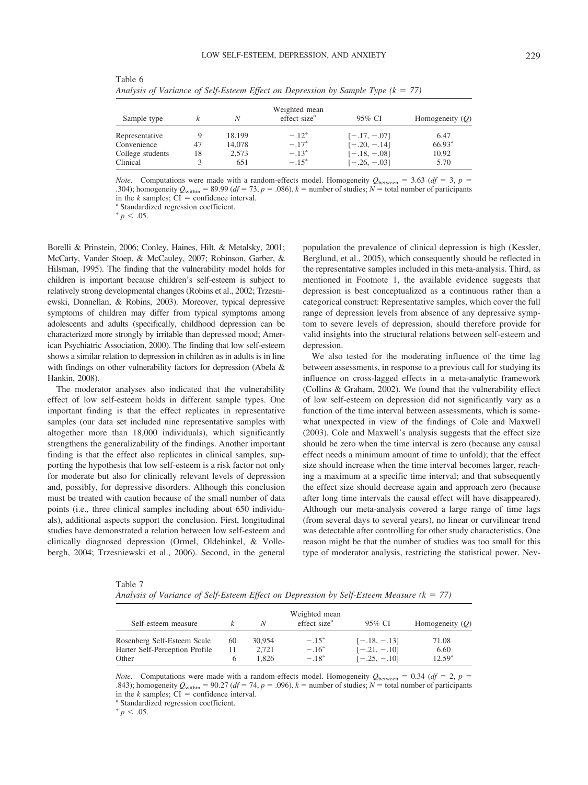| Sample type      |    | Ν      | Weighted mean<br>effect size <sup>a</sup> | 95% CI         | Homogeneity $(Q)$ |
|------------------|----|--------|-------------------------------------------|----------------|-------------------|
| Representative   |    | 18.199 | $-.12^*$                                  | $[-.17, -.07]$ | 6.47              |
| Convenience      | 47 | 14,078 | $-.17*$                                   | $[-.20, -.14]$ | 66.93*            |
| College students | 18 | 2,573  | $-.13*$                                   | $[-.18, -.08]$ | 10.92             |
| Clinical         |    | 651    | $-.15^*$                                  | $[-.26, -.03]$ | 5.70              |

Table 6 Analysis of Variance of Self-Esteem Effect on Depression by Sample Type (k = 77)

*Note.* Computations were made with a random-effects model. Homogeneity  $Q_{\text{between}} = 3.63$  (*df* = 3, *p* = .304); homogeneity  $Q_{\text{within}} = 89.99$  ( $df = 73$ ,  $p = .086$ ).  $k =$  number of studies;  $N =$  total number of participants in the  $k$  samples;  $CI =$  confidence interval.

<sup>a</sup> Standardized regression coefficient.

 $^{*}p < .05$ .

Borelli & Prinstein, 2006; Conley, Haines, Hilt, & Metalsky, 2001; McCarty, Vander Stoep, & McCauley, 2007; Robinson, Garber, & Hilsman, 1995). The finding that the vulnerability model holds for children is important because children's self-esteem is subject to relatively strong developmental changes (Robins et al., 2002; Trzesniewski, Donnellan, & Robins, 2003). Moreover, typical depressive symptoms of children may differ from typical symptoms among adolescents and adults (specifically, childhood depression can be characterized more strongly by irritable than depressed mood; American Psychiatric Association, 2000). The finding that low self-esteem shows a similar relation to depression in children as in adults is in line with findings on other vulnerability factors for depression (Abela & Hankin, 2008).

The moderator analyses also indicated that the vulnerability effect of low self-esteem holds in different sample types. One important finding is that the effect replicates in representative samples (our data set included nine representative samples with altogether more than 18,000 individuals), which significantly strengthens the generalizability of the findings. Another important finding is that the effect also replicates in clinical samples, supporting the hypothesis that low self-esteem is a risk factor not only for moderate but also for clinically relevant levels of depression and, possibly, for depressive disorders. Although this conclusion must be treated with caution because of the small number of data points (i.e., three clinical samples including about 650 individuals), additional aspects support the conclusion. First, longitudinal studies have demonstrated a relation between low self-esteem and clinically diagnosed depression (Ormel, Oldehinkel, & Vollebergh, 2004; Trzesniewski et al., 2006). Second, in the general

population the prevalence of clinical depression is high (Kessler, Berglund, et al., 2005), which consequently should be reflected in the representative samples included in this meta-analysis. Third, as mentioned in Footnote 1, the available evidence suggests that depression is best conceptualized as a continuous rather than a categorical construct: Representative samples, which cover the full range of depression levels from absence of any depressive symptom to severe levels of depression, should therefore provide for valid insights into the structural relations between self-esteem and depression.

We also tested for the moderating influence of the time lag between assessments, in response to a previous call for studying its influence on cross-lagged effects in a meta-analytic framework (Collins & Graham, 2002). We found that the vulnerability effect of low self-esteem on depression did not significantly vary as a function of the time interval between assessments, which is somewhat unexpected in view of the findings of Cole and Maxwell (2003). Cole and Maxwell's analysis suggests that the effect size should be zero when the time interval is zero (because any causal effect needs a minimum amount of time to unfold); that the effect size should increase when the time interval becomes larger, reaching a maximum at a specific time interval; and that subsequently the effect size should decrease again and approach zero (because after long time intervals the causal effect will have disappeared). Although our meta-analysis covered a large range of time lags (from several days to several years), no linear or curvilinear trend was detectable after controlling for other study characteristics. One reason might be that the number of studies was too small for this type of moderator analysis, restricting the statistical power. Nev-

| Table |
|-------|
|-------|

| Self-esteem measure                                                    | k             | N                        | Weighted mean<br>effect size <sup>a</sup> | 95% CI                                             | Homogeneity $(Q)$         |
|------------------------------------------------------------------------|---------------|--------------------------|-------------------------------------------|----------------------------------------------------|---------------------------|
| Rosenberg Self-Esteem Scale<br>Harter Self-Perception Profile<br>Other | 60<br>11<br>h | 30,954<br>2.721<br>1.826 | $-.15^*$<br>$-.16^*$<br>$-.18*$           | $[-.18, -.13]$<br>$[-.21, -.10]$<br>$[-.25, -.10]$ | 71.08<br>6.60<br>$12.59*$ |

*Note.* Computations were made with a random-effects model. Homogeneity  $Q_{between} = 0.34$  ( $df = 2$ ,  $p =$ .843); homogeneity  $Q_{\text{within}} = 90.27$  ( $df = 74$ ,  $p = .096$ ).  $k =$  number of studies;  $N =$  total number of participants

in the  $k$  samples;  $CI =$  confidence interval.<br><sup>a</sup> Standardized regression coefficient. <sup>a</sup> Standardized regression coefficient.<br>  $p < .05$ .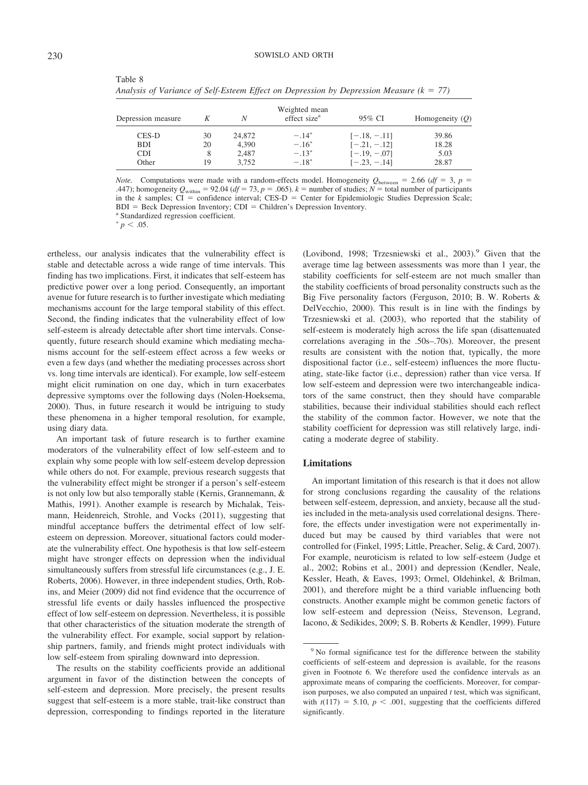| Depression measure |    | Ν      | Weighted mean<br>effect size <sup>a</sup> | 95% CI         | Homogeneity $(Q)$ |
|--------------------|----|--------|-------------------------------------------|----------------|-------------------|
| CES-D              | 30 | 24,872 | $-.14*$                                   | $[-.18, -.11]$ | 39.86             |
| BDI.               | 20 | 4,390  | $-.16*$                                   | $[-.21, -.12]$ | 18.28             |
| <b>CDI</b>         |    | 2.487  | $-.13*$                                   | $[-.19, -.07]$ | 5.03              |
| Other              | 19 | 3,752  | $-.18*$                                   | $[-.23, -.14]$ | 28.87             |

Analysis of Variance of Self-Esteem Effect on Depression by Depression Measure (k = 77)

*Note.* Computations were made with a random-effects model. Homogeneity  $Q_{\text{between}} = 2.66$  (*df* = 3, *p* = .447); homogeneity  $Q_{\text{within}} = 92.04$  (*df* = 73, *p* = .065).  $k$  = number of studies;  $N$  = total number of participants in the  $k$  samples; CI = confidence interval; CES-D = Center for Epidemiologic Studies Depression Scale; BDI = Beck Depression Inventory; CDI = Children's Depression Inventory.<br><sup>a</sup> Standardized regression coefficient.

<sup>a</sup> Standardized regression coefficient.<br>  $p < .05$ .

Table 8

ertheless, our analysis indicates that the vulnerability effect is stable and detectable across a wide range of time intervals. This finding has two implications. First, it indicates that self-esteem has predictive power over a long period. Consequently, an important avenue for future research is to further investigate which mediating mechanisms account for the large temporal stability of this effect. Second, the finding indicates that the vulnerability effect of low self-esteem is already detectable after short time intervals. Consequently, future research should examine which mediating mechanisms account for the self-esteem effect across a few weeks or even a few days (and whether the mediating processes across short vs. long time intervals are identical). For example, low self-esteem might elicit rumination on one day, which in turn exacerbates depressive symptoms over the following days (Nolen-Hoeksema, 2000). Thus, in future research it would be intriguing to study these phenomena in a higher temporal resolution, for example, using diary data.

An important task of future research is to further examine moderators of the vulnerability effect of low self-esteem and to explain why some people with low self-esteem develop depression while others do not. For example, previous research suggests that the vulnerability effect might be stronger if a person's self-esteem is not only low but also temporally stable (Kernis, Grannemann, & Mathis, 1991). Another example is research by Michalak, Teismann, Heidenreich, Strohle, and Vocks (2011), suggesting that mindful acceptance buffers the detrimental effect of low selfesteem on depression. Moreover, situational factors could moderate the vulnerability effect. One hypothesis is that low self-esteem might have stronger effects on depression when the individual simultaneously suffers from stressful life circumstances (e.g., J. E. Roberts, 2006). However, in three independent studies, Orth, Robins, and Meier (2009) did not find evidence that the occurrence of stressful life events or daily hassles influenced the prospective effect of low self-esteem on depression. Nevertheless, it is possible that other characteristics of the situation moderate the strength of the vulnerability effect. For example, social support by relationship partners, family, and friends might protect individuals with low self-esteem from spiraling downward into depression.

The results on the stability coefficients provide an additional argument in favor of the distinction between the concepts of self-esteem and depression. More precisely, the present results suggest that self-esteem is a more stable, trait-like construct than depression, corresponding to findings reported in the literature

(Lovibond, 1998; Trzesniewski et al., 2003).<sup>9</sup> Given that the average time lag between assessments was more than 1 year, the stability coefficients for self-esteem are not much smaller than the stability coefficients of broad personality constructs such as the Big Five personality factors (Ferguson, 2010; B. W. Roberts & DelVecchio, 2000). This result is in line with the findings by Trzesniewski et al. (2003), who reported that the stability of self-esteem is moderately high across the life span (disattenuated correlations averaging in the .50s–.70s). Moreover, the present results are consistent with the notion that, typically, the more dispositional factor (i.e., self-esteem) influences the more fluctuating, state-like factor (i.e., depression) rather than vice versa. If low self-esteem and depression were two interchangeable indicators of the same construct, then they should have comparable stabilities, because their individual stabilities should each reflect the stability of the common factor. However, we note that the stability coefficient for depression was still relatively large, indicating a moderate degree of stability.

# **Limitations**

An important limitation of this research is that it does not allow for strong conclusions regarding the causality of the relations between self-esteem, depression, and anxiety, because all the studies included in the meta-analysis used correlational designs. Therefore, the effects under investigation were not experimentally induced but may be caused by third variables that were not controlled for (Finkel, 1995; Little, Preacher, Selig, & Card, 2007). For example, neuroticism is related to low self-esteem (Judge et al., 2002; Robins et al., 2001) and depression (Kendler, Neale, Kessler, Heath, & Eaves, 1993; Ormel, Oldehinkel, & Brilman, 2001), and therefore might be a third variable influencing both constructs. Another example might be common genetic factors of low self-esteem and depression (Neiss, Stevenson, Legrand, Iacono, & Sedikides, 2009; S. B. Roberts & Kendler, 1999). Future

<sup>&</sup>lt;sup>9</sup> No formal significance test for the difference between the stability coefficients of self-esteem and depression is available, for the reasons given in Footnote 6. We therefore used the confidence intervals as an approximate means of comparing the coefficients. Moreover, for comparison purposes, we also computed an unpaired *t* test, which was significant, with  $t(117) = 5.10$ ,  $p < .001$ , suggesting that the coefficients differed significantly.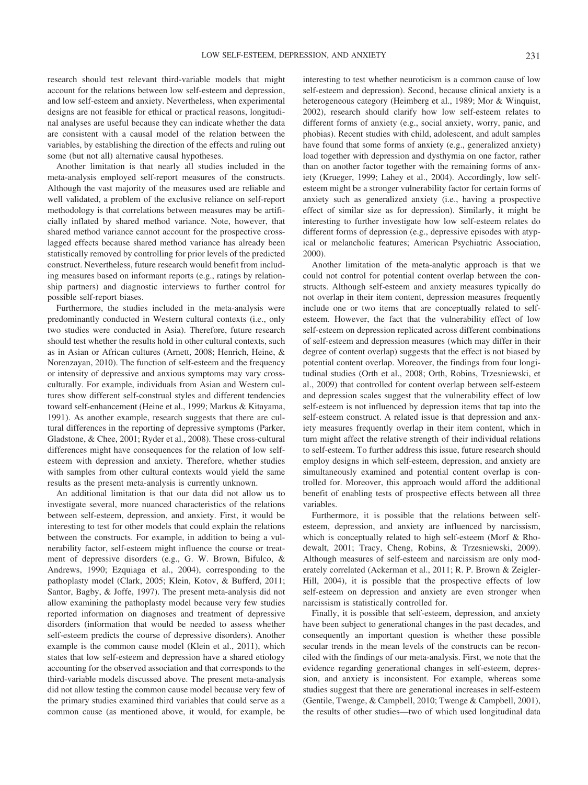research should test relevant third-variable models that might account for the relations between low self-esteem and depression, and low self-esteem and anxiety. Nevertheless, when experimental designs are not feasible for ethical or practical reasons, longitudinal analyses are useful because they can indicate whether the data are consistent with a causal model of the relation between the variables, by establishing the direction of the effects and ruling out some (but not all) alternative causal hypotheses.

Another limitation is that nearly all studies included in the meta-analysis employed self-report measures of the constructs. Although the vast majority of the measures used are reliable and well validated, a problem of the exclusive reliance on self-report methodology is that correlations between measures may be artificially inflated by shared method variance. Note, however, that shared method variance cannot account for the prospective crosslagged effects because shared method variance has already been statistically removed by controlling for prior levels of the predicted construct. Nevertheless, future research would benefit from including measures based on informant reports (e.g., ratings by relationship partners) and diagnostic interviews to further control for possible self-report biases.

Furthermore, the studies included in the meta-analysis were predominantly conducted in Western cultural contexts (i.e., only two studies were conducted in Asia). Therefore, future research should test whether the results hold in other cultural contexts, such as in Asian or African cultures (Arnett, 2008; Henrich, Heine, & Norenzayan, 2010). The function of self-esteem and the frequency or intensity of depressive and anxious symptoms may vary crossculturally. For example, individuals from Asian and Western cultures show different self-construal styles and different tendencies toward self-enhancement (Heine et al., 1999; Markus & Kitayama, 1991). As another example, research suggests that there are cultural differences in the reporting of depressive symptoms (Parker, Gladstone, & Chee, 2001; Ryder et al., 2008). These cross-cultural differences might have consequences for the relation of low selfesteem with depression and anxiety. Therefore, whether studies with samples from other cultural contexts would yield the same results as the present meta-analysis is currently unknown.

An additional limitation is that our data did not allow us to investigate several, more nuanced characteristics of the relations between self-esteem, depression, and anxiety. First, it would be interesting to test for other models that could explain the relations between the constructs. For example, in addition to being a vulnerability factor, self-esteem might influence the course or treatment of depressive disorders (e.g., G. W. Brown, Bifulco, & Andrews, 1990; Ezquiaga et al., 2004), corresponding to the pathoplasty model (Clark, 2005; Klein, Kotov, & Bufferd, 2011; Santor, Bagby, & Joffe, 1997). The present meta-analysis did not allow examining the pathoplasty model because very few studies reported information on diagnoses and treatment of depressive disorders (information that would be needed to assess whether self-esteem predicts the course of depressive disorders). Another example is the common cause model (Klein et al., 2011), which states that low self-esteem and depression have a shared etiology accounting for the observed association and that corresponds to the third-variable models discussed above. The present meta-analysis did not allow testing the common cause model because very few of the primary studies examined third variables that could serve as a common cause (as mentioned above, it would, for example, be interesting to test whether neuroticism is a common cause of low self-esteem and depression). Second, because clinical anxiety is a heterogeneous category (Heimberg et al., 1989; Mor & Winquist, 2002), research should clarify how low self-esteem relates to different forms of anxiety (e.g., social anxiety, worry, panic, and phobias). Recent studies with child, adolescent, and adult samples have found that some forms of anxiety (e.g., generalized anxiety) load together with depression and dysthymia on one factor, rather than on another factor together with the remaining forms of anxiety (Krueger, 1999; Lahey et al., 2004). Accordingly, low selfesteem might be a stronger vulnerability factor for certain forms of anxiety such as generalized anxiety (i.e., having a prospective effect of similar size as for depression). Similarly, it might be interesting to further investigate how low self-esteem relates do different forms of depression (e.g., depressive episodes with atypical or melancholic features; American Psychiatric Association, 2000).

Another limitation of the meta-analytic approach is that we could not control for potential content overlap between the constructs. Although self-esteem and anxiety measures typically do not overlap in their item content, depression measures frequently include one or two items that are conceptually related to selfesteem. However, the fact that the vulnerability effect of low self-esteem on depression replicated across different combinations of self-esteem and depression measures (which may differ in their degree of content overlap) suggests that the effect is not biased by potential content overlap. Moreover, the findings from four longitudinal studies (Orth et al., 2008; Orth, Robins, Trzesniewski, et al., 2009) that controlled for content overlap between self-esteem and depression scales suggest that the vulnerability effect of low self-esteem is not influenced by depression items that tap into the self-esteem construct. A related issue is that depression and anxiety measures frequently overlap in their item content, which in turn might affect the relative strength of their individual relations to self-esteem. To further address this issue, future research should employ designs in which self-esteem, depression, and anxiety are simultaneously examined and potential content overlap is controlled for. Moreover, this approach would afford the additional benefit of enabling tests of prospective effects between all three variables.

Furthermore, it is possible that the relations between selfesteem, depression, and anxiety are influenced by narcissism, which is conceptually related to high self-esteem (Morf & Rhodewalt, 2001; Tracy, Cheng, Robins, & Trzesniewski, 2009). Although measures of self-esteem and narcissism are only moderately correlated (Ackerman et al., 2011; R. P. Brown & Zeigler-Hill, 2004), it is possible that the prospective effects of low self-esteem on depression and anxiety are even stronger when narcissism is statistically controlled for.

Finally, it is possible that self-esteem, depression, and anxiety have been subject to generational changes in the past decades, and consequently an important question is whether these possible secular trends in the mean levels of the constructs can be reconciled with the findings of our meta-analysis. First, we note that the evidence regarding generational changes in self-esteem, depression, and anxiety is inconsistent. For example, whereas some studies suggest that there are generational increases in self-esteem (Gentile, Twenge, & Campbell, 2010; Twenge & Campbell, 2001), the results of other studies—two of which used longitudinal data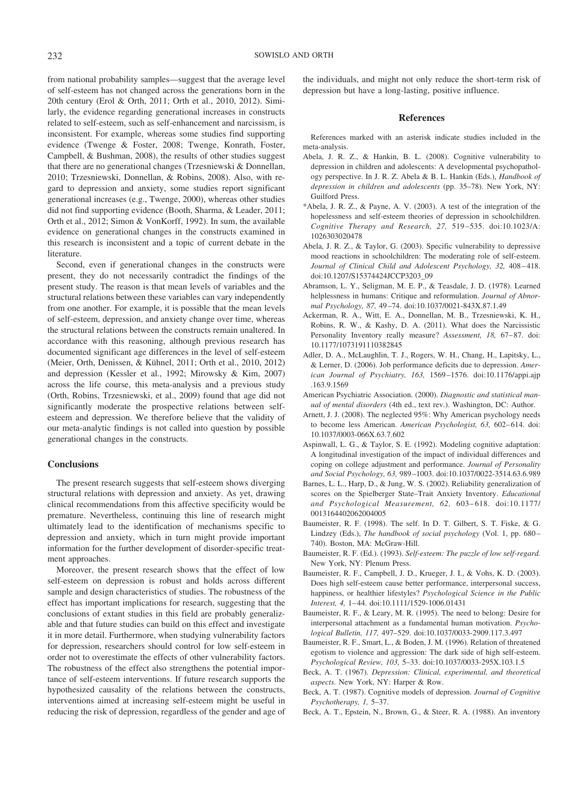from national probability samples—suggest that the average level of self-esteem has not changed across the generations born in the 20th century (Erol & Orth, 2011; Orth et al., 2010, 2012). Similarly, the evidence regarding generational increases in constructs related to self-esteem, such as self-enhancement and narcissism, is inconsistent. For example, whereas some studies find supporting evidence (Twenge & Foster, 2008; Twenge, Konrath, Foster, Campbell, & Bushman, 2008), the results of other studies suggest that there are no generational changes (Trzesniewski & Donnellan, 2010; Trzesniewski, Donnellan, & Robins, 2008). Also, with regard to depression and anxiety, some studies report significant generational increases (e.g., Twenge, 2000), whereas other studies did not find supporting evidence (Booth, Sharma, & Leader, 2011; Orth et al., 2012; Simon & VonKorff, 1992). In sum, the available evidence on generational changes in the constructs examined in this research is inconsistent and a topic of current debate in the literature.

Second, even if generational changes in the constructs were present, they do not necessarily contradict the findings of the present study. The reason is that mean levels of variables and the structural relations between these variables can vary independently from one another. For example, it is possible that the mean levels of self-esteem, depression, and anxiety change over time, whereas the structural relations between the constructs remain unaltered. In accordance with this reasoning, although previous research has documented significant age differences in the level of self-esteem (Meier, Orth, Denissen, & Kühnel, 2011; Orth et al., 2010, 2012) and depression (Kessler et al., 1992; Mirowsky & Kim, 2007) across the life course, this meta-analysis and a previous study (Orth, Robins, Trzesniewski, et al., 2009) found that age did not significantly moderate the prospective relations between selfesteem and depression. We therefore believe that the validity of our meta-analytic findings is not called into question by possible generational changes in the constructs.

# **Conclusions**

The present research suggests that self-esteem shows diverging structural relations with depression and anxiety. As yet, drawing clinical recommendations from this affective specificity would be premature. Nevertheless, continuing this line of research might ultimately lead to the identification of mechanisms specific to depression and anxiety, which in turn might provide important information for the further development of disorder-specific treatment approaches.

Moreover, the present research shows that the effect of low self-esteem on depression is robust and holds across different sample and design characteristics of studies. The robustness of the effect has important implications for research, suggesting that the conclusions of extant studies in this field are probably generalizable and that future studies can build on this effect and investigate it in more detail. Furthermore, when studying vulnerability factors for depression, researchers should control for low self-esteem in order not to overestimate the effects of other vulnerability factors. The robustness of the effect also strengthens the potential importance of self-esteem interventions. If future research supports the hypothesized causality of the relations between the constructs, interventions aimed at increasing self-esteem might be useful in reducing the risk of depression, regardless of the gender and age of the individuals, and might not only reduce the short-term risk of depression but have a long-lasting, positive influence.

## **References**

References marked with an asterisk indicate studies included in the meta-analysis.

- Abela, J. R. Z., & Hankin, B. L. (2008). Cognitive vulnerability to depression in children and adolescents: A developmental psychopathology perspective. In J. R. Z. Abela & B. L. Hankin (Eds.), *Handbook of depression in children and adolescents* (pp. 35–78). New York, NY: Guilford Press.
- \*Abela, J. R. Z., & Payne, A. V. (2003). A test of the integration of the hopelessness and self-esteem theories of depression in schoolchildren. *Cognitive Therapy and Research, 27,* 519–535. [doi:10.1023/A:](http://dx.doi.org/10.1023/A:1026303020478) [1026303020478](http://dx.doi.org/10.1023/A:1026303020478)
- Abela, J. R. Z., & Taylor, G. (2003). Specific vulnerability to depressive mood reactions in schoolchildren: The moderating role of self-esteem. *Journal of Clinical Child and Adolescent Psychology, 32,* 408–418. [doi:10.1207/S15374424JCCP3203\\_09](http://dx.doi.org/10.1207/S15374424JCCP3203_09)
- Abramson, L. Y., Seligman, M. E. P., & Teasdale, J. D. (1978). Learned helplessness in humans: Critique and reformulation. *Journal of Abnormal Psychology, 87,* 49–74. [doi:10.1037/0021-843X.87.1.49](http://dx.doi.org/10.1037/0021-843X.87.1.49)
- Ackerman, R. A., Witt, E. A., Donnellan, M. B., Trzesniewski, K. H., Robins, R. W., & Kashy, D. A. (2011). What does the Narcissistic Personality Inventory really measure? *Assessment, 18,* 67–87. [doi:](http://dx.doi.org/10.1177/1073191110382845) [10.1177/1073191110382845](http://dx.doi.org/10.1177/1073191110382845)
- Adler, D. A., McLaughlin, T. J., Rogers, W. H., Chang, H., Lapitsky, L., & Lerner, D. (2006). Job performance deficits due to depression. *American Journal of Psychiatry, 163,* 1569–1576. [doi:10.1176/appi.ajp](http://dx.doi.org/10.1176/appi.ajp.163.9.1569) [.163.9.1569](http://dx.doi.org/10.1176/appi.ajp.163.9.1569)
- American Psychiatric Association. (2000). *Diagnostic and statistical manual of mental disorders* (4th ed., text rev.). Washington, DC: Author.
- Arnett, J. J. (2008). The neglected 95%: Why American psychology needs to become less American. *American Psychologist, 63,* 602–614. [doi:](http://dx.doi.org/10.1037/0003-066X.63.7.602) [10.1037/0003-066X.63.7.602](http://dx.doi.org/10.1037/0003-066X.63.7.602)
- Aspinwall, L. G., & Taylor, S. E. (1992). Modeling cognitive adaptation: A longitudinal investigation of the impact of individual differences and coping on college adjustment and performance. *Journal of Personality and Social Psychology, 63,* 989–1003. [doi:10.1037/0022-3514.63.6.989](http://dx.doi.org/10.1037/0022-3514.63.6.989)
- Barnes, L. L., Harp, D., & Jung, W. S. (2002). Reliability generalization of scores on the Spielberger State–Trait Anxiety Inventory. *Educational and Psychological Measurement, 62,* 603–618. [doi:10.1177/](http://dx.doi.org/10.1177/0013164402062004005) [0013164402062004005](http://dx.doi.org/10.1177/0013164402062004005)
- Baumeister, R. F. (1998). The self. In D. T. Gilbert, S. T. Fiske, & G. Lindzey (Eds.), *The handbook of social psychology* (Vol. 1, pp. 680– 740). Boston, MA: McGraw-Hill.
- Baumeister, R. F. (Ed.). (1993). *Self-esteem: The puzzle of low self-regard.* New York, NY: Plenum Press.
- Baumeister, R. F., Campbell, J. D., Krueger, J. I., & Vohs, K. D. (2003). Does high self-esteem cause better performance, interpersonal success, happiness, or healthier lifestyles? *Psychological Science in the Public Interest, 4,* 1–44. [doi:10.1111/1529-1006.01431](http://dx.doi.org/10.1111/1529-1006.01431)
- Baumeister, R. F., & Leary, M. R. (1995). The need to belong: Desire for interpersonal attachment as a fundamental human motivation. *Psychological Bulletin, 117,* 497–529. [doi:10.1037/0033-2909.117.3.497](http://dx.doi.org/10.1037/0033-2909.117.3.497)
- Baumeister, R. F., Smart, L., & Boden, J. M. (1996). Relation of threatened egotism to violence and aggression: The dark side of high self-esteem. *Psychological Review, 103,* 5–33. [doi:10.1037/0033-295X.103.1.5](http://dx.doi.org/10.1037/0033-295X.103.1.5)
- Beck, A. T. (1967). *Depression: Clinical, experimental, and theoretical aspects.* New York, NY: Harper & Row.
- Beck, A. T. (1987). Cognitive models of depression. *Journal of Cognitive Psychotherapy, 1,* 5–37.
- Beck, A. T., Epstein, N., Brown, G., & Steer, R. A. (1988). An inventory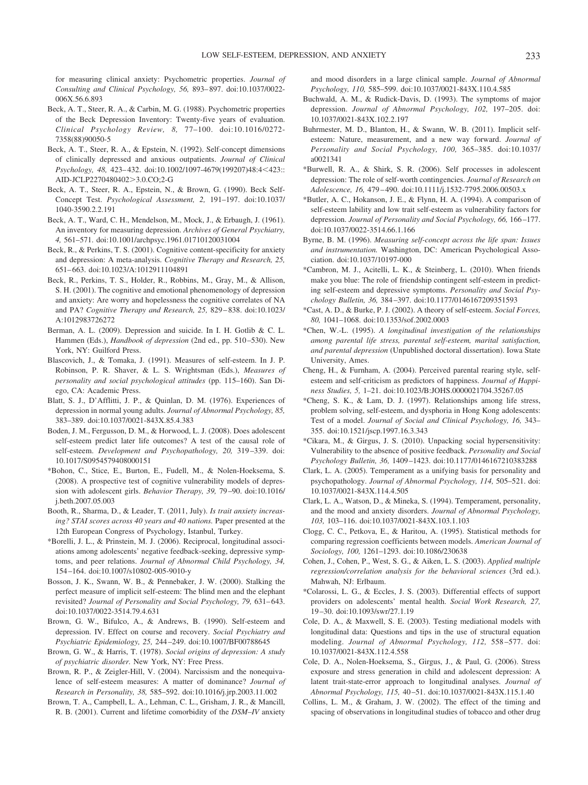for measuring clinical anxiety: Psychometric properties. *Journal of Consulting and Clinical Psychology, 56,* 893–897. [doi:10.1037/0022-](http://dx.doi.org/10.1037/0022-006X.56.6.893) [006X.56.6.893](http://dx.doi.org/10.1037/0022-006X.56.6.893)

- Beck, A. T., Steer, R. A., & Carbin, M. G. (1988). Psychometric properties of the Beck Depression Inventory: Twenty-five years of evaluation. *Clinical Psychology Review, 8,* 77–100. [doi:10.1016/0272-](http://dx.doi.org/10.1016/0272-7358%2888%2990050-5) [7358\(88\)90050-5](http://dx.doi.org/10.1016/0272-7358%2888%2990050-5)
- Beck, A. T., Steer, R. A., & Epstein, N. (1992). Self-concept dimensions of clinically depressed and anxious outpatients. *Journal of Clinical Psychology, 48, 423-432. [doi:10.1002/1097-4679\(199207\)48:4](http://dx.doi.org/10.1002/1097-4679%28199207%2948:4%3C423::AID-JCLP2270480402%3E3.0.CO%3B2-G)<423::* [AID-JCLP2270480402](http://dx.doi.org/10.1002/1097-4679%28199207%2948:4%3C423::AID-JCLP2270480402%3E3.0.CO%3B2-G)>3.0.CO;2-G
- Beck, A. T., Steer, R. A., Epstein, N., & Brown, G. (1990). Beck Self-Concept Test. *Psychological Assessment, 2,* 191–197. [doi:10.1037/](http://dx.doi.org/10.1037/1040-3590.2.2.191) [1040-3590.2.2.191](http://dx.doi.org/10.1037/1040-3590.2.2.191)
- Beck, A. T., Ward, C. H., Mendelson, M., Mock, J., & Erbaugh, J. (1961). An inventory for measuring depression. *Archives of General Psychiatry, 4,* 561–571. [doi:10.1001/archpsyc.1961.01710120031004](http://dx.doi.org/10.1001/archpsyc.1961.01710120031004)
- Beck, R., & Perkins, T. S. (2001). Cognitive content-specificity for anxiety and depression: A meta-analysis. *Cognitive Therapy and Research, 25,* 651–663. [doi:10.1023/A:1012911104891](http://dx.doi.org/10.1023/A:1012911104891)
- Beck, R., Perkins, T. S., Holder, R., Robbins, M., Gray, M., & Allison, S. H. (2001). The cognitive and emotional phenomenology of depression and anxiety: Are worry and hopelessness the cognitive correlates of NA and PA? *Cognitive Therapy and Research, 25,* 829–838. [doi:10.1023/](http://dx.doi.org/10.1023/A:1012983726272) [A:1012983726272](http://dx.doi.org/10.1023/A:1012983726272)
- Berman, A. L. (2009). Depression and suicide. In I. H. Gotlib & C. L. Hammen (Eds.), *Handbook of depression* (2nd ed., pp. 510–530). New York, NY: Guilford Press.
- Blascovich, J., & Tomaka, J. (1991). Measures of self-esteem. In J. P. Robinson, P. R. Shaver, & L. S. Wrightsman (Eds.), *Measures of personality and social psychological attitudes* (pp. 115–160). San Diego, CA: Academic Press.
- Blatt, S. J., D'Afflitti, J. P., & Quinlan, D. M. (1976). Experiences of depression in normal young adults. *Journal of Abnormal Psychology, 85,* 383–389. [doi:10.1037/0021-843X.85.4.383](http://dx.doi.org/10.1037/0021-843X.85.4.383)
- Boden, J. M., Fergusson, D. M., & Horwood, L. J. (2008). Does adolescent self-esteem predict later life outcomes? A test of the causal role of self-esteem. *Development and Psychopathology, 20,* 319–339. [doi:](http://dx.doi.org/10.1017/S0954579408000151) [10.1017/S0954579408000151](http://dx.doi.org/10.1017/S0954579408000151)
- \*Bohon, C., Stice, E., Burton, E., Fudell, M., & Nolen-Hoeksema, S. (2008). A prospective test of cognitive vulnerability models of depression with adolescent girls. *Behavior Therapy, 39,* 79–90. [doi:10.1016/](http://dx.doi.org/10.1016/j.beth.2007.05.003) [j.beth.2007.05.003](http://dx.doi.org/10.1016/j.beth.2007.05.003)
- Booth, R., Sharma, D., & Leader, T. (2011, July). *Is trait anxiety increasing? STAI scores across 40 years and 40 nations.* Paper presented at the 12th European Congress of Psychology, Istanbul, Turkey.
- \*Borelli, J. L., & Prinstein, M. J. (2006). Reciprocal, longitudinal associations among adolescents' negative feedback-seeking, depressive symptoms, and peer relations. *Journal of Abnormal Child Psychology, 34,* 154–164. [doi:10.1007/s10802-005-9010-y](http://dx.doi.org/10.1007/s10802-005-9010-y)
- Bosson, J. K., Swann, W. B., & Pennebaker, J. W. (2000). Stalking the perfect measure of implicit self-esteem: The blind men and the elephant revisited? *Journal of Personality and Social Psychology, 79,* 631–643. [doi:10.1037/0022-3514.79.4.631](http://dx.doi.org/10.1037/0022-3514.79.4.631)
- Brown, G. W., Bifulco, A., & Andrews, B. (1990). Self-esteem and depression. IV. Effect on course and recovery. *Social Psychiatry and Psychiatric Epidemiology, 25,* 244–249. [doi:10.1007/BF00788645](http://dx.doi.org/10.1007/BF00788645)
- Brown, G. W., & Harris, T. (1978). *Social origins of depression: A study of psychiatric disorder.* New York, NY: Free Press.
- Brown, R. P., & Zeigler-Hill, V. (2004). Narcissism and the nonequivalence of self-esteem measures: A matter of dominance? *Journal of Research in Personality, 38,* 585–592. [doi:10.1016/j.jrp.2003.11.002](http://dx.doi.org/10.1016/j.jrp.2003.11.002)
- Brown, T. A., Campbell, L. A., Lehman, C. L., Grisham, J. R., & Mancill, R. B. (2001). Current and lifetime comorbidity of the *DSM–IV* anxiety

and mood disorders in a large clinical sample. *Journal of Abnormal Psychology, 110,* 585–599. [doi:10.1037/0021-843X.110.4.585](http://dx.doi.org/10.1037/0021-843X.110.4.585)

- Buchwald, A. M., & Rudick-Davis, D. (1993). The symptoms of major depression. *Journal of Abnormal Psychology, 102,* 197–205. [doi:](http://dx.doi.org/10.1037/0021-843X.102.2.197) [10.1037/0021-843X.102.2.197](http://dx.doi.org/10.1037/0021-843X.102.2.197)
- Buhrmester, M. D., Blanton, H., & Swann, W. B. (2011). Implicit selfesteem: Nature, measurement, and a new way forward. *Journal of Personality and Social Psychology, 100,* 365–385. [doi:10.1037/](http://dx.doi.org/10.1037/a0021341) [a0021341](http://dx.doi.org/10.1037/a0021341)
- \*Burwell, R. A., & Shirk, S. R. (2006). Self processes in adolescent depression: The role of self-worth contingencies. *Journal of Research on Adolescence, 16,* 479–490. [doi:10.1111/j.1532-7795.2006.00503.x](http://dx.doi.org/10.1111/j.1532-7795.2006.00503.x)
- \*Butler, A. C., Hokanson, J. E., & Flynn, H. A. (1994). A comparison of self-esteem lability and low trait self-esteem as vulnerability factors for depression. *Journal of Personality and Social Psychology, 66,* 166–177. [doi:10.1037/0022-3514.66.1.166](http://dx.doi.org/10.1037/0022-3514.66.1.166)
- Byrne, B. M. (1996). *Measuring self-concept across the life span: Issues and instrumentation.* Washington, DC: American Psychological Association. [doi:10.1037/10197-000](http://dx.doi.org/10.1037/10197-000)
- \*Cambron, M. J., Acitelli, L. K., & Steinberg, L. (2010). When friends make you blue: The role of friendship contingent self-esteem in predicting self-esteem and depressive symptoms. *Personality and Social Psychology Bulletin, 36,* 384–397. [doi:10.1177/0146167209351593](http://dx.doi.org/10.1177/0146167209351593)
- \*Cast, A. D., & Burke, P. J. (2002). A theory of self-esteem. *Social Forces, 80,* 1041–1068. [doi:10.1353/sof.2002.0003](http://dx.doi.org/10.1353/sof.2002.0003)
- \*Chen, W.-L. (1995). *A longitudinal investigation of the relationships among parental life stress, parental self-esteem, marital satisfaction, and parental depression* (Unpublished doctoral dissertation). Iowa State University, Ames.
- Cheng, H., & Furnham, A. (2004). Perceived parental rearing style, selfesteem and self-criticism as predictors of happiness. *Journal of Happiness Studies, 5,* 1–21. [doi:10.1023/B:JOHS.0000021704.35267.05](http://dx.doi.org/10.1023/B:JOHS.0000021704.35267.05)
- \*Cheng, S. K., & Lam, D. J. (1997). Relationships among life stress, problem solving, self-esteem, and dysphoria in Hong Kong adolescents: Test of a model. *Journal of Social and Clinical Psychology, 16,* 343– 355. [doi:10.1521/jscp.1997.16.3.343](http://dx.doi.org/10.1521/jscp.1997.16.3.343)
- \*Cikara, M., & Girgus, J. S. (2010). Unpacking social hypersensitivity: Vulnerability to the absence of positive feedback. *Personality and Social Psychology Bulletin, 36,* 1409–1423. [doi:10.1177/0146167210383288](http://dx.doi.org/10.1177/0146167210383288)
- Clark, L. A. (2005). Temperament as a unifying basis for personality and psychopathology. *Journal of Abnormal Psychology, 114,* 505–521. [doi:](http://dx.doi.org/10.1037/0021-843X.114.4.505) [10.1037/0021-843X.114.4.505](http://dx.doi.org/10.1037/0021-843X.114.4.505)
- Clark, L. A., Watson, D., & Mineka, S. (1994). Temperament, personality, and the mood and anxiety disorders. *Journal of Abnormal Psychology, 103,* 103–116. [doi:10.1037/0021-843X.103.1.103](http://dx.doi.org/10.1037/0021-843X.103.1.103)
- Clogg, C. C., Petkova, E., & Haritou, A. (1995). Statistical methods for comparing regression coefficients between models. *American Journal of Sociology, 100,* 1261–1293. [doi:10.1086/230638](http://dx.doi.org/10.1086/230638)
- Cohen, J., Cohen, P., West, S. G., & Aiken, L. S. (2003). *Applied multiple regression/correlation analysis for the behavioral sciences* (3rd ed.). Mahwah, NJ: Erlbaum.
- \*Colarossi, L. G., & Eccles, J. S. (2003). Differential effects of support providers on adolescents' mental health. *Social Work Research, 27,* 19–30. [doi:10.1093/swr/27.1.19](http://dx.doi.org/10.1093/swr/27.1.19)
- Cole, D. A., & Maxwell, S. E. (2003). Testing mediational models with longitudinal data: Questions and tips in the use of structural equation modeling. *Journal of Abnormal Psychology, 112,* 558–577. [doi:](http://dx.doi.org/10.1037/0021-843X.112.4.558) [10.1037/0021-843X.112.4.558](http://dx.doi.org/10.1037/0021-843X.112.4.558)
- Cole, D. A., Nolen-Hoeksema, S., Girgus, J., & Paul, G. (2006). Stress exposure and stress generation in child and adolescent depression: A latent trait-state-error approach to longitudinal analyses. *Journal of Abnormal Psychology, 115,* 40–51. [doi:10.1037/0021-843X.115.1.40](http://dx.doi.org/10.1037/0021-843X.115.1.40)
- Collins, L. M., & Graham, J. W. (2002). The effect of the timing and spacing of observations in longitudinal studies of tobacco and other drug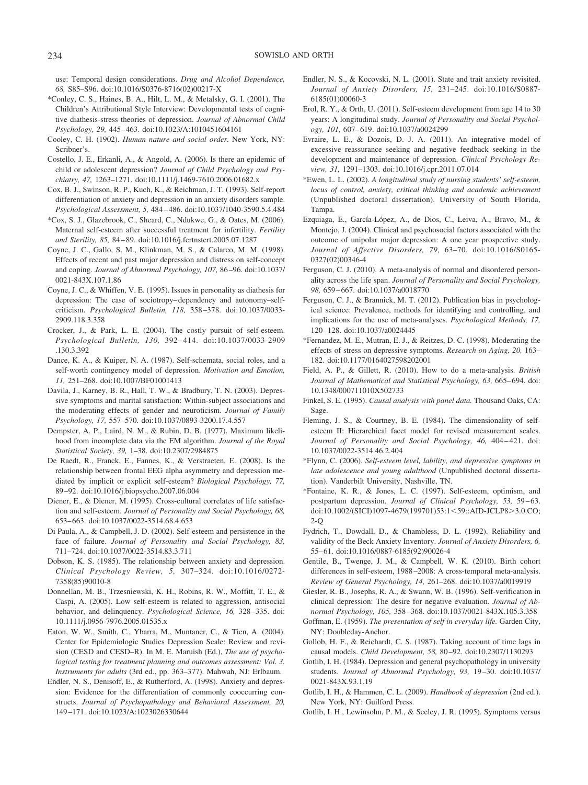use: Temporal design considerations. *Drug and Alcohol Dependence, 68,* S85–S96. [doi:10.1016/S0376-8716\(02\)00217-X](http://dx.doi.org/10.1016/S0376-8716%2802%2900217-X)

- \*Conley, C. S., Haines, B. A., Hilt, L. M., & Metalsky, G. I. (2001). The Children's Attributional Style Interview: Developmental tests of cognitive diathesis-stress theories of depression. *Journal of Abnormal Child Psychology, 29,* 445–463. [doi:10.1023/A:1010451604161](http://dx.doi.org/10.1023/A:1010451604161)
- Cooley, C. H. (1902). *Human nature and social order.* New York, NY: Scribner's.
- Costello, J. E., Erkanli, A., & Angold, A. (2006). Is there an epidemic of child or adolescent depression? *Journal of Child Psychology and Psychiatry, 47,* 1263–1271. [doi:10.1111/j.1469-7610.2006.01682.x](http://dx.doi.org/10.1111/j.1469-7610.2006.01682.x)
- Cox, B. J., Swinson, R. P., Kuch, K., & Reichman, J. T. (1993). Self-report differentiation of anxiety and depression in an anxiety disorders sample. *Psychological Assessment, 5,* 484–486. [doi:10.1037/1040-3590.5.4.484](http://dx.doi.org/10.1037/1040-3590.5.4.484)
- \*Cox, S. J., Glazebrook, C., Sheard, C., Ndukwe, G., & Oates, M. (2006). Maternal self-esteem after successful treatment for infertility. *Fertility and Sterility, 85,* 84–89. [doi:10.1016/j.fertnstert.2005.07.1287](http://dx.doi.org/10.1016/j.fertnstert.2005.07.1287)
- Coyne, J. C., Gallo, S. M., Klinkman, M. S., & Calarco, M. M. (1998). Effects of recent and past major depression and distress on self-concept and coping. *Journal of Abnormal Psychology, 107,* 86–96. [doi:10.1037/](http://dx.doi.org/10.1037/0021-843X.107.1.86) [0021-843X.107.1.86](http://dx.doi.org/10.1037/0021-843X.107.1.86)
- Coyne, J. C., & Whiffen, V. E. (1995). Issues in personality as diathesis for depression: The case of sociotropy–dependency and autonomy–selfcriticism. *Psychological Bulletin, 118,* 358–378. [doi:10.1037/0033-](http://dx.doi.org/10.1037/0033-2909.118.3.358) [2909.118.3.358](http://dx.doi.org/10.1037/0033-2909.118.3.358)
- Crocker, J., & Park, L. E. (2004). The costly pursuit of self-esteem. *Psychological Bulletin, 130,* 392–414. [doi:10.1037/0033-2909](http://dx.doi.org/10.1037/0033-2909.130.3.392) [.130.3.392](http://dx.doi.org/10.1037/0033-2909.130.3.392)
- Dance, K. A., & Kuiper, N. A. (1987). Self-schemata, social roles, and a self-worth contingency model of depression. *Motivation and Emotion, 11,* 251–268. [doi:10.1007/BF01001413](http://dx.doi.org/10.1007/BF01001413)
- Davila, J., Karney, B. R., Hall, T. W., & Bradbury, T. N. (2003). Depressive symptoms and marital satisfaction: Within-subject associations and the moderating effects of gender and neuroticism. *Journal of Family Psychology, 17,* 557–570. [doi:10.1037/0893-3200.17.4.557](http://dx.doi.org/10.1037/0893-3200.17.4.557)
- Dempster, A. P., Laird, N. M., & Rubin, D. B. (1977). Maximum likelihood from incomplete data via the EM algorithm. *Journal of the Royal Statistical Society, 39,* 1–38. [doi:10.2307/2984875](http://dx.doi.org/10.2307/2984875)
- De Raedt, R., Franck, E., Fannes, K., & Verstraeten, E. (2008). Is the relationship between frontal EEG alpha asymmetry and depression mediated by implicit or explicit self-esteem? *Biological Psychology, 77,* 89–92. [doi:10.1016/j.biopsycho.2007.06.004](http://dx.doi.org/10.1016/j.biopsycho.2007.06.004)
- Diener, E., & Diener, M. (1995). Cross-cultural correlates of life satisfaction and self-esteem. *Journal of Personality and Social Psychology, 68,* 653–663. [doi:10.1037/0022-3514.68.4.653](http://dx.doi.org/10.1037/0022-3514.68.4.653)
- Di Paula, A., & Campbell, J. D. (2002). Self-esteem and persistence in the face of failure. *Journal of Personality and Social Psychology, 83,* 711–724. [doi:10.1037/0022-3514.83.3.711](http://dx.doi.org/10.1037/0022-3514.83.3.711)
- Dobson, K. S. (1985). The relationship between anxiety and depression. *Clinical Psychology Review, 5,* 307–324. [doi:10.1016/0272-](http://dx.doi.org/10.1016/0272-7358%2885%2990010-8) [7358\(85\)90010-8](http://dx.doi.org/10.1016/0272-7358%2885%2990010-8)
- Donnellan, M. B., Trzesniewski, K. H., Robins, R. W., Moffitt, T. E., & Caspi, A. (2005). Low self-esteem is related to aggression, antisocial behavior, and delinquency. *Psychological Science, 16,* 328–335. [doi:](http://dx.doi.org/10.1111/j.0956-7976.2005.01535.x) [10.1111/j.0956-7976.2005.01535.x](http://dx.doi.org/10.1111/j.0956-7976.2005.01535.x)
- Eaton, W. W., Smith, C., Ybarra, M., Muntaner, C., & Tien, A. (2004). Center for Epidemiologic Studies Depression Scale: Review and revision (CESD and CESD–R). In M. E. Maruish (Ed.), *The use of psychological testing for treatment planning and outcomes assessment: Vol. 3. Instruments for adults* (3rd ed., pp. 363–377). Mahwah, NJ: Erlbaum.
- Endler, N. S., Denisoff, E., & Rutherford, A. (1998). Anxiety and depression: Evidence for the differentiation of commonly cooccurring constructs. *Journal of Psychopathology and Behavioral Assessment, 20,* 149–171. [doi:10.1023/A:1023026330644](http://dx.doi.org/10.1023/A:1023026330644)
- Endler, N. S., & Kocovski, N. L. (2001). State and trait anxiety revisited. *Journal of Anxiety Disorders, 15,* 231–245. [doi:10.1016/S0887-](http://dx.doi.org/10.1016/S0887-6185%2801%2900060-3) [6185\(01\)00060-3](http://dx.doi.org/10.1016/S0887-6185%2801%2900060-3)
- Erol, R. Y., & Orth, U. (2011). Self-esteem development from age 14 to 30 years: A longitudinal study. *Journal of Personality and Social Psychology, 101,* 607–619. [doi:10.1037/a0024299](http://dx.doi.org/10.1037/a0024299)
- Evraire, L. E., & Dozois, D. J. A. (2011). An integrative model of excessive reassurance seeking and negative feedback seeking in the development and maintenance of depression. *Clinical Psychology Review, 31,* 1291–1303. [doi:10.1016/j.cpr.2011.07.014](http://dx.doi.org/10.1016/j.cpr.2011.07.014)
- \*Ewen, L. L. (2002). *A longitudinal study of nursing students' self-esteem, locus of control, anxiety, critical thinking and academic achievement* (Unpublished doctoral dissertation). University of South Florida, Tampa.
- Ezquiaga, E., García-López, A., de Dios, C., Leiva, A., Bravo, M., & Montejo, J. (2004). Clinical and psychosocial factors associated with the outcome of unipolar major depression: A one year prospective study. *Journal of Affective Disorders, 79,* 63–70. [doi:10.1016/S0165-](http://dx.doi.org/10.1016/S0165-0327%2802%2900346-4) [0327\(02\)00346-4](http://dx.doi.org/10.1016/S0165-0327%2802%2900346-4)
- Ferguson, C. J. (2010). A meta-analysis of normal and disordered personality across the life span. *Journal of Personality and Social Psychology, 98,* 659–667. [doi:10.1037/a0018770](http://dx.doi.org/10.1037/a0018770)
- Ferguson, C. J., & Brannick, M. T. (2012). Publication bias in psychological science: Prevalence, methods for identifying and controlling, and implications for the use of meta-analyses. *Psychological Methods, 17,* 120–128. [doi:10.1037/a0024445](http://dx.doi.org/10.1037/a0024445)
- \*Fernandez, M. E., Mutran, E. J., & Reitzes, D. C. (1998). Moderating the effects of stress on depressive symptoms. *Research on Aging, 20,* 163– 182. [doi:10.1177/0164027598202001](http://dx.doi.org/10.1177/0164027598202001)
- Field, A. P., & Gillett, R. (2010). How to do a meta-analysis. *British Journal of Mathematical and Statistical Psychology, 63,* 665–694. [doi:](http://dx.doi.org/10.1348/000711010X502733) [10.1348/000711010X502733](http://dx.doi.org/10.1348/000711010X502733)
- Finkel, S. E. (1995). *Causal analysis with panel data.* Thousand Oaks, CA: Sage.
- Fleming, J. S., & Courtney, B. E. (1984). The dimensionality of selfesteem II: Hierarchical facet model for revised measurement scales. *Journal of Personality and Social Psychology, 46,* 404–421. [doi:](http://dx.doi.org/10.1037/0022-3514.46.2.404) [10.1037/0022-3514.46.2.404](http://dx.doi.org/10.1037/0022-3514.46.2.404)
- \*Flynn, C. (2006). *Self-esteem level, lability, and depressive symptoms in late adolescence and young adulthood* (Unpublished doctoral dissertation). Vanderbilt University, Nashville, TN.
- \*Fontaine, K. R., & Jones, L. C. (1997). Self-esteem, optimism, and postpartum depression. *Journal of Clinical Psychology, 53,* 59–63. [doi:10.1002/\(SICI\)1097-4679\(199701\)53:1](http://dx.doi.org/10.1002/%28SICI%291097-4679%28199701%2953:1%3C59::AID-JCLP8%3E3.0.CO%3B2-Q)<59::AID-JCLP8>3.0.CO;  $2-<sub>O</sub>$
- Fydrich, T., Dowdall, D., & Chambless, D. L. (1992). Reliability and validity of the Beck Anxiety Inventory. *Journal of Anxiety Disorders, 6,* 55–61. [doi:10.1016/0887-6185\(92\)90026-4](http://dx.doi.org/10.1016/0887-6185%2892%2990026-4)
- Gentile, B., Twenge, J. M., & Campbell, W. K. (2010). Birth cohort differences in self-esteem, 1988–2008: A cross-temporal meta-analysis. *Review of General Psychology, 14,* 261–268. [doi:10.1037/a0019919](http://dx.doi.org/10.1037/a0019919)
- Giesler, R. B., Josephs, R. A., & Swann, W. B. (1996). Self-verification in clinical depression: The desire for negative evaluation. *Journal of Abnormal Psychology, 105,* 358–368. [doi:10.1037/0021-843X.105.3.358](http://dx.doi.org/10.1037/0021-843X.105.3.358)
- Goffman, E. (1959). *The presentation of self in everyday life.* Garden City, NY: Doubleday-Anchor.
- Gollob, H. F., & Reichardt, C. S. (1987). Taking account of time lags in causal models. *Child Development, 58,* 80–92. [doi:10.2307/1130293](http://dx.doi.org/10.2307/1130293)
- Gotlib, I. H. (1984). Depression and general psychopathology in university students. *Journal of Abnormal Psychology, 93,* 19–30. [doi:10.1037/](http://dx.doi.org/10.1037/0021-843X.93.1.19) [0021-843X.93.1.19](http://dx.doi.org/10.1037/0021-843X.93.1.19)
- Gotlib, I. H., & Hammen, C. L. (2009). *Handbook of depression* (2nd ed.). New York, NY: Guilford Press.
- Gotlib, I. H., Lewinsohn, P. M., & Seeley, J. R. (1995). Symptoms versus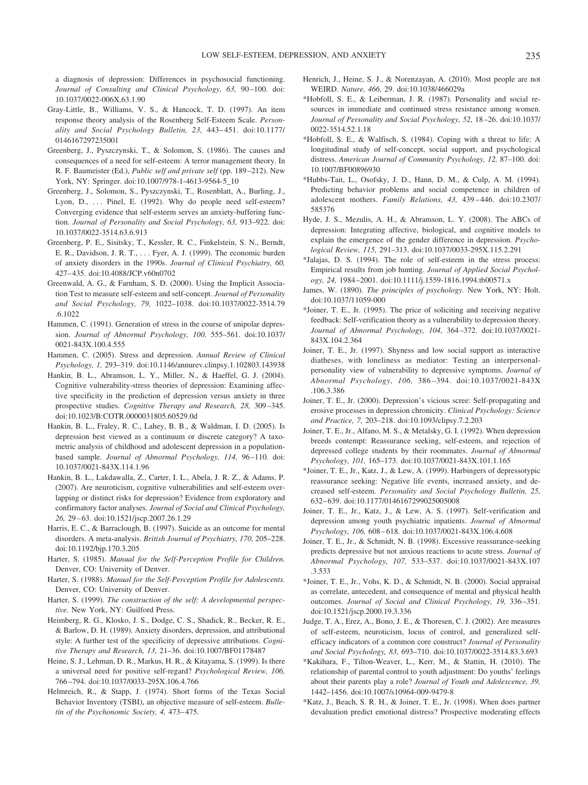a diagnosis of depression: Differences in psychosocial functioning. *Journal of Consulting and Clinical Psychology, 63,* 90–100. [doi:](http://dx.doi.org/10.1037/0022-006X.63.1.90) [10.1037/0022-006X.63.1.90](http://dx.doi.org/10.1037/0022-006X.63.1.90)

- Gray-Little, B., Williams, V. S., & Hancock, T. D. (1997). An item response theory analysis of the Rosenberg Self-Esteem Scale. *Personality and Social Psychology Bulletin, 23,* 443–451. [doi:10.1177/](http://dx.doi.org/10.1177/0146167297235001) [0146167297235001](http://dx.doi.org/10.1177/0146167297235001)
- Greenberg, J., Pyszczynski, T., & Solomon, S. (1986). The causes and consequences of a need for self-esteem: A terror management theory. In R. F. Baumeister (Ed.), *Public self and private self* (pp. 189–212). New York, NY: Springer. [doi:10.1007/978-1-4613-9564-5\\_10](http://dx.doi.org/10.1007/978-1-4613-9564-5_10)
- Greenberg, J., Solomon, S., Pyszczynski, T., Rosenblatt, A., Burling, J., Lyon, D., ... Pinel, E. (1992). Why do people need self-esteem? Converging evidence that self-esteem serves an anxiety-buffering function. *Journal of Personality and Social Psychology, 63,* 913–922. [doi:](http://dx.doi.org/10.1037/0022-3514.63.6.913) [10.1037/0022-3514.63.6.913](http://dx.doi.org/10.1037/0022-3514.63.6.913)
- Greenberg, P. E., Sisitsky, T., Kessler, R. C., Finkelstein, S. N., Berndt, E. R., Davidson, J. R. T., . . . Fyer, A. J. (1999). The economic burden of anxiety disorders in the 1990s. *Journal of Clinical Psychiatry, 60,* 427–435. [doi:10.4088/JCP.v60n0702](http://dx.doi.org/10.4088/JCP.v60n0702)
- Greenwald, A. G., & Farnham, S. D. (2000). Using the Implicit Association Test to measure self-esteem and self-concept. *Journal of Personality and Social Psychology, 79,* 1022–1038. [doi:10.1037/0022-3514.79](http://dx.doi.org/10.1037/0022-3514.79.6.1022) [.6.1022](http://dx.doi.org/10.1037/0022-3514.79.6.1022)
- Hammen, C. (1991). Generation of stress in the course of unipolar depression. *Journal of Abnormal Psychology, 100,* 555–561. [doi:10.1037/](http://dx.doi.org/10.1037/0021-843X.100.4.555) [0021-843X.100.4.555](http://dx.doi.org/10.1037/0021-843X.100.4.555)
- Hammen, C. (2005). Stress and depression. *Annual Review of Clinical Psychology, 1,* 293–319. [doi:10.1146/annurev.clinpsy.1.102803.143938](http://dx.doi.org/10.1146/annurev.clinpsy.1.102803.143938)
- Hankin, B. L., Abramson, L. Y., Miller, N., & Haeffel, G. J. (2004). Cognitive vulnerability-stress theories of depression: Examining affective specificity in the prediction of depression versus anxiety in three prospective studies. *Cognitive Therapy and Research, 28,* 309–345. [doi:10.1023/B:COTR.0000031805.60529.0d](http://dx.doi.org/10.1023/B:COTR.0000031805.60529.0d)
- Hankin, B. L., Fraley, R. C., Lahey, B. B., & Waldman, I. D. (2005). Is depression best viewed as a continuum or discrete category? A taxometric analysis of childhood and adolescent depression in a populationbased sample. *Journal of Abnormal Psychology, 114,* 96–110. [doi:](http://dx.doi.org/10.1037/0021-843X.114.1.96) [10.1037/0021-843X.114.1.96](http://dx.doi.org/10.1037/0021-843X.114.1.96)
- Hankin, B. L., Lakdawalla, Z., Carter, I. L., Abela, J. R. Z., & Adams, P. (2007). Are neuroticism, cognitive vulnerabilities and self-esteem overlapping or distinct risks for depression? Evidence from exploratory and confirmatory factor analyses. *Journal of Social and Clinical Psychology, 26,* 29–63. [doi:10.1521/jscp.2007.26.1.29](http://dx.doi.org/10.1521/jscp.2007.26.1.29)
- Harris, E. C., & Barraclough, B. (1997). Suicide as an outcome for mental disorders. A meta-analysis. *British Journal of Psychiatry, 170,* 205–228. [doi:10.1192/bjp.170.3.205](http://dx.doi.org/10.1192/bjp.170.3.205)
- Harter, S. (1985). *Manual for the Self-Perception Profile for Children.* Denver, CO: University of Denver.
- Harter, S. (1988). *Manual for the Self-Perception Profile for Adolescents.* Denver, CO: University of Denver.
- Harter, S. (1999). *The construction of the self: A developmental perspective.* New York, NY: Guilford Press.
- Heimberg, R. G., Klosko, J. S., Dodge, C. S., Shadick, R., Becker, R. E., & Barlow, D. H. (1989). Anxiety disorders, depression, and attributional style: A further test of the specificity of depressive attributions. *Cognitive Therapy and Research, 13,* 21–36. [doi:10.1007/BF01178487](http://dx.doi.org/10.1007/BF01178487)
- Heine, S. J., Lehman, D. R., Markus, H. R., & Kitayama, S. (1999). Is there a universal need for positive self-regard? *Psychological Review, 106,* 766–794. [doi:10.1037/0033-295X.106.4.766](http://dx.doi.org/10.1037/0033-295X.106.4.766)
- Helmreich, R., & Stapp, J. (1974). Short forms of the Texas Social Behavior Inventory (TSBI), an objective measure of self-esteem. *Bulletin of the Psychonomic Society, 4,* 473–475.
- Henrich, J., Heine, S. J., & Norenzayan, A. (2010). Most people are not WEIRD. *Nature, 466,* 29. [doi:10.1038/466029a](http://dx.doi.org/10.1038/466029a)
- \*Hobfoll, S. E., & Leiberman, J. R. (1987). Personality and social resources in immediate and continued stress resistance among women. *Journal of Personality and Social Psychology, 52,* 18–26. [doi:10.1037/](http://dx.doi.org/10.1037/0022-3514.52.1.18) [0022-3514.52.1.18](http://dx.doi.org/10.1037/0022-3514.52.1.18)
- \*Hobfoll, S. E., & Walfisch, S. (1984). Coping with a threat to life: A longitudinal study of self-concept, social support, and psychological distress. *American Journal of Community Psychology, 12,* 87–100. [doi:](http://dx.doi.org/10.1007/BF00896930) [10.1007/BF00896930](http://dx.doi.org/10.1007/BF00896930)
- \*Hubbs-Tait, L., Osofsky, J. D., Hann, D. M., & Culp, A. M. (1994). Predicting behavior problems and social competence in children of adolescent mothers. *Family Relations, 43,* 439–446. [doi:10.2307/](http://dx.doi.org/10.2307/585376) [585376](http://dx.doi.org/10.2307/585376)
- Hyde, J. S., Mezulis, A. H., & Abramson, L. Y. (2008). The ABCs of depression: Integrating affective, biological, and cognitive models to explain the emergence of the gender difference in depression. *Psychological Review, 115,* 291–313. [doi:10.1037/0033-295X.115.2.291](http://dx.doi.org/10.1037/0033-295X.115.2.291)
- \*Jalajas, D. S. (1994). The role of self-esteem in the stress process: Empirical results from job hunting. *Journal of Applied Social Psychology, 24,* 1984–2001. [doi:10.1111/j.1559-1816.1994.tb00571.x](http://dx.doi.org/10.1111/j.1559-1816.1994.tb00571.x)
- James, W. (1890). *The principles of psychology.* New York, NY: Holt. [doi:10.1037/11059-000](http://dx.doi.org/10.1037/11059-000)
- \*Joiner, T. E., Jr. (1995). The price of soliciting and receiving negative feedback: Self-verification theory as a vulnerability to depression theory. *Journal of Abnormal Psychology, 104,* 364–372. [doi:10.1037/0021-](http://dx.doi.org/10.1037/0021-843X.104.2.364) [843X.104.2.364](http://dx.doi.org/10.1037/0021-843X.104.2.364)
- Joiner, T. E., Jr. (1997). Shyness and low social support as interactive diatheses, with loneliness as mediator: Testing an interpersonalpersonality view of vulnerability to depressive symptoms. *Journal of Abnormal Psychology, 106,* 386–394. [doi:10.1037/0021-843X](http://dx.doi.org/10.1037/0021-843X.106.3.386) [.106.3.386](http://dx.doi.org/10.1037/0021-843X.106.3.386)
- Joiner, T. E., Jr. (2000). Depression's vicious scree: Self-propagating and erosive processes in depression chronicity. *Clinical Psychology: Science and Practice, 7,* 203–218. [doi:10.1093/clipsy.7.2.203](http://dx.doi.org/10.1093/clipsy.7.2.203)
- Joiner, T. E., Jr., Alfano, M. S., & Metalsky, G. I. (1992). When depression breeds contempt: Reassurance seeking, self-esteem, and rejection of depressed college students by their roommates. *Journal of Abnormal Psychology, 101,* 165–173. [doi:10.1037/0021-843X.101.1.165](http://dx.doi.org/10.1037/0021-843X.101.1.165)
- \*Joiner, T. E., Jr., Katz, J., & Lew, A. (1999). Harbingers of depressotypic reassurance seeking: Negative life events, increased anxiety, and decreased self-esteem. *Personality and Social Psychology Bulletin, 25,* 632–639. [doi:10.1177/0146167299025005008](http://dx.doi.org/10.1177/0146167299025005008)
- Joiner, T. E., Jr., Katz, J., & Lew, A. S. (1997). Self-verification and depression among youth psychiatric inpatients. *Journal of Abnormal Psychology, 106,* 608–618. [doi:10.1037/0021-843X.106.4.608](http://dx.doi.org/10.1037/0021-843X.106.4.608)
- Joiner, T. E., Jr., & Schmidt, N. B. (1998). Excessive reassurance-seeking predicts depressive but not anxious reactions to acute stress. *Journal of Abnormal Psychology, 107,* 533–537. [doi:10.1037/0021-843X.107](http://dx.doi.org/10.1037/0021-843X.107.3.533) [.3.533](http://dx.doi.org/10.1037/0021-843X.107.3.533)
- \*Joiner, T. E., Jr., Vohs, K. D., & Schmidt, N. B. (2000). Social appraisal as correlate, antecedent, and consequence of mental and physical health outcomes. *Journal of Social and Clinical Psychology, 19,* 336–351. [doi:10.1521/jscp.2000.19.3.336](http://dx.doi.org/10.1521/jscp.2000.19.3.336)
- Judge, T. A., Erez, A., Bono, J. E., & Thoresen, C. J. (2002). Are measures of self-esteem, neuroticism, locus of control, and generalized selfefficacy indicators of a common core construct? *Journal of Personality and Social Psychology, 83,* 693–710. [doi:10.1037/0022-3514.83.3.693](http://dx.doi.org/10.1037/0022-3514.83.3.693)
- \*Kakihara, F., Tilton-Weaver, L., Kerr, M., & Stattin, H. (2010). The relationship of parental control to youth adjustment: Do youths' feelings about their parents play a role? *Journal of Youth and Adolescence, 39,* 1442–1456. [doi:10.1007/s10964-009-9479-8](http://dx.doi.org/10.1007/s10964-009-9479-8)
- \*Katz, J., Beach, S. R. H., & Joiner, T. E., Jr. (1998). When does partner devaluation predict emotional distress? Prospective moderating effects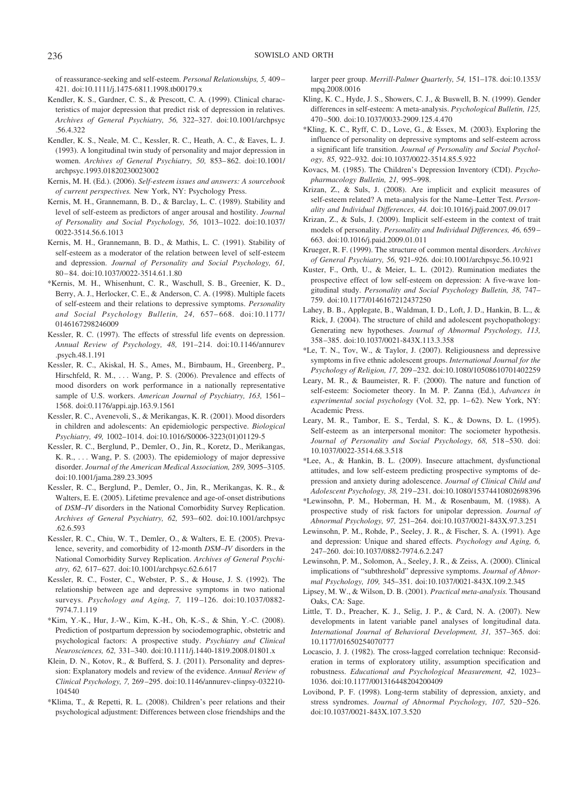of reassurance-seeking and self-esteem. *Personal Relationships, 5,* 409– 421. [doi:10.1111/j.1475-6811.1998.tb00179.x](http://dx.doi.org/10.1111/j.1475-6811.1998.tb00179.x)

- Kendler, K. S., Gardner, C. S., & Prescott, C. A. (1999). Clinical characteristics of major depression that predict risk of depression in relatives. *Archives of General Psychiatry, 56,* 322–327. [doi:10.1001/archpsyc](http://dx.doi.org/10.1001/archpsyc.56.4.322) [.56.4.322](http://dx.doi.org/10.1001/archpsyc.56.4.322)
- Kendler, K. S., Neale, M. C., Kessler, R. C., Heath, A. C., & Eaves, L. J. (1993). A longitudinal twin study of personality and major depression in women. *Archives of General Psychiatry, 50,* 853–862. [doi:10.1001/](http://dx.doi.org/10.1001/archpsyc.1993.01820230023002) [archpsyc.1993.01820230023002](http://dx.doi.org/10.1001/archpsyc.1993.01820230023002)
- Kernis, M. H. (Ed.). (2006). *Self-esteem issues and answers: A sourcebook of current perspectives.* New York, NY: Psychology Press.
- Kernis, M. H., Grannemann, B. D., & Barclay, L. C. (1989). Stability and level of self-esteem as predictors of anger arousal and hostility. *Journal of Personality and Social Psychology, 56,* 1013–1022. [doi:10.1037/](http://dx.doi.org/10.1037/0022-3514.56.6.1013) [0022-3514.56.6.1013](http://dx.doi.org/10.1037/0022-3514.56.6.1013)
- Kernis, M. H., Grannemann, B. D., & Mathis, L. C. (1991). Stability of self-esteem as a moderator of the relation between level of self-esteem and depression. *Journal of Personality and Social Psychology, 61,* 80–84. [doi:10.1037/0022-3514.61.1.80](http://dx.doi.org/10.1037/0022-3514.61.1.80)
- \*Kernis, M. H., Whisenhunt, C. R., Waschull, S. B., Greenier, K. D., Berry, A. J., Herlocker, C. E., & Anderson, C. A. (1998). Multiple facets of self-esteem and their relations to depressive symptoms. *Personality and Social Psychology Bulletin, 24,* 657–668. [doi:10.1177/](http://dx.doi.org/10.1177/0146167298246009) [0146167298246009](http://dx.doi.org/10.1177/0146167298246009)
- Kessler, R. C. (1997). The effects of stressful life events on depression. *Annual Review of Psychology, 48,* 191–214. [doi:10.1146/annurev](http://dx.doi.org/10.1146/annurev.psych.48.1.191) [.psych.48.1.191](http://dx.doi.org/10.1146/annurev.psych.48.1.191)
- Kessler, R. C., Akiskal, H. S., Ames, M., Birnbaum, H., Greenberg, P., Hirschfeld, R. M., ... Wang, P. S. (2006). Prevalence and effects of mood disorders on work performance in a nationally representative sample of U.S. workers. *American Journal of Psychiatry, 163,* 1561– 1568. [doi:0.1176/appi.ajp.163.9.1561](http://dx.doi.org/0.1176/appi.ajp.163.9.1561)
- Kessler, R. C., Avenevoli, S., & Merikangas, K. R. (2001). Mood disorders in children and adolescents: An epidemiologic perspective. *Biological Psychiatry, 49,* 1002–1014. [doi:10.1016/S0006-3223\(01\)01129-5](http://dx.doi.org/10.1016/S0006-3223%2801%2901129-5)
- Kessler, R. C., Berglund, P., Demler, O., Jin, R., Koretz, D., Merikangas, K. R., ... Wang, P. S. (2003). The epidemiology of major depressive disorder. *Journal of the American Medical Association, 289,* 3095–3105. [doi:10.1001/jama.289.23.3095](http://dx.doi.org/10.1001/jama.289.23.3095)
- Kessler, R. C., Berglund, P., Demler, O., Jin, R., Merikangas, K. R., & Walters, E. E. (2005). Lifetime prevalence and age-of-onset distributions of *DSM–IV* disorders in the National Comorbidity Survey Replication. *Archives of General Psychiatry, 62,* 593–602. [doi:10.1001/archpsyc](http://dx.doi.org/10.1001/archpsyc.62.6.593) [.62.6.593](http://dx.doi.org/10.1001/archpsyc.62.6.593)
- Kessler, R. C., Chiu, W. T., Demler, O., & Walters, E. E. (2005). Prevalence, severity, and comorbidity of 12-month *DSM–IV* disorders in the National Comorbidity Survey Replication. *Archives of General Psychiatry, 62,* 617–627. [doi:10.1001/archpsyc.62.6.617](http://dx.doi.org/10.1001/archpsyc.62.6.617)
- Kessler, R. C., Foster, C., Webster, P. S., & House, J. S. (1992). The relationship between age and depressive symptoms in two national surveys. *Psychology and Aging, 7,* 119–126. [doi:10.1037/0882-](http://dx.doi.org/10.1037/0882-7974.7.1.119) [7974.7.1.119](http://dx.doi.org/10.1037/0882-7974.7.1.119)
- \*Kim, Y.-K., Hur, J.-W., Kim, K.-H., Oh, K.-S., & Shin, Y.-C. (2008). Prediction of postpartum depression by sociodemographic, obstetric and psychological factors: A prospective study. *Psychiatry and Clinical Neurosciences, 62,* 331–340. [doi:10.1111/j.1440-1819.2008.01801.x](http://dx.doi.org/10.1111/j.1440-1819.2008.01801.x)
- Klein, D. N., Kotov, R., & Bufferd, S. J. (2011). Personality and depression: Explanatory models and review of the evidence. *Annual Review of Clinical Psychology, 7,* 269–295. [doi:10.1146/annurev-clinpsy-032210-](http://dx.doi.org/10.1146/annurev-clinpsy-032210-104540) [104540](http://dx.doi.org/10.1146/annurev-clinpsy-032210-104540)
- \*Klima, T., & Repetti, R. L. (2008). Children's peer relations and their psychological adjustment: Differences between close friendships and the

larger peer group. *Merrill-Palmer Quarterly, 54,* 151–178. [doi:10.1353/](http://dx.doi.org/10.1353/mpq.2008.0016) [mpq.2008.0016](http://dx.doi.org/10.1353/mpq.2008.0016)

- Kling, K. C., Hyde, J. S., Showers, C. J., & Buswell, B. N. (1999). Gender differences in self-esteem: A meta-analysis. *Psychological Bulletin, 125,* 470–500. [doi:10.1037/0033-2909.125.4.470](http://dx.doi.org/10.1037/0033-2909.125.4.470)
- \*Kling, K. C., Ryff, C. D., Love, G., & Essex, M. (2003). Exploring the influence of personality on depressive symptoms and self-esteem across a significant life transition. *Journal of Personality and Social Psychology, 85,* 922–932. [doi:10.1037/0022-3514.85.5.922](http://dx.doi.org/10.1037/0022-3514.85.5.922)
- Kovacs, M. (1985). The Children's Depression Inventory (CDI). *Psychopharmacology Bulletin, 21,* 995–998.
- Krizan, Z., & Suls, J. (2008). Are implicit and explicit measures of self-esteem related? A meta-analysis for the Name–Letter Test. *Personality and Individual Differences, 44.* [doi:10.1016/j.paid.2007.09.017](http://dx.doi.org/10.1016/j.paid.2007.09.017)
- Krizan, Z., & Suls, J. (2009). Implicit self-esteem in the context of trait models of personality. *Personality and Individual Differences, 46,* 659– 663. [doi:10.1016/j.paid.2009.01.011](http://dx.doi.org/10.1016/j.paid.2009.01.011)
- Krueger, R. F. (1999). The structure of common mental disorders. *Archives of General Psychiatry, 56,* 921–926. [doi:10.1001/archpsyc.56.10.921](http://dx.doi.org/10.1001/archpsyc.56.10.921)
- Kuster, F., Orth, U., & Meier, L. L. (2012). Rumination mediates the prospective effect of low self-esteem on depression: A five-wave longitudinal study. *Personality and Social Psychology Bulletin, 38,* 747– 759. [doi:10.1177/0146167212437250](http://dx.doi.org/10.1177/0146167212437250)
- Lahey, B. B., Applegate, B., Waldman, I. D., Loft, J. D., Hankin, B. L., & Rick, J. (2004). The structure of child and adolescent psychopathology: Generating new hypotheses. *Journal of Abnormal Psychology, 113,* 358–385. [doi:10.1037/0021-843X.113.3.358](http://dx.doi.org/10.1037/0021-843X.113.3.358)
- \*Le, T. N., Tov, W., & Taylor, J. (2007). Religiousness and depressive symptoms in five ethnic adolescent groups. *International Journal for the Psychology of Religion, 17,* 209–232. [doi:10.1080/10508610701402259](http://dx.doi.org/10.1080/10508610701402259)
- Leary, M. R., & Baumeister, R. F. (2000). The nature and function of self-esteem: Sociometer theory. In M. P. Zanna (Ed.), *Advances in experimental social psychology* (Vol. 32, pp. 1–62). New York, NY: Academic Press.
- Leary, M. R., Tambor, E. S., Terdal, S. K., & Downs, D. L. (1995). Self-esteem as an interpersonal monitor: The sociometer hypothesis. *Journal of Personality and Social Psychology, 68,* 518–530. [doi:](http://dx.doi.org/10.1037/0022-3514.68.3.518) [10.1037/0022-3514.68.3.518](http://dx.doi.org/10.1037/0022-3514.68.3.518)
- \*Lee, A., & Hankin, B. L. (2009). Insecure attachment, dysfunctional attitudes, and low self-esteem predicting prospective symptoms of depression and anxiety during adolescence. *Journal of Clinical Child and Adolescent Psychology, 38,* 219–231. [doi:10.1080/15374410802698396](http://dx.doi.org/10.1080/15374410802698396)
- \*Lewinsohn, P. M., Hoberman, H. M., & Rosenbaum, M. (1988). A prospective study of risk factors for unipolar depression. *Journal of Abnormal Psychology, 97,* 251–264. [doi:10.1037/0021-843X.97.3.251](http://dx.doi.org/10.1037/0021-843X.97.3.251)
- Lewinsohn, P. M., Rohde, P., Seeley, J. R., & Fischer, S. A. (1991). Age and depression: Unique and shared effects. *Psychology and Aging, 6,* 247–260. [doi:10.1037/0882-7974.6.2.247](http://dx.doi.org/10.1037/0882-7974.6.2.247)
- Lewinsohn, P. M., Solomon, A., Seeley, J. R., & Zeiss, A. (2000). Clinical implications of "subthreshold" depressive symptoms. *Journal of Abnormal Psychology, 109,* 345–351. [doi:10.1037/0021-843X.109.2.345](http://dx.doi.org/10.1037/0021-843X.109.2.345)
- Lipsey, M. W., & Wilson, D. B. (2001). *Practical meta-analysis.* Thousand Oaks, CA: Sage.
- Little, T. D., Preacher, K. J., Selig, J. P., & Card, N. A. (2007). New developments in latent variable panel analyses of longitudinal data. *International Journal of Behavioral Development, 31,* 357–365. [doi:](http://dx.doi.org/10.1177/01650254070777) [10.1177/01650254070777](http://dx.doi.org/10.1177/01650254070777)
- Locascio, J. J. (1982). The cross-lagged correlation technique: Reconsideration in terms of exploratory utility, assumption specification and robustness. *Educational and Psychological Measurement, 42,* 1023– 1036. [doi:10.1177/001316448204200409](http://dx.doi.org/10.1177/001316448204200409)
- Lovibond, P. F. (1998). Long-term stability of depression, anxiety, and stress syndromes. *Journal of Abnormal Psychology, 107,* 520–526. [doi:10.1037/0021-843X.107.3.520](http://dx.doi.org/10.1037/0021-843X.107.3.520)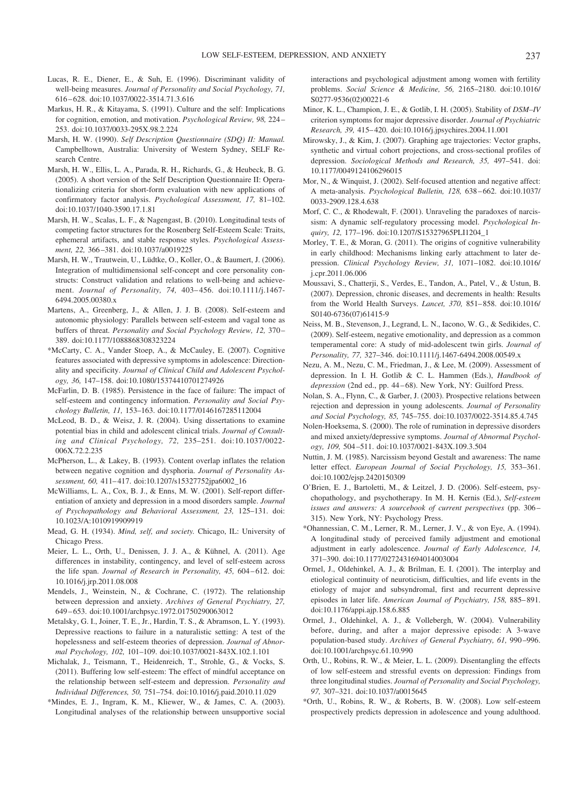- Lucas, R. E., Diener, E., & Suh, E. (1996). Discriminant validity of well-being measures. *Journal of Personality and Social Psychology, 71,* 616–628. [doi:10.1037/0022-3514.71.3.616](http://dx.doi.org/10.1037/0022-3514.71.3.616)
- Markus, H. R., & Kitayama, S. (1991). Culture and the self: Implications for cognition, emotion, and motivation. *Psychological Review, 98,* 224– 253. [doi:10.1037/0033-295X.98.2.224](http://dx.doi.org/10.1037/0033-295X.98.2.224)
- Marsh, H. W. (1990). *Self Description Questionnaire (SDQ) II: Manual.* Campbelltown, Australia: University of Western Sydney, SELF Research Centre.
- Marsh, H. W., Ellis, L. A., Parada, R. H., Richards, G., & Heubeck, B. G. (2005). A short version of the Self Description Questionnaire II: Operationalizing criteria for short-form evaluation with new applications of confirmatory factor analysis. *Psychological Assessment, 17,* 81–102. [doi:10.1037/1040-3590.17.1.81](http://dx.doi.org/10.1037/1040-3590.17.1.81)
- Marsh, H. W., Scalas, L. F., & Nagengast, B. (2010). Longitudinal tests of competing factor structures for the Rosenberg Self-Esteem Scale: Traits, ephemeral artifacts, and stable response styles. *Psychological Assessment, 22,* 366–381. [doi:10.1037/a0019225](http://dx.doi.org/10.1037/a0019225)
- Marsh, H. W., Trautwein, U., Lüdtke, O., Koller, O., & Baumert, J. (2006). Integration of multidimensional self-concept and core personality constructs: Construct validation and relations to well-being and achievement. *Journal of Personality, 74,* 403–456. [doi:10.1111/j.1467-](http://dx.doi.org/10.1111/j.1467-6494.2005.00380.x) [6494.2005.00380.x](http://dx.doi.org/10.1111/j.1467-6494.2005.00380.x)
- Martens, A., Greenberg, J., & Allen, J. J. B. (2008). Self-esteem and autonomic physiology: Parallels between self-esteem and vagal tone as buffers of threat. *Personality and Social Psychology Review, 12,* 370– 389. [doi:10.1177/1088868308323224](http://dx.doi.org/10.1177/1088868308323224)
- \*McCarty, C. A., Vander Stoep, A., & McCauley, E. (2007). Cognitive features associated with depressive symptoms in adolescence: Directionality and specificity. *Journal of Clinical Child and Adolescent Psychology, 36,* 147–158. [doi:10.1080/15374410701274926](http://dx.doi.org/10.1080/15374410701274926)
- McFarlin, D. B. (1985). Persistence in the face of failure: The impact of self-esteem and contingency information. *Personality and Social Psychology Bulletin, 11,* 153–163. [doi:10.1177/0146167285112004](http://dx.doi.org/10.1177/0146167285112004)
- McLeod, B. D., & Weisz, J. R. (2004). Using dissertations to examine potential bias in child and adolescent clinical trials. *Journal of Consulting and Clinical Psychology, 72,* 235–251. [doi:10.1037/0022-](http://dx.doi.org/10.1037/0022-006X.72.2.235) [006X.72.2.235](http://dx.doi.org/10.1037/0022-006X.72.2.235)
- McPherson, L., & Lakey, B. (1993). Content overlap inflates the relation between negative cognition and dysphoria. *Journal of Personality Assessment, 60,* 411–417. [doi:10.1207/s15327752jpa6002\\_16](http://dx.doi.org/10.1207/s15327752jpa6002_16)
- McWilliams, L. A., Cox, B. J., & Enns, M. W. (2001). Self-report differentiation of anxiety and depression in a mood disorders sample. *Journal of Psychopathology and Behavioral Assessment, 23,* 125–131. [doi:](http://dx.doi.org/10.1023/A:1010919909919) [10.1023/A:1010919909919](http://dx.doi.org/10.1023/A:1010919909919)
- Mead, G. H. (1934). *Mind, self, and society.* Chicago, IL: University of Chicago Press.
- Meier, L. L., Orth, U., Denissen, J. J. A., & Kühnel, A. (2011). Age differences in instability, contingency, and level of self-esteem across the life span. *Journal of Research in Personality, 45,* 604–612. [doi:](http://dx.doi.org/10.1016/j.jrp.2011.08.008) [10.1016/j.jrp.2011.08.008](http://dx.doi.org/10.1016/j.jrp.2011.08.008)
- Mendels, J., Weinstein, N., & Cochrane, C. (1972). The relationship between depression and anxiety. *Archives of General Psychiatry, 27,* 649–653. [doi:10.1001/archpsyc.1972.01750290063012](http://dx.doi.org/10.1001/archpsyc.1972.01750290063012)
- Metalsky, G. I., Joiner, T. E., Jr., Hardin, T. S., & Abramson, L. Y. (1993). Depressive reactions to failure in a naturalistic setting: A test of the hopelessness and self-esteem theories of depression. *Journal of Abnormal Psychology, 102,* 101–109. [doi:10.1037/0021-843X.102.1.101](http://dx.doi.org/10.1037/0021-843X.102.1.101)
- Michalak, J., Teismann, T., Heidenreich, T., Strohle, G., & Vocks, S. (2011). Buffering low self-esteem: The effect of mindful acceptance on the relationship between self-esteem and depression. *Personality and Individual Differences, 50,* 751–754. [doi:10.1016/j.paid.2010.11.029](http://dx.doi.org/10.1016/j.paid.2010.11.029)
- \*Mindes, E. J., Ingram, K. M., Kliewer, W., & James, C. A. (2003). Longitudinal analyses of the relationship between unsupportive social

interactions and psychological adjustment among women with fertility problems. *Social Science & Medicine, 56,* 2165–2180. [doi:10.1016/](http://dx.doi.org/10.1016/S0277-9536%2802%2900221-6) [S0277-9536\(02\)00221-6](http://dx.doi.org/10.1016/S0277-9536%2802%2900221-6)

- Minor, K. L., Champion, J. E., & Gotlib, I. H. (2005). Stability of *DSM–IV* criterion symptoms for major depressive disorder. *Journal of Psychiatric Research, 39,* 415–420. [doi:10.1016/j.jpsychires.2004.11.001](http://dx.doi.org/10.1016/j.jpsychires.2004.11.001)
- Mirowsky, J., & Kim, J. (2007). Graphing age trajectories: Vector graphs, synthetic and virtual cohort projections, and cross-sectional profiles of depression. *Sociological Methods and Research, 35,* 497–541. [doi:](http://dx.doi.org/10.1177/0049124106296015) [10.1177/0049124106296015](http://dx.doi.org/10.1177/0049124106296015)
- Mor, N., & Winquist, J. (2002). Self-focused attention and negative affect: A meta-analysis. *Psychological Bulletin, 128,* 638–662. [doi:10.1037/](http://dx.doi.org/10.1037/0033-2909.128.4.638) [0033-2909.128.4.638](http://dx.doi.org/10.1037/0033-2909.128.4.638)
- Morf, C. C., & Rhodewalt, F. (2001). Unraveling the paradoxes of narcissism: A dynamic self-regulatory processing model. *Psychological Inquiry, 12,* 177–196. [doi:10.1207/S15327965PLI1204\\_1](http://dx.doi.org/10.1207/S15327965PLI1204_1)
- Morley, T. E., & Moran, G. (2011). The origins of cognitive vulnerability in early childhood: Mechanisms linking early attachment to later depression. *Clinical Psychology Review, 31,* 1071–1082. [doi:10.1016/](http://dx.doi.org/10.1016/j.cpr.2011.06.006) [j.cpr.2011.06.006](http://dx.doi.org/10.1016/j.cpr.2011.06.006)
- Moussavi, S., Chatterji, S., Verdes, E., Tandon, A., Patel, V., & Ustun, B. (2007). Depression, chronic diseases, and decrements in health: Results from the World Health Surveys. *Lancet, 370,* 851–858. [doi:10.1016/](http://dx.doi.org/10.1016/S0140-6736%2807%2961415-9) [S0140-6736\(07\)61415-9](http://dx.doi.org/10.1016/S0140-6736%2807%2961415-9)
- Neiss, M. B., Stevenson, J., Legrand, L. N., Iacono, W. G., & Sedikides, C. (2009). Self-esteem, negative emotionality, and depression as a common temperamental core: A study of mid-adolescent twin girls. *Journal of Personality, 77,* 327–346. [doi:10.1111/j.1467-6494.2008.00549.x](http://dx.doi.org/10.1111/j.1467-6494.2008.00549.x)
- Nezu, A. M., Nezu, C. M., Friedman, J., & Lee, M. (2009). Assessment of depression. In I. H. Gotlib & C. L. Hammen (Eds.), *Handbook of depression* (2nd ed., pp. 44–68). New York, NY: Guilford Press.
- Nolan, S. A., Flynn, C., & Garber, J. (2003). Prospective relations between rejection and depression in young adolescents. *Journal of Personality and Social Psychology, 85,* 745–755. [doi:10.1037/0022-3514.85.4.745](http://dx.doi.org/10.1037/0022-3514.85.4.745)
- Nolen-Hoeksema, S. (2000). The role of rumination in depressive disorders and mixed anxiety/depressive symptoms. *Journal of Abnormal Psychology, 109,* 504–511. [doi:10.1037/0021-843X.109.3.504](http://dx.doi.org/10.1037/0021-843X.109.3.504)
- Nuttin, J. M. (1985). Narcissism beyond Gestalt and awareness: The name letter effect. *European Journal of Social Psychology, 15,* 353–361. [doi:10.1002/ejsp.2420150309](http://dx.doi.org/10.1002/ejsp.2420150309)
- O'Brien, E. J., Bartoletti, M., & Leitzel, J. D. (2006). Self-esteem, psychopathology, and psychotherapy. In M. H. Kernis (Ed.), *Self-esteem issues and answers: A sourcebook of current perspectives* (pp. 306– 315). New York, NY: Psychology Press.
- \*Ohannessian, C. M., Lerner, R. M., Lerner, J. V., & von Eye, A. (1994). A longitudinal study of perceived family adjustment and emotional adjustment in early adolescence. *Journal of Early Adolescence, 14,* 371–390. [doi:10.1177/0272431694014003004](http://dx.doi.org/10.1177/0272431694014003004)
- Ormel, J., Oldehinkel, A. J., & Brilman, E. I. (2001). The interplay and etiological continuity of neuroticism, difficulties, and life events in the etiology of major and subsyndromal, first and recurrent depressive episodes in later life. *American Journal of Psychiatry, 158,* 885–891. [doi:10.1176/appi.ajp.158.6.885](http://dx.doi.org/10.1176/appi.ajp.158.6.885)
- Ormel, J., Oldehinkel, A. J., & Vollebergh, W. (2004). Vulnerability before, during, and after a major depressive episode: A 3-wave population-based study. *Archives of General Psychiatry, 61,* 990–996. [doi:10.1001/archpsyc.61.10.990](http://dx.doi.org/10.1001/archpsyc.61.10.990)
- Orth, U., Robins, R. W., & Meier, L. L. (2009). Disentangling the effects of low self-esteem and stressful events on depression: Findings from three longitudinal studies. *Journal of Personality and Social Psychology, 97,* 307–321. [doi:10.1037/a0015645](http://dx.doi.org/10.1037/a0015645)
- \*Orth, U., Robins, R. W., & Roberts, B. W. (2008). Low self-esteem prospectively predicts depression in adolescence and young adulthood.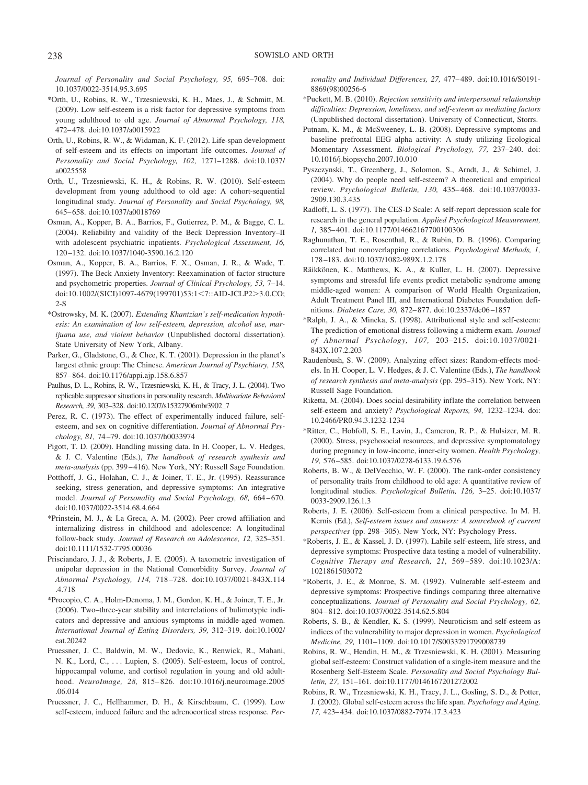*Journal of Personality and Social Psychology, 95,* 695–708. [doi:](http://dx.doi.org/10.1037/0022-3514.95.3.695) [10.1037/0022-3514.95.3.695](http://dx.doi.org/10.1037/0022-3514.95.3.695)

- \*Orth, U., Robins, R. W., Trzesniewski, K. H., Maes, J., & Schmitt, M. (2009). Low self-esteem is a risk factor for depressive symptoms from young adulthood to old age. *Journal of Abnormal Psychology, 118,* 472–478. [doi:10.1037/a0015922](http://dx.doi.org/10.1037/a0015922)
- Orth, U., Robins, R. W., & Widaman, K. F. (2012). Life-span development of self-esteem and its effects on important life outcomes. *Journal of Personality and Social Psychology, 102,* 1271–1288. [doi:10.1037/](http://dx.doi.org/10.1037/a0025558) [a0025558](http://dx.doi.org/10.1037/a0025558)
- Orth, U., Trzesniewski, K. H., & Robins, R. W. (2010). Self-esteem development from young adulthood to old age: A cohort-sequential longitudinal study. *Journal of Personality and Social Psychology, 98,* 645–658. [doi:10.1037/a0018769](http://dx.doi.org/10.1037/a0018769)
- Osman, A., Kopper, B. A., Barrios, F., Gutierrez, P. M., & Bagge, C. L. (2004). Reliability and validity of the Beck Depression Inventory–II with adolescent psychiatric inpatients. *Psychological Assessment, 16,* 120–132. [doi:10.1037/1040-3590.16.2.120](http://dx.doi.org/10.1037/1040-3590.16.2.120)
- Osman, A., Kopper, B. A., Barrios, F. X., Osman, J. R., & Wade, T. (1997). The Beck Anxiety Inventory: Reexamination of factor structure and psychometric properties. *Journal of Clinical Psychology, 53,* 7–14. [doi:10.1002/\(SICI\)1097-4679\(199701\)53:1](http://dx.doi.org/10.1002/%28SICI%291097-4679%28199701%2953:1%3C7::AID-JCLP2%3E3.0.CO%3B2-S)<7::AID-JCLP2>3.0.CO;  $2-S$
- \*Ostrowsky, M. K. (2007). *Extending Khantzian's self-medication hypothesis: An examination of low self-esteem, depression, alcohol use, marijuana use, and violent behavior* (Unpublished doctoral dissertation). State University of New York, Albany.
- Parker, G., Gladstone, G., & Chee, K. T. (2001). Depression in the planet's largest ethnic group: The Chinese. *American Journal of Psychiatry, 158,* 857–864. [doi:10.1176/appi.ajp.158.6.857](http://dx.doi.org/10.1176/appi.ajp.158.6.857)
- Paulhus, D. L., Robins, R. W., Trzesniewski, K. H., & Tracy, J. L. (2004). Two replicable suppressor situations in personality research. *Multivariate Behavioral Research, 39,* 303–328. [doi:10.1207/s15327906mbr3902\\_7](http://dx.doi.org/10.1207/s15327906mbr3902_7)
- Perez, R. C. (1973). The effect of experimentally induced failure, selfesteem, and sex on cognitive differentiation. *Journal of Abnormal Psychology, 81,* 74–79. [doi:10.1037/h0033974](http://dx.doi.org/10.1037/h0033974)
- Pigott, T. D. (2009). Handling missing data. In H. Cooper, L. V. Hedges, & J. C. Valentine (Eds.), *The handbook of research synthesis and meta-analysis* (pp. 399–416). New York, NY: Russell Sage Foundation.
- Potthoff, J. G., Holahan, C. J., & Joiner, T. E., Jr. (1995). Reassurance seeking, stress generation, and depressive symptoms: An integrative model. *Journal of Personality and Social Psychology, 68,* 664–670. [doi:10.1037/0022-3514.68.4.664](http://dx.doi.org/10.1037/0022-3514.68.4.664)
- \*Prinstein, M. J., & La Greca, A. M. (2002). Peer crowd affiliation and internalizing distress in childhood and adolescence: A longitudinal follow-back study. *Journal of Research on Adolescence, 12,* 325–351. [doi:10.1111/1532-7795.00036](http://dx.doi.org/10.1111/1532-7795.00036)
- Prisciandaro, J. J., & Roberts, J. E. (2005). A taxometric investigation of unipolar depression in the National Comorbidity Survey. *Journal of Abnormal Psychology, 114,* 718–728. [doi:10.1037/0021-843X.114](http://dx.doi.org/10.1037/0021-843X.114.4.718) [.4.718](http://dx.doi.org/10.1037/0021-843X.114.4.718)
- \*Procopio, C. A., Holm-Denoma, J. M., Gordon, K. H., & Joiner, T. E., Jr. (2006). Two–three-year stability and interrelations of bulimotypic indicators and depressive and anxious symptoms in middle-aged women. *International Journal of Eating Disorders, 39,* 312–319. [doi:10.1002/](http://dx.doi.org/10.1002/eat.20242) [eat.20242](http://dx.doi.org/10.1002/eat.20242)
- Pruessner, J. C., Baldwin, M. W., Dedovic, K., Renwick, R., Mahani, N. K., Lord, C., ... Lupien, S. (2005). Self-esteem, locus of control, hippocampal volume, and cortisol regulation in young and old adulthood. *NeuroImage, 28,* 815–826. [doi:10.1016/j.neuroimage.2005](http://dx.doi.org/10.1016/j.neuroimage.2005.06.014) [.06.014](http://dx.doi.org/10.1016/j.neuroimage.2005.06.014)
- Pruessner, J. C., Hellhammer, D. H., & Kirschbaum, C. (1999). Low self-esteem, induced failure and the adrenocortical stress response. *Per-*

*sonality and Individual Differences, 27,* 477–489. [doi:10.1016/S0191-](http://dx.doi.org/10.1016/S0191-8869%2898%2900256-6) [8869\(98\)00256-6](http://dx.doi.org/10.1016/S0191-8869%2898%2900256-6)

- \*Puckett, M. B. (2010). *Rejection sensitivity and interpersonal relationship difficulties: Depression, loneliness, and self-esteem as mediating factors* (Unpublished doctoral dissertation). University of Connecticut, Storrs.
- Putnam, K. M., & McSweeney, L. B. (2008). Depressive symptoms and baseline prefrontal EEG alpha activity: A study utilizing Ecological Momentary Assessment. *Biological Psychology, 77,* 237–240. [doi:](http://dx.doi.org/10.1016/j.biopsycho.2007.10.010) [10.1016/j.biopsycho.2007.10.010](http://dx.doi.org/10.1016/j.biopsycho.2007.10.010)
- Pyszczynski, T., Greenberg, J., Solomon, S., Arndt, J., & Schimel, J. (2004). Why do people need self-esteem? A theoretical and empirical review. *Psychological Bulletin, 130,* 435–468. [doi:10.1037/0033-](http://dx.doi.org/10.1037/0033-2909.130.3.435) [2909.130.3.435](http://dx.doi.org/10.1037/0033-2909.130.3.435)
- Radloff, L. S. (1977). The CES-D Scale: A self-report depression scale for research in the general population. *Applied Psychological Measurement, 1,* 385–401. [doi:10.1177/014662167700100306](http://dx.doi.org/10.1177/014662167700100306)
- Raghunathan, T. E., Rosenthal, R., & Rubin, D. B. (1996). Comparing correlated but nonoverlapping correlations. *Psychological Methods, 1,* 178–183. [doi:10.1037/1082-989X.1.2.178](http://dx.doi.org/10.1037/1082-989X.1.2.178)
- Räikkönen, K., Matthews, K. A., & Kuller, L. H. (2007). Depressive symptoms and stressful life events predict metabolic syndrome among middle-aged women: A comparison of World Health Organization, Adult Treatment Panel III, and International Diabetes Foundation definitions. *Diabetes Care, 30,* 872–877. [doi:10.2337/dc06–1857](http://dx.doi.org/10.2337/dc06–1857)
- \*Ralph, J. A., & Mineka, S. (1998). Attributional style and self-esteem: The prediction of emotional distress following a midterm exam. *Journal of Abnormal Psychology, 107,* 203–215. [doi:10.1037/0021-](http://dx.doi.org/10.1037/0021-843X.107.2.203) [843X.107.2.203](http://dx.doi.org/10.1037/0021-843X.107.2.203)
- Raudenbush, S. W. (2009). Analyzing effect sizes: Random-effects models. In H. Cooper, L. V. Hedges, & J. C. Valentine (Eds.), *The handbook of research synthesis and meta-analysis* (pp. 295–315). New York, NY: Russell Sage Foundation.
- Riketta, M. (2004). Does social desirability inflate the correlation between self-esteem and anxiety? *Psychological Reports, 94,* 1232–1234. [doi:](http://dx.doi.org/10.2466/PR0.94.3.1232-1234) [10.2466/PR0.94.3.1232-1234](http://dx.doi.org/10.2466/PR0.94.3.1232-1234)
- \*Ritter, C., Hobfoll, S. E., Lavin, J., Cameron, R. P., & Hulsizer, M. R. (2000). Stress, psychosocial resources, and depressive symptomatology during pregnancy in low-income, inner-city women. *Health Psychology, 19,* 576–585. [doi:10.1037/0278-6133.19.6.576](http://dx.doi.org/10.1037/0278-6133.19.6.576)
- Roberts, B. W., & DelVecchio, W. F. (2000). The rank-order consistency of personality traits from childhood to old age: A quantitative review of longitudinal studies. *Psychological Bulletin, 126,* 3–25. [doi:10.1037/](http://dx.doi.org/10.1037/0033-2909.126.1.3) [0033-2909.126.1.3](http://dx.doi.org/10.1037/0033-2909.126.1.3)
- Roberts, J. E. (2006). Self-esteem from a clinical perspective. In M. H. Kernis (Ed.), *Self-esteem issues and answers: A sourcebook of current perspectives* (pp. 298–305). New York, NY: Psychology Press.
- \*Roberts, J. E., & Kassel, J. D. (1997). Labile self-esteem, life stress, and depressive symptoms: Prospective data testing a model of vulnerability. *Cognitive Therapy and Research, 21,* 569–589. [doi:10.1023/A:](http://dx.doi.org/10.1023/A:1021861503072) [1021861503072](http://dx.doi.org/10.1023/A:1021861503072)
- \*Roberts, J. E., & Monroe, S. M. (1992). Vulnerable self-esteem and depressive symptoms: Prospective findings comparing three alternative conceptualizations. *Journal of Personality and Social Psychology, 62,* 804–812. [doi:10.1037/0022-3514.62.5.804](http://dx.doi.org/10.1037/0022-3514.62.5.804)
- Roberts, S. B., & Kendler, K. S. (1999). Neuroticism and self-esteem as indices of the vulnerability to major depression in women. *Psychological Medicine, 29,* 1101–1109. [doi:10.1017/S0033291799008739](http://dx.doi.org/10.1017/S0033291799008739)
- Robins, R. W., Hendin, H. M., & Trzesniewski, K. H. (2001). Measuring global self-esteem: Construct validation of a single-item measure and the Rosenberg Self-Esteem Scale. *Personality and Social Psychology Bulletin, 27,* 151–161. [doi:10.1177/0146167201272002](http://dx.doi.org/10.1177/0146167201272002)
- Robins, R. W., Trzesniewski, K. H., Tracy, J. L., Gosling, S. D., & Potter, J. (2002). Global self-esteem across the life span. *Psychology and Aging, 17,* 423–434. [doi:10.1037/0882-7974.17.3.423](http://dx.doi.org/10.1037/0882-7974.17.3.423)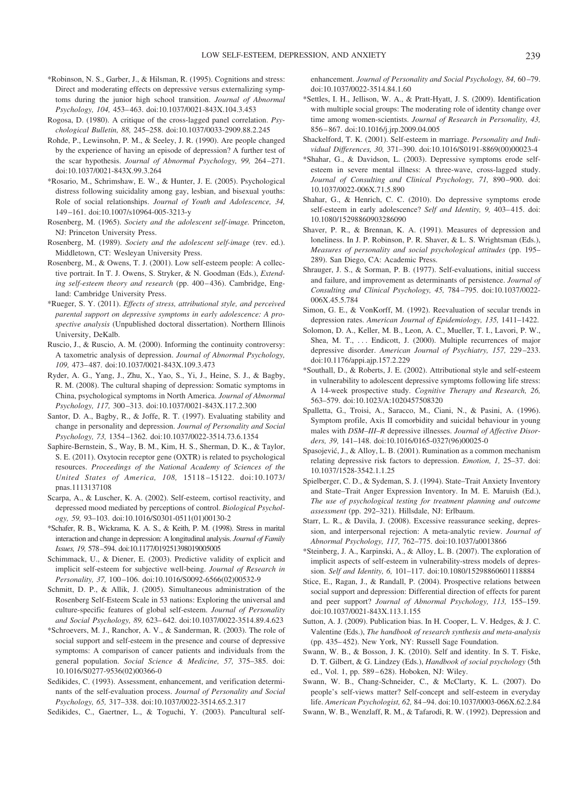- \*Robinson, N. S., Garber, J., & Hilsman, R. (1995). Cognitions and stress: Direct and moderating effects on depressive versus externalizing symptoms during the junior high school transition. *Journal of Abnormal Psychology, 104,* 453–463. [doi:10.1037/0021-843X.104.3.453](http://dx.doi.org/10.1037/0021-843X.104.3.453)
- Rogosa, D. (1980). A critique of the cross-lagged panel correlation. *Psychological Bulletin, 88,* 245–258. [doi:10.1037/0033-2909.88.2.245](http://dx.doi.org/10.1037/0033-2909.88.2.245)
- Rohde, P., Lewinsohn, P. M., & Seeley, J. R. (1990). Are people changed by the experience of having an episode of depression? A further test of the scar hypothesis. *Journal of Abnormal Psychology, 99,* 264–271. [doi:10.1037/0021-843X.99.3.264](http://dx.doi.org/10.1037/0021-843X.99.3.264)
- \*Rosario, M., Schrimshaw, E. W., & Hunter, J. E. (2005). Psychological distress following suicidality among gay, lesbian, and bisexual youths: Role of social relationships. *Journal of Youth and Adolescence, 34,* 149–161. [doi:10.1007/s10964-005-3213-y](http://dx.doi.org/10.1007/s10964-005-3213-y)
- Rosenberg, M. (1965). *Society and the adolescent self-image.* Princeton, NJ: Princeton University Press.
- Rosenberg, M. (1989). *Society and the adolescent self-image* (rev. ed.). Middletown, CT: Wesleyan University Press.
- Rosenberg, M., & Owens, T. J. (2001). Low self-esteem people: A collective portrait. In T. J. Owens, S. Stryker, & N. Goodman (Eds.), *Extending self-esteem theory and research* (pp. 400–436). Cambridge, England: Cambridge University Press.
- \*Rueger, S. Y. (2011). *Effects of stress, attributional style, and perceived parental support on depressive symptoms in early adolescence: A prospective analysis* (Unpublished doctoral dissertation). Northern Illinois University, DeKalb.
- Ruscio, J., & Ruscio, A. M. (2000). Informing the continuity controversy: A taxometric analysis of depression. *Journal of Abnormal Psychology, 109,* 473–487. [doi:10.1037/0021-843X.109.3.473](http://dx.doi.org/10.1037/0021-843X.109.3.473)
- Ryder, A. G., Yang, J., Zhu, X., Yao, S., Yi, J., Heine, S. J., & Bagby, R. M. (2008). The cultural shaping of depression: Somatic symptoms in China, psychological symptoms in North America. *Journal of Abnormal Psychology, 117,* 300–313. [doi:10.1037/0021-843X.117.2.300](http://dx.doi.org/10.1037/0021-843X.117.2.300)
- Santor, D. A., Bagby, R., & Joffe, R. T. (1997). Evaluating stability and change in personality and depression. *Journal of Personality and Social Psychology, 73,* 1354–1362. [doi:10.1037/0022-3514.73.6.1354](http://dx.doi.org/10.1037/0022-3514.73.6.1354)
- Saphire-Bernstein, S., Way, B. M., Kim, H. S., Sherman, D. K., & Taylor, S. E. (2011). Oxytocin receptor gene (OXTR) is related to psychological resources. *Proceedings of the National Academy of Sciences of the United States of America, 108,* 15118–15122. [doi:10.1073/](http://dx.doi.org/10.1073/pnas.1113137108) [pnas.1113137108](http://dx.doi.org/10.1073/pnas.1113137108)
- Scarpa, A., & Luscher, K. A. (2002). Self-esteem, cortisol reactivity, and depressed mood mediated by perceptions of control. *Biological Psychology, 59,* 93–103. [doi:10.1016/S0301-0511\(01\)00130-2](http://dx.doi.org/10.1016/S0301-0511%2801%2900130-2)
- \*Schafer, R. B., Wickrama, K. A. S., & Keith, P. M. (1998). Stress in marital interaction and change in depression: A longitudinal analysis. *Journal of Family Issues, 19,* 578–594. [doi:10.1177/019251398019005005](http://dx.doi.org/10.1177/019251398019005005)
- Schimmack, U., & Diener, E. (2003). Predictive validity of explicit and implicit self-esteem for subjective well-being. *Journal of Research in Personality, 37,* 100–106. [doi:10.1016/S0092-6566\(02\)00532-9](http://dx.doi.org/10.1016/S0092-6566%2802%2900532-9)
- Schmitt, D. P., & Allik, J. (2005). Simultaneous administration of the Rosenberg Self-Esteem Scale in 53 nations: Exploring the universal and culture-specific features of global self-esteem. *Journal of Personality and Social Psychology, 89,* 623–642. [doi:10.1037/0022-3514.89.4.623](http://dx.doi.org/10.1037/0022-3514.89.4.623)
- \*Schroevers, M. J., Ranchor, A. V., & Sanderman, R. (2003). The role of social support and self-esteem in the presence and course of depressive symptoms: A comparison of cancer patients and individuals from the general population. *Social Science & Medicine, 57,* 375–385. [doi:](http://dx.doi.org/10.1016/S0277-9536%2802%2900366-0) [10.1016/S0277-9536\(02\)00366-0](http://dx.doi.org/10.1016/S0277-9536%2802%2900366-0)
- Sedikides, C. (1993). Assessment, enhancement, and verification determinants of the self-evaluation process. *Journal of Personality and Social Psychology, 65,* 317–338. [doi:10.1037/0022-3514.65.2.317](http://dx.doi.org/10.1037/0022-3514.65.2.317)

Sedikides, C., Gaertner, L., & Toguchi, Y. (2003). Pancultural self-

enhancement. *Journal of Personality and Social Psychology, 84,* 60–79. [doi:10.1037/0022-3514.84.1.60](http://dx.doi.org/10.1037/0022-3514.84.1.60)

- \*Settles, I. H., Jellison, W. A., & Pratt-Hyatt, J. S. (2009). Identification with multiple social groups: The moderating role of identity change over time among women-scientists. *Journal of Research in Personality, 43,* 856–867. [doi:10.1016/j.jrp.2009.04.005](http://dx.doi.org/10.1016/j.jrp.2009.04.005)
- Shackelford, T. K. (2001). Self-esteem in marriage. *Personality and Individual Differences, 30,* 371–390. [doi:10.1016/S0191-8869\(00\)00023-4](http://dx.doi.org/10.1016/S0191-8869%2800%2900023-4)
- \*Shahar, G., & Davidson, L. (2003). Depressive symptoms erode selfesteem in severe mental illness: A three-wave, cross-lagged study. *Journal of Consulting and Clinical Psychology, 71,* 890–900. [doi:](http://dx.doi.org/10.1037/0022-006X.71.5.890) [10.1037/0022-006X.71.5.890](http://dx.doi.org/10.1037/0022-006X.71.5.890)
- Shahar, G., & Henrich, C. C. (2010). Do depressive symptoms erode self-esteem in early adolescence? *Self and Identity, 9,* 403–415. [doi:](http://dx.doi.org/10.1080/15298860903286090) [10.1080/15298860903286090](http://dx.doi.org/10.1080/15298860903286090)
- Shaver, P. R., & Brennan, K. A. (1991). Measures of depression and loneliness. In J. P. Robinson, P. R. Shaver, & L. S. Wrightsman (Eds.), *Measures of personality and social psychological attitudes* (pp. 195– 289). San Diego, CA: Academic Press.
- Shrauger, J. S., & Sorman, P. B. (1977). Self-evaluations, initial success and failure, and improvement as determinants of persistence. *Journal of Consulting and Clinical Psychology, 45,* 784–795. [doi:10.1037/0022-](http://dx.doi.org/10.1037/0022-006X.45.5.784) [006X.45.5.784](http://dx.doi.org/10.1037/0022-006X.45.5.784)
- Simon, G. E., & VonKorff, M. (1992). Reevaluation of secular trends in depression rates. *American Journal of Epidemiology, 135,* 1411–1422.
- Solomon, D. A., Keller, M. B., Leon, A. C., Mueller, T. I., Lavori, P. W., Shea, M. T., ... Endicott, J. (2000). Multiple recurrences of major depressive disorder. *American Journal of Psychiatry, 157,* 229–233. [doi:10.1176/appi.ajp.157.2.229](http://dx.doi.org/10.1176/appi.ajp.157.2.229)
- \*Southall, D., & Roberts, J. E. (2002). Attributional style and self-esteem in vulnerability to adolescent depressive symptoms following life stress: A 14-week prospective study. *Cognitive Therapy and Research, 26,* 563–579. [doi:10.1023/A:1020457508320](http://dx.doi.org/10.1023/A:1020457508320)
- Spalletta, G., Troisi, A., Saracco, M., Ciani, N., & Pasini, A. (1996). Symptom profile, Axis II comorbidity and suicidal behaviour in young males with *DSM–III–R* depressive illnesses. *Journal of Affective Disorders, 39,* 141–148. [doi:10.1016/0165-0327\(96\)00025-0](http://dx.doi.org/10.1016/0165-0327%2896%2900025-0)
- Spasojević, J., & Alloy, L. B. (2001). Rumination as a common mechanism relating depressive risk factors to depression. *Emotion, 1,* 25–37. [doi:](http://dx.doi.org/10.1037/1528-3542.1.1.25) [10.1037/1528-3542.1.1.25](http://dx.doi.org/10.1037/1528-3542.1.1.25)
- Spielberger, C. D., & Sydeman, S. J. (1994). State–Trait Anxiety Inventory and State–Trait Anger Expression Inventory. In M. E. Maruish (Ed.), *The use of psychological testing for treatment planning and outcome assessment* (pp. 292–321). Hillsdale, NJ: Erlbaum.
- Starr, L. R., & Davila, J. (2008). Excessive reassurance seeking, depression, and interpersonal rejection: A meta-analytic review. *Journal of Abnormal Psychology, 117,* 762–775. [doi:10.1037/a0013866](http://dx.doi.org/10.1037/a0013866)
- \*Steinberg, J. A., Karpinski, A., & Alloy, L. B. (2007). The exploration of implicit aspects of self-esteem in vulnerability-stress models of depression. *Self and Identity, 6,* 101–117. [doi:10.1080/15298860601118884](http://dx.doi.org/10.1080/15298860601118884)
- Stice, E., Ragan, J., & Randall, P. (2004). Prospective relations between social support and depression: Differential direction of effects for parent and peer support? *Journal of Abnormal Psychology, 113,* 155–159. [doi:10.1037/0021-843X.113.1.155](http://dx.doi.org/10.1037/0021-843X.113.1.155)
- Sutton, A. J. (2009). Publication bias. In H. Cooper, L. V. Hedges, & J. C. Valentine (Eds.), *The handbook of research synthesis and meta-analysis* (pp. 435–452). New York, NY: Russell Sage Foundation.
- Swann, W. B., & Bosson, J. K. (2010). Self and identity. In S. T. Fiske, D. T. Gilbert, & G. Lindzey (Eds.), *Handbook of social psychology* (5th ed., Vol. 1, pp. 589–628). Hoboken, NJ: Wiley.
- Swann, W. B., Chang-Schneider, C., & McClarty, K. L. (2007). Do people's self-views matter? Self-concept and self-esteem in everyday life. *American Psychologist, 62,* 84–94. [doi:10.1037/0003-066X.62.2.84](http://dx.doi.org/10.1037/0003-066X.62.2.84)
- Swann, W. B., Wenzlaff, R. M., & Tafarodi, R. W. (1992). Depression and